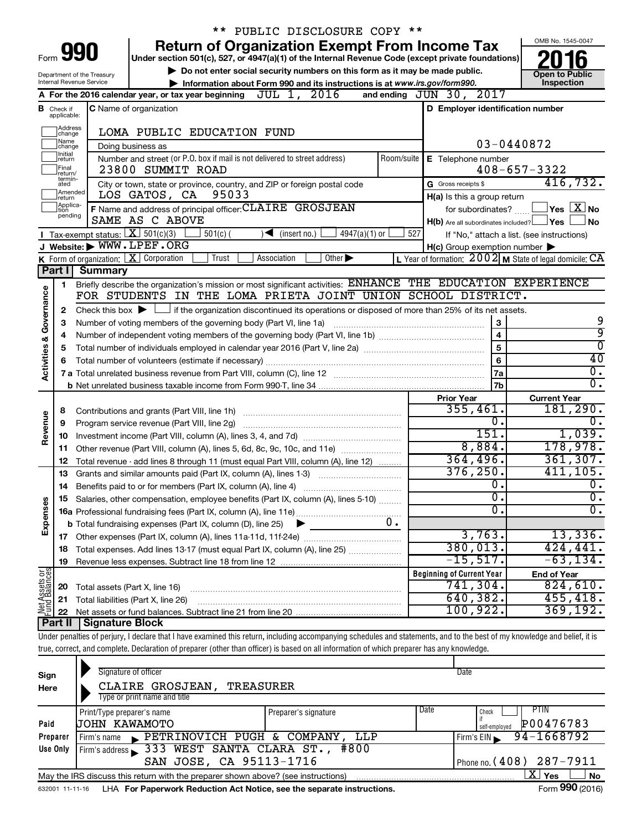|                         |                                                                                                |                                                                                                   | ** PUBLIC DISCLOSURE COPY **                                                                                                                                                 |     |                                                             |  |                                                                                             |  |
|-------------------------|------------------------------------------------------------------------------------------------|---------------------------------------------------------------------------------------------------|------------------------------------------------------------------------------------------------------------------------------------------------------------------------------|-----|-------------------------------------------------------------|--|---------------------------------------------------------------------------------------------|--|
|                         |                                                                                                |                                                                                                   | <b>Return of Organization Exempt From Income Tax</b>                                                                                                                         |     |                                                             |  | OMB No. 1545-0047                                                                           |  |
| Form                    |                                                                                                | 990                                                                                               | Under section 501(c), 527, or 4947(a)(1) of the Internal Revenue Code (except private foundations)                                                                           |     |                                                             |  |                                                                                             |  |
|                         |                                                                                                | Department of the Treasury                                                                        | Do not enter social security numbers on this form as it may be made public.                                                                                                  |     |                                                             |  | <b>Open to Public</b>                                                                       |  |
|                         |                                                                                                | Internal Revenue Service                                                                          | Information about Form 990 and its instructions is at www.irs.gov/form990.                                                                                                   |     |                                                             |  | Inspection                                                                                  |  |
|                         |                                                                                                |                                                                                                   | A For the 2016 calendar year, or tax year beginning $JUL$ 1, $2016$                                                                                                          |     | and ending JUN 30, 2017                                     |  |                                                                                             |  |
|                         | C Name of organization<br>D Employer identification number<br><b>B</b> Check if<br>applicable: |                                                                                                   |                                                                                                                                                                              |     |                                                             |  |                                                                                             |  |
|                         | Address                                                                                        |                                                                                                   | LOMA PUBLIC EDUCATION FUND                                                                                                                                                   |     |                                                             |  |                                                                                             |  |
|                         | change<br>1Name                                                                                |                                                                                                   |                                                                                                                                                                              |     | $03 - 0440872$                                              |  |                                                                                             |  |
|                         | change<br>Initial<br>return                                                                    |                                                                                                   | Doing business as<br>Number and street (or P.O. box if mail is not delivered to street address)                                                                              |     | Room/suite   E Telephone number                             |  |                                                                                             |  |
|                         | Final<br>lreturn/                                                                              |                                                                                                   | 23800 SUMMIT ROAD                                                                                                                                                            |     |                                                             |  | $408 - 657 - 3322$                                                                          |  |
|                         | termin-<br>ated                                                                                |                                                                                                   | City or town, state or province, country, and ZIP or foreign postal code                                                                                                     |     | G Gross receipts \$                                         |  | 416,732.                                                                                    |  |
|                         | Amended<br>return                                                                              |                                                                                                   | 95033<br>LOS GATOS, CA                                                                                                                                                       |     | H(a) Is this a group return                                 |  |                                                                                             |  |
|                         | Applica-<br>tion                                                                               |                                                                                                   | F Name and address of principal officer: CLAIRE GROSJEAN                                                                                                                     |     | for subordinates?                                           |  | $\left\vert \mathsf{Yes}\right\vert \overline{\mathsf{X}}\left\vert \mathsf{No}\right\vert$ |  |
|                         | pending                                                                                        |                                                                                                   | SAME AS C ABOVE                                                                                                                                                              |     | $H(b)$ Are all subordinates included? $\Box$ Yes            |  | <b>No</b>                                                                                   |  |
|                         |                                                                                                | Tax-exempt status: $X \ 501(c)(3)$                                                                | $4947(a)(1)$ or<br>$501(c)$ (<br>$\sqrt{\frac{1}{1}}$ (insert no.)                                                                                                           | 527 | If "No," attach a list. (see instructions)                  |  |                                                                                             |  |
|                         |                                                                                                |                                                                                                   | J Website: WWW.LPEF.ORG                                                                                                                                                      |     | $H(c)$ Group exemption number $\blacktriangleright$         |  |                                                                                             |  |
|                         |                                                                                                |                                                                                                   | <b>K</b> Form of organization: $X$ Corporation<br>Other $\blacktriangleright$<br>Trust<br>Association                                                                        |     | L Year of formation: $2002$ M State of legal domicile: $CA$ |  |                                                                                             |  |
|                         | <b>Part II</b>                                                                                 | <b>Summary</b>                                                                                    |                                                                                                                                                                              |     |                                                             |  |                                                                                             |  |
|                         | 1                                                                                              |                                                                                                   | Briefly describe the organization's mission or most significant activities: ENHANCE THE EDUCATION EXPERIENCE<br>FOR STUDENTS IN THE LOMA PRIETA JOINT UNION SCHOOL DISTRICT. |     |                                                             |  |                                                                                             |  |
|                         |                                                                                                |                                                                                                   | Check this box $\blacktriangleright$ $\Box$ if the organization discontinued its operations or disposed of more than 25% of its net assets.                                  |     |                                                             |  |                                                                                             |  |
| Governance              | 2                                                                                              |                                                                                                   |                                                                                                                                                                              |     | $\bf 3$                                                     |  | 9                                                                                           |  |
|                         | 4                                                                                              | Number of voting members of the governing body (Part VI, line 1a)<br>З<br>$\overline{\mathbf{4}}$ |                                                                                                                                                                              |     |                                                             |  |                                                                                             |  |
|                         | 5                                                                                              |                                                                                                   |                                                                                                                                                                              |     | 5                                                           |  | 9<br>$\overline{0}$                                                                         |  |
|                         | 6                                                                                              |                                                                                                   |                                                                                                                                                                              |     | 6                                                           |  | 40                                                                                          |  |
| <b>Activities &amp;</b> |                                                                                                |                                                                                                   |                                                                                                                                                                              |     | 7a                                                          |  | 0.                                                                                          |  |
|                         |                                                                                                |                                                                                                   |                                                                                                                                                                              |     | 7b                                                          |  | σ.                                                                                          |  |
|                         |                                                                                                |                                                                                                   |                                                                                                                                                                              |     | <b>Prior Year</b>                                           |  | <b>Current Year</b>                                                                         |  |
|                         | 8                                                                                              |                                                                                                   |                                                                                                                                                                              |     | 355,461.                                                    |  | 181, 290.                                                                                   |  |
| Revenue                 | 9                                                                                              |                                                                                                   |                                                                                                                                                                              |     | 0.                                                          |  | $\overline{0}$ .                                                                            |  |
|                         | 10                                                                                             |                                                                                                   |                                                                                                                                                                              |     | 151.                                                        |  | 1,039.                                                                                      |  |
|                         | 11                                                                                             |                                                                                                   | Other revenue (Part VIII, column (A), lines 5, 6d, 8c, 9c, 10c, and 11e)                                                                                                     |     | 8,884.<br>364, 496.                                         |  | 178,978.<br>361, 307.                                                                       |  |
|                         | 12                                                                                             |                                                                                                   | Total revenue - add lines 8 through 11 (must equal Part VIII, column (A), line 12)                                                                                           |     | 376, 250.                                                   |  | 411, 105.                                                                                   |  |
|                         | 13<br>14                                                                                       |                                                                                                   | Grants and similar amounts paid (Part IX, column (A), lines 1-3)<br>Benefits paid to or for members (Part IX, column (A), line 4)                                            |     | 0.                                                          |  | $\overline{0}$ .                                                                            |  |
|                         |                                                                                                |                                                                                                   | 15 Salaries, other compensation, employee benefits (Part IX, column (A), lines 5-10)                                                                                         |     | υ.                                                          |  | Ο.                                                                                          |  |
| Expenses                |                                                                                                |                                                                                                   |                                                                                                                                                                              |     | $\overline{0}$                                              |  | σ.                                                                                          |  |
|                         |                                                                                                |                                                                                                   | $0$ .<br><b>b</b> Total fundraising expenses (Part IX, column (D), line 25)<br>▶                                                                                             |     |                                                             |  |                                                                                             |  |
|                         | 17                                                                                             |                                                                                                   |                                                                                                                                                                              |     | 3,763.                                                      |  | 13,336.                                                                                     |  |
|                         | 18                                                                                             |                                                                                                   | Total expenses. Add lines 13-17 (must equal Part IX, column (A), line 25)                                                                                                    |     | 380,013.                                                    |  | 424, 441.                                                                                   |  |
|                         | 19                                                                                             |                                                                                                   |                                                                                                                                                                              |     | $-15$ ,517.                                                 |  | $-63, 134.$                                                                                 |  |
| Net Assets or           |                                                                                                |                                                                                                   |                                                                                                                                                                              |     | <b>Beginning of Current Year</b>                            |  | <b>End of Year</b>                                                                          |  |
|                         | 20                                                                                             | Total assets (Part X, line 16)                                                                    |                                                                                                                                                                              |     | 741,304.                                                    |  | 824,610.                                                                                    |  |
|                         | 21                                                                                             |                                                                                                   | Total liabilities (Part X, line 26)                                                                                                                                          |     | 640,382.                                                    |  | 455, 418.                                                                                   |  |
|                         | 22                                                                                             |                                                                                                   |                                                                                                                                                                              |     | 100, 922.                                                   |  | 369,192.                                                                                    |  |
|                         | Part II                                                                                        | Signature Block                                                                                   | Under penalties of perjury, I declare that I have examined this return, including accompanying schedules and statements, and to the best of my knowledge and belief, it is   |     |                                                             |  |                                                                                             |  |
|                         |                                                                                                |                                                                                                   | true, correct, and complete. Declaration of preparer (other than officer) is based on all information of which preparer has any knowledge.                                   |     |                                                             |  |                                                                                             |  |
|                         |                                                                                                |                                                                                                   |                                                                                                                                                                              |     |                                                             |  |                                                                                             |  |

| Sign<br>Here | Signature of officer<br>CLAIRE GROSJEAN,<br><b>TREASURER</b><br>Type or print name and title |                              | Date                                        |
|--------------|----------------------------------------------------------------------------------------------|------------------------------|---------------------------------------------|
| Paid         | Print/Type preparer's name<br>UOHN KAWAMOTO                                                  | Date<br>Preparer's signature | PTIN<br>Check<br>P00476783<br>self-employed |
| Preparer     | PETRINOVICH PUGH & COMPANY, LLP<br>Firm's name                                               |                              | 94-1668792<br>Firm's EIN                    |
| Use Only     | Firm's address 333 WEST SANTA CLARA ST., #800<br>SAN JOSE, CA 95113-1716                     |                              | Phone no. (408) 287-7911                    |
|              | May the IRS discuss this return with the preparer shown above? (see instructions)            |                              | x<br>Yes<br><b>No</b><br>$- - -$            |

632001 11-11-16 **For Paperwork Reduction Act Notice, see the separate instructions.** LHA Form (2016)

Form **990** (2016)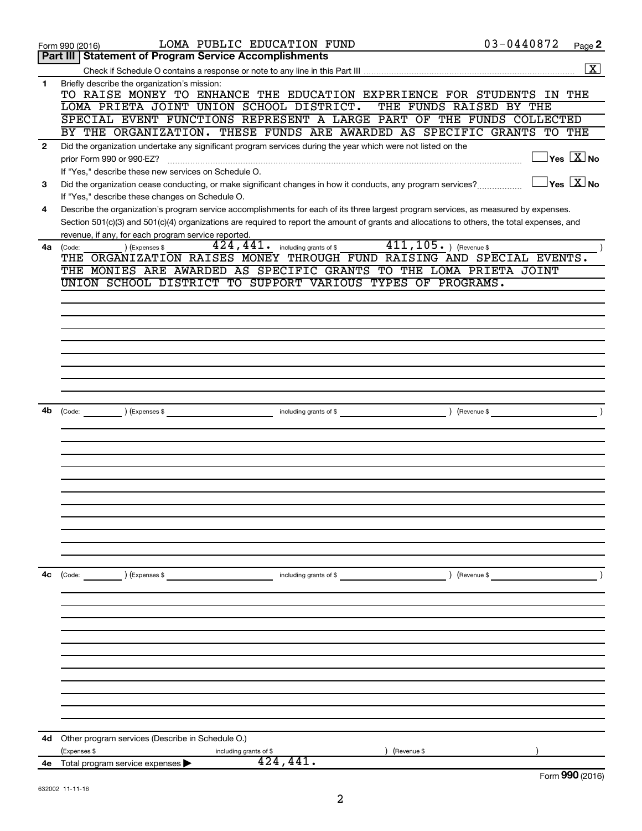|              | LOMA PUBLIC EDUCATION FUND<br>Form 990 (2016)                                                                                                | 03-0440872              | Page 2                                    |
|--------------|----------------------------------------------------------------------------------------------------------------------------------------------|-------------------------|-------------------------------------------|
|              | Part III   Statement of Program Service Accomplishments                                                                                      |                         |                                           |
|              |                                                                                                                                              |                         | $\overline{\mathbf{X}}$                   |
| 1            | Briefly describe the organization's mission:<br>TO RAISE MONEY TO ENHANCE THE EDUCATION EXPERIENCE FOR STUDENTS                              |                         | IN THE                                    |
|              | LOMA PRIETA JOINT UNION SCHOOL DISTRICT.                                                                                                     | THE FUNDS RAISED BY THE |                                           |
|              | SPECIAL EVENT FUNCTIONS REPRESENT A LARGE PART OF THE FUNDS COLLECTED                                                                        |                         |                                           |
|              | BY THE ORGANIZATION. THESE FUNDS ARE AWARDED AS SPECIFIC GRANTS TO THE                                                                       |                         |                                           |
| $\mathbf{2}$ | Did the organization undertake any significant program services during the year which were not listed on the                                 |                         |                                           |
|              | prior Form 990 or 990-EZ?                                                                                                                    |                         | $\overline{\ }$ Yes $\overline{\rm X}$ No |
|              | If "Yes," describe these new services on Schedule O.                                                                                         |                         |                                           |
| 3            | Did the organization cease conducting, or make significant changes in how it conducts, any program services?                                 |                         | $\exists$ Yes $\boxed{\text{X}}$ No       |
|              | If "Yes," describe these changes on Schedule O.                                                                                              |                         |                                           |
| 4            | Describe the organization's program service accomplishments for each of its three largest program services, as measured by expenses.         |                         |                                           |
|              | Section 501(c)(3) and 501(c)(4) organizations are required to report the amount of grants and allocations to others, the total expenses, and |                         |                                           |
|              | revenue, if any, for each program service reported.                                                                                          |                         |                                           |
| 4a           | $411, 105.$ (Revenue \$)<br>$\overline{424}$ , $\overline{441}$ including grants of \$<br>(Expenses \$<br>(Code:                             |                         |                                           |
|              | THE ORGANIZATION RAISES MONEY THROUGH FUND RAISING AND SPECIAL EVENTS.                                                                       |                         |                                           |
|              | THE MONIES ARE AWARDED AS SPECIFIC GRANTS TO THE LOMA PRIETA JOINT                                                                           |                         |                                           |
|              | UNION SCHOOL DISTRICT TO SUPPORT VARIOUS TYPES OF PROGRAMS.                                                                                  |                         |                                           |
|              |                                                                                                                                              |                         |                                           |
|              |                                                                                                                                              |                         |                                           |
|              |                                                                                                                                              |                         |                                           |
|              |                                                                                                                                              |                         |                                           |
|              |                                                                                                                                              |                         |                                           |
|              |                                                                                                                                              |                         |                                           |
|              |                                                                                                                                              |                         |                                           |
|              |                                                                                                                                              |                         |                                           |
|              |                                                                                                                                              |                         |                                           |
| 4b           | (Code: <u>Code:</u> ) (Expenses \$                                                                                                           | ) (Revenue \$           |                                           |
|              |                                                                                                                                              |                         |                                           |
|              |                                                                                                                                              |                         |                                           |
|              |                                                                                                                                              |                         |                                           |
|              |                                                                                                                                              |                         |                                           |
|              |                                                                                                                                              |                         |                                           |
|              |                                                                                                                                              |                         |                                           |
|              |                                                                                                                                              |                         |                                           |
|              |                                                                                                                                              |                         |                                           |
|              |                                                                                                                                              |                         |                                           |
|              |                                                                                                                                              |                         |                                           |
|              |                                                                                                                                              |                         |                                           |
| 4c           | $\left(\text{Code:} \right)$ $\left(\text{Expenses $}\right)$<br>including grants of \$                                                      | ) (Revenue \$           |                                           |
|              |                                                                                                                                              |                         |                                           |
|              |                                                                                                                                              |                         |                                           |
|              |                                                                                                                                              |                         |                                           |
|              |                                                                                                                                              |                         |                                           |
|              |                                                                                                                                              |                         |                                           |
|              |                                                                                                                                              |                         |                                           |
|              |                                                                                                                                              |                         |                                           |
|              |                                                                                                                                              |                         |                                           |
|              |                                                                                                                                              |                         |                                           |
|              |                                                                                                                                              |                         |                                           |
|              |                                                                                                                                              |                         |                                           |
|              |                                                                                                                                              |                         |                                           |
| 4d           | Other program services (Describe in Schedule O.)                                                                                             |                         |                                           |
|              | (Expenses \$<br>including grants of \$<br>(Revenue \$                                                                                        |                         |                                           |
| 4е           | 424,441.<br>Total program service expenses                                                                                                   |                         |                                           |
|              |                                                                                                                                              |                         | Form 990 (2016)                           |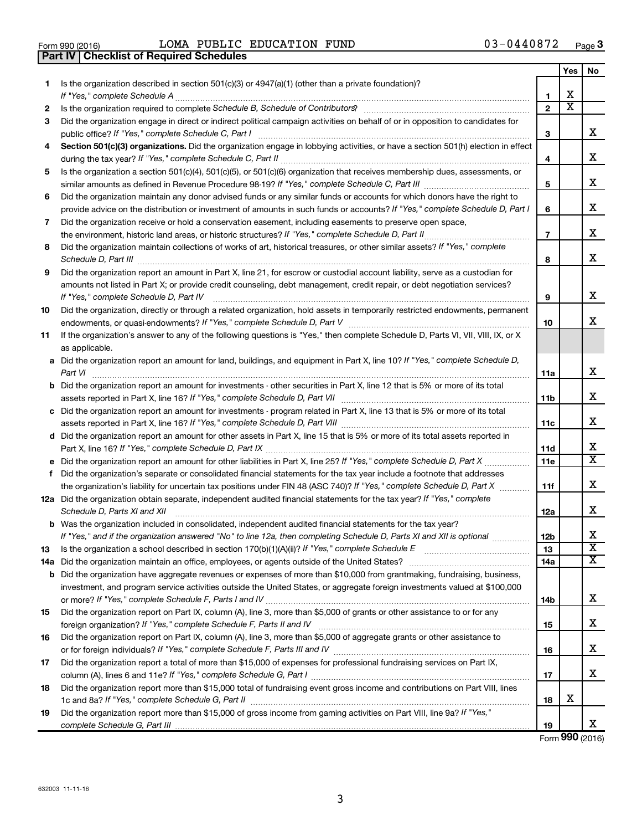| Form 990 (2016) |  |  |
|-----------------|--|--|

**Part IV Checklist of Required Schedules**

Form 990 (2016) Page LOMA PUBLIC EDUCATION FUND 03-0440872

|    |                                                                                                                                                                                                                                                                                                                                                                      |                | Yes                   | No                         |
|----|----------------------------------------------------------------------------------------------------------------------------------------------------------------------------------------------------------------------------------------------------------------------------------------------------------------------------------------------------------------------|----------------|-----------------------|----------------------------|
| 1  | Is the organization described in section $501(c)(3)$ or $4947(a)(1)$ (other than a private foundation)?                                                                                                                                                                                                                                                              | 1              | х                     |                            |
| 2  | Is the organization required to complete Schedule B, Schedule of Contributors? [11] the organization required to complete Schedule B, Schedule of Contributors?                                                                                                                                                                                                      | $\overline{2}$ | $\overline{\text{x}}$ |                            |
| 3  | Did the organization engage in direct or indirect political campaign activities on behalf of or in opposition to candidates for                                                                                                                                                                                                                                      | З              |                       | х                          |
| 4  | Section 501(c)(3) organizations. Did the organization engage in lobbying activities, or have a section 501(h) election in effect                                                                                                                                                                                                                                     |                |                       |                            |
|    |                                                                                                                                                                                                                                                                                                                                                                      | 4              |                       | х                          |
| 5  | Is the organization a section 501(c)(4), 501(c)(5), or 501(c)(6) organization that receives membership dues, assessments, or                                                                                                                                                                                                                                         |                |                       |                            |
|    |                                                                                                                                                                                                                                                                                                                                                                      | 5              |                       | х                          |
| 6  | Did the organization maintain any donor advised funds or any similar funds or accounts for which donors have the right to                                                                                                                                                                                                                                            |                |                       |                            |
|    | provide advice on the distribution or investment of amounts in such funds or accounts? If "Yes," complete Schedule D, Part I                                                                                                                                                                                                                                         | 6              |                       | х                          |
| 7  | Did the organization receive or hold a conservation easement, including easements to preserve open space,                                                                                                                                                                                                                                                            |                |                       |                            |
|    |                                                                                                                                                                                                                                                                                                                                                                      | $\overline{7}$ |                       | х                          |
| 8  | Did the organization maintain collections of works of art, historical treasures, or other similar assets? If "Yes," complete<br>Schedule D, Part III <b>Entertainment auf dem Einestein auf der Freiha</b> ussen auf der Teilen auf der Anten an der Anten an der Anten an der Anten an der Anten an der Anten an der Anten an der Anten an der Anten an der Anten a | 8              |                       | х                          |
| 9  | Did the organization report an amount in Part X, line 21, for escrow or custodial account liability, serve as a custodian for                                                                                                                                                                                                                                        |                |                       |                            |
|    | amounts not listed in Part X; or provide credit counseling, debt management, credit repair, or debt negotiation services?                                                                                                                                                                                                                                            |                |                       |                            |
|    | If "Yes," complete Schedule D, Part IV                                                                                                                                                                                                                                                                                                                               | 9              |                       | х                          |
| 10 | Did the organization, directly or through a related organization, hold assets in temporarily restricted endowments, permanent                                                                                                                                                                                                                                        |                |                       |                            |
|    |                                                                                                                                                                                                                                                                                                                                                                      | 10             |                       | х                          |
| 11 | If the organization's answer to any of the following questions is "Yes," then complete Schedule D, Parts VI, VII, VIII, IX, or X                                                                                                                                                                                                                                     |                |                       |                            |
|    | as applicable.                                                                                                                                                                                                                                                                                                                                                       |                |                       |                            |
|    | a Did the organization report an amount for land, buildings, and equipment in Part X, line 10? If "Yes," complete Schedule D,<br>Part VI                                                                                                                                                                                                                             | 11a            |                       | х                          |
|    | <b>b</b> Did the organization report an amount for investments - other securities in Part X, line 12 that is 5% or more of its total                                                                                                                                                                                                                                 |                |                       |                            |
|    |                                                                                                                                                                                                                                                                                                                                                                      | 11b            |                       | х                          |
|    | c Did the organization report an amount for investments - program related in Part X, line 13 that is 5% or more of its total                                                                                                                                                                                                                                         |                |                       |                            |
|    |                                                                                                                                                                                                                                                                                                                                                                      | 11c            |                       | х                          |
|    | d Did the organization report an amount for other assets in Part X, line 15 that is 5% or more of its total assets reported in                                                                                                                                                                                                                                       |                |                       |                            |
|    |                                                                                                                                                                                                                                                                                                                                                                      | 11d            |                       | х<br>$\overline{\text{X}}$ |
|    | e Did the organization report an amount for other liabilities in Part X, line 25? If "Yes," complete Schedule D, Part X                                                                                                                                                                                                                                              | 11e            |                       |                            |
| f. | Did the organization's separate or consolidated financial statements for the tax year include a footnote that addresses                                                                                                                                                                                                                                              |                |                       |                            |
|    | the organization's liability for uncertain tax positions under FIN 48 (ASC 740)? If "Yes," complete Schedule D, Part X                                                                                                                                                                                                                                               | 11f            |                       | х                          |
|    | 12a Did the organization obtain separate, independent audited financial statements for the tax year? If "Yes," complete<br>Schedule D, Parts XI and XII                                                                                                                                                                                                              | 12a            |                       | х                          |
|    | <b>b</b> Was the organization included in consolidated, independent audited financial statements for the tax year?                                                                                                                                                                                                                                                   |                |                       |                            |
|    | If "Yes," and if the organization answered "No" to line 12a, then completing Schedule D, Parts XI and XII is optional                                                                                                                                                                                                                                                | 12b            |                       | Χ                          |
| 13 |                                                                                                                                                                                                                                                                                                                                                                      | 13             |                       | $\overline{\textbf{x}}$    |
|    | 14a Did the organization maintain an office, employees, or agents outside of the United States?                                                                                                                                                                                                                                                                      | 14a            |                       | х                          |
|    | <b>b</b> Did the organization have aggregate revenues or expenses of more than \$10,000 from grantmaking, fundraising, business,                                                                                                                                                                                                                                     |                |                       |                            |
|    | investment, and program service activities outside the United States, or aggregate foreign investments valued at \$100,000                                                                                                                                                                                                                                           |                |                       |                            |
|    |                                                                                                                                                                                                                                                                                                                                                                      | 14b            |                       | х                          |
| 15 | Did the organization report on Part IX, column (A), line 3, more than \$5,000 of grants or other assistance to or for any                                                                                                                                                                                                                                            |                |                       |                            |
|    |                                                                                                                                                                                                                                                                                                                                                                      | 15             |                       | х                          |
| 16 | Did the organization report on Part IX, column (A), line 3, more than \$5,000 of aggregate grants or other assistance to                                                                                                                                                                                                                                             | 16             |                       | x                          |
| 17 | Did the organization report a total of more than \$15,000 of expenses for professional fundraising services on Part IX,                                                                                                                                                                                                                                              |                |                       |                            |
|    |                                                                                                                                                                                                                                                                                                                                                                      | 17             |                       | x                          |
| 18 | Did the organization report more than \$15,000 total of fundraising event gross income and contributions on Part VIII, lines                                                                                                                                                                                                                                         |                |                       |                            |
|    |                                                                                                                                                                                                                                                                                                                                                                      | 18             | х                     |                            |
| 19 | Did the organization report more than \$15,000 of gross income from gaming activities on Part VIII, line 9a? If "Yes,"                                                                                                                                                                                                                                               |                |                       |                            |
|    |                                                                                                                                                                                                                                                                                                                                                                      | 19             |                       | x                          |

Form (2016) **990**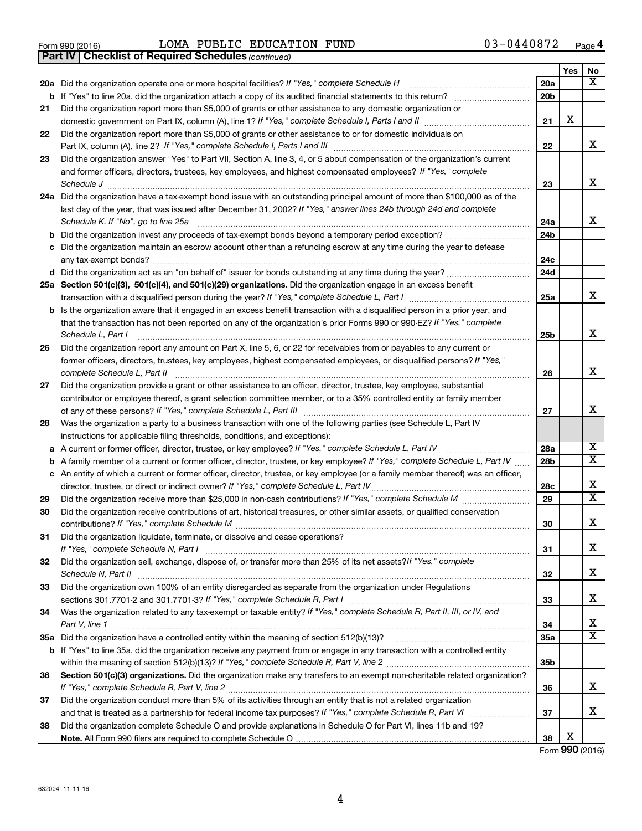|  | Form 990 (2016) |  |
|--|-----------------|--|
|  |                 |  |

Form 990 (2016)  $LOMA$  PUBLIC EDUCATION FUND  $03-0440872$  Page

*(continued)* **Part IV Checklist of Required Schedules**

|     |                                                                                                                                                        |     | Yes | No                      |
|-----|--------------------------------------------------------------------------------------------------------------------------------------------------------|-----|-----|-------------------------|
| 20a | Did the organization operate one or more hospital facilities? If "Yes," complete Schedule H                                                            | 20a |     | х                       |
| b   | If "Yes" to line 20a, did the organization attach a copy of its audited financial statements to this return?                                           | 20b |     |                         |
| 21  | Did the organization report more than \$5,000 of grants or other assistance to any domestic organization or                                            |     |     |                         |
|     |                                                                                                                                                        | 21  | х   |                         |
| 22  | Did the organization report more than \$5,000 of grants or other assistance to or for domestic individuals on                                          |     |     |                         |
|     | Part IX, column (A), line 2? If "Yes," complete Schedule I, Parts I and III                                                                            | 22  |     | x                       |
| 23  | Did the organization answer "Yes" to Part VII, Section A, line 3, 4, or 5 about compensation of the organization's current                             |     |     |                         |
|     | and former officers, directors, trustees, key employees, and highest compensated employees? If "Yes," complete                                         |     |     |                         |
|     | Schedule J                                                                                                                                             | 23  |     | x                       |
| 24a | Did the organization have a tax-exempt bond issue with an outstanding principal amount of more than \$100,000 as of the                                |     |     |                         |
|     | last day of the year, that was issued after December 31, 2002? If "Yes," answer lines 24b through 24d and complete                                     |     |     |                         |
|     | Schedule K. If "No", go to line 25a                                                                                                                    | 24a |     | x                       |
| b   |                                                                                                                                                        | 24b |     |                         |
| с   | Did the organization maintain an escrow account other than a refunding escrow at any time during the year to defease                                   |     |     |                         |
|     | any tax-exempt bonds?                                                                                                                                  | 24c |     |                         |
|     |                                                                                                                                                        | 24d |     |                         |
|     | 25a Section 501(c)(3), 501(c)(4), and 501(c)(29) organizations. Did the organization engage in an excess benefit                                       |     |     |                         |
|     |                                                                                                                                                        | 25a |     | х                       |
| b   | Is the organization aware that it engaged in an excess benefit transaction with a disqualified person in a prior year, and                             |     |     |                         |
|     | that the transaction has not been reported on any of the organization's prior Forms 990 or 990-EZ? If "Yes," complete                                  |     |     | x                       |
|     | Schedule L, Part I                                                                                                                                     | 25b |     |                         |
| 26  | Did the organization report any amount on Part X, line 5, 6, or 22 for receivables from or payables to any current or                                  |     |     |                         |
|     | former officers, directors, trustees, key employees, highest compensated employees, or disqualified persons? If "Yes,"<br>complete Schedule L, Part II | 26  |     | X                       |
| 27  | Did the organization provide a grant or other assistance to an officer, director, trustee, key employee, substantial                                   |     |     |                         |
|     | contributor or employee thereof, a grant selection committee member, or to a 35% controlled entity or family member                                    |     |     |                         |
|     |                                                                                                                                                        | 27  |     | x                       |
| 28  | Was the organization a party to a business transaction with one of the following parties (see Schedule L, Part IV                                      |     |     |                         |
|     | instructions for applicable filing thresholds, conditions, and exceptions):                                                                            |     |     |                         |
| а   | A current or former officer, director, trustee, or key employee? If "Yes," complete Schedule L, Part IV                                                | 28a |     | x                       |
| b   | A family member of a current or former officer, director, trustee, or key employee? If "Yes," complete Schedule L, Part IV                             | 28b |     | $\overline{\textbf{X}}$ |
| с   | An entity of which a current or former officer, director, trustee, or key employee (or a family member thereof) was an officer,                        |     |     |                         |
|     | director, trustee, or direct or indirect owner? If "Yes," complete Schedule L, Part IV.                                                                | 28c |     | х                       |
| 29  |                                                                                                                                                        | 29  |     | $\overline{\mathbf{X}}$ |
| 30  | Did the organization receive contributions of art, historical treasures, or other similar assets, or qualified conservation                            |     |     |                         |
|     |                                                                                                                                                        | 30  |     | х                       |
| 31  | Did the organization liquidate, terminate, or dissolve and cease operations?                                                                           |     |     |                         |
|     |                                                                                                                                                        | 31  |     | х                       |
| 32  | Did the organization sell, exchange, dispose of, or transfer more than 25% of its net assets? If "Yes," complete                                       |     |     |                         |
|     |                                                                                                                                                        | 32  |     | х                       |
| 33  | Did the organization own 100% of an entity disregarded as separate from the organization under Regulations                                             |     |     |                         |
|     |                                                                                                                                                        | 33  |     | х                       |
| 34  | Was the organization related to any tax-exempt or taxable entity? If "Yes," complete Schedule R, Part II, III, or IV, and                              |     |     |                         |
|     | Part V, line 1                                                                                                                                         | 34  |     | X                       |
| 35a |                                                                                                                                                        | 35a |     | $\overline{\mathbf{X}}$ |
| b   | If "Yes" to line 35a, did the organization receive any payment from or engage in any transaction with a controlled entity                              |     |     |                         |
|     |                                                                                                                                                        | 35b |     |                         |
| 36  | Section 501(c)(3) organizations. Did the organization make any transfers to an exempt non-charitable related organization?                             |     |     |                         |
|     |                                                                                                                                                        | 36  |     | x                       |
| 37  | Did the organization conduct more than 5% of its activities through an entity that is not a related organization                                       |     |     | x                       |
|     |                                                                                                                                                        | 37  |     |                         |
| 38  | Did the organization complete Schedule O and provide explanations in Schedule O for Part VI, lines 11b and 19?                                         | 38  | х   |                         |
|     |                                                                                                                                                        |     |     |                         |

Form (2016) **990**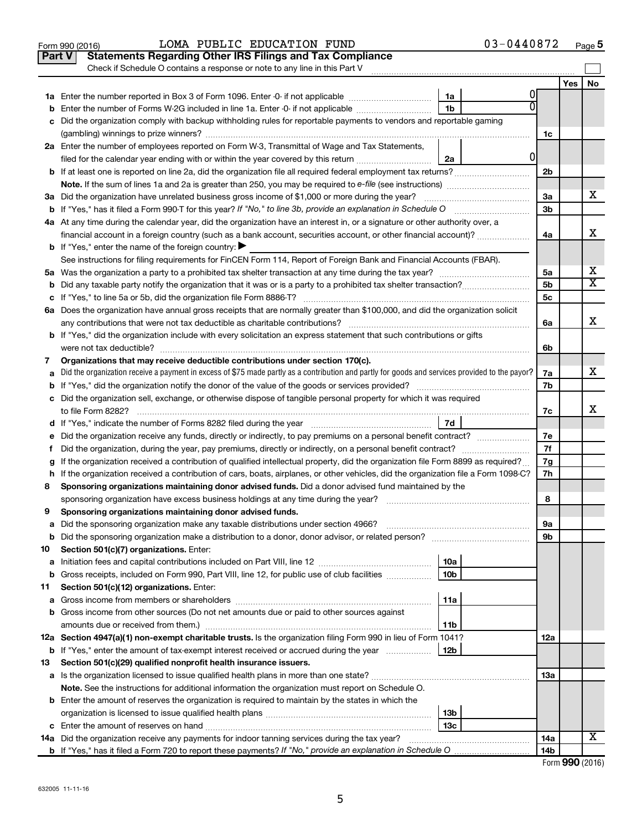|               | LOMA PUBLIC EDUCATION FUND<br>Form 990 (2016)                                                                                                   |                 | 03-0440872 |                |     | Page 5                  |
|---------------|-------------------------------------------------------------------------------------------------------------------------------------------------|-----------------|------------|----------------|-----|-------------------------|
| <b>Part V</b> | <b>Statements Regarding Other IRS Filings and Tax Compliance</b>                                                                                |                 |            |                |     |                         |
|               | Check if Schedule O contains a response or note to any line in this Part V                                                                      |                 |            |                |     |                         |
|               |                                                                                                                                                 |                 |            |                | Yes | No                      |
|               |                                                                                                                                                 | 1a              |            |                |     |                         |
| b             | Enter the number of Forms W-2G included in line 1a. Enter -0- if not applicable                                                                 | 1 <sub>b</sub>  |            |                |     |                         |
| c             | Did the organization comply with backup withholding rules for reportable payments to vendors and reportable gaming                              |                 |            |                |     |                         |
|               |                                                                                                                                                 |                 |            | 1c             |     |                         |
|               | 2a Enter the number of employees reported on Form W-3, Transmittal of Wage and Tax Statements,                                                  |                 |            |                |     |                         |
|               | filed for the calendar year ending with or within the year covered by this return                                                               | 2a              | 0          |                |     |                         |
|               | <b>b</b> If at least one is reported on line 2a, did the organization file all required federal employment tax returns?                         |                 |            | 2 <sub>b</sub> |     |                         |
|               |                                                                                                                                                 |                 |            |                |     |                         |
|               | 3a Did the organization have unrelated business gross income of \$1,000 or more during the year?                                                |                 |            | 3a             |     | x                       |
|               |                                                                                                                                                 |                 |            | 3b             |     |                         |
|               | 4a At any time during the calendar year, did the organization have an interest in, or a signature or other authority over, a                    |                 |            |                |     |                         |
|               | financial account in a foreign country (such as a bank account, securities account, or other financial account)?                                |                 |            | 4a             |     | x                       |
|               | <b>b</b> If "Yes," enter the name of the foreign country:                                                                                       |                 |            |                |     |                         |
|               | See instructions for filing requirements for FinCEN Form 114, Report of Foreign Bank and Financial Accounts (FBAR).                             |                 |            |                |     |                         |
|               |                                                                                                                                                 |                 |            | 5a             |     | х                       |
|               |                                                                                                                                                 |                 |            | 5b             |     | $\overline{\mathtt{x}}$ |
|               |                                                                                                                                                 |                 |            | 5c             |     |                         |
|               | 6a Does the organization have annual gross receipts that are normally greater than \$100,000, and did the organization solicit                  |                 |            |                |     |                         |
|               | any contributions that were not tax deductible as charitable contributions?                                                                     |                 |            | 6a             |     | x                       |
|               | b If "Yes," did the organization include with every solicitation an express statement that such contributions or gifts                          |                 |            |                |     |                         |
|               | were not tax deductible?                                                                                                                        |                 |            | 6b             |     |                         |
| 7             | Organizations that may receive deductible contributions under section 170(c).                                                                   |                 |            |                |     |                         |
| a             | Did the organization receive a payment in excess of \$75 made partly as a contribution and partly for goods and services provided to the payor? |                 |            |                |     | x                       |
|               |                                                                                                                                                 |                 |            | 7b             |     |                         |
|               | c Did the organization sell, exchange, or otherwise dispose of tangible personal property for which it was required                             |                 |            |                |     |                         |
|               | to file Form 8282?                                                                                                                              |                 |            | 7c             |     | х                       |
|               | d If "Yes," indicate the number of Forms 8282 filed during the year manufacture intervent contained in the Sea                                  | 7d              |            |                |     |                         |
| е             |                                                                                                                                                 |                 |            | 7е             |     |                         |
| f.            | Did the organization, during the year, pay premiums, directly or indirectly, on a personal benefit contract?                                    |                 |            | 7f             |     |                         |
| g             | If the organization received a contribution of qualified intellectual property, did the organization file Form 8899 as required?                |                 |            | 7g             |     |                         |
|               | h If the organization received a contribution of cars, boats, airplanes, or other vehicles, did the organization file a Form 1098-C?            |                 |            | 7h             |     |                         |
| 8             | Sponsoring organizations maintaining donor advised funds. Did a donor advised fund maintained by the                                            |                 |            |                |     |                         |
|               | sponsoring organization have excess business holdings at any time during the year?                                                              |                 |            | 8              |     |                         |
| 9             | Sponsoring organizations maintaining donor advised funds.                                                                                       |                 |            |                |     |                         |
| а             | Did the sponsoring organization make any taxable distributions under section 4966?                                                              |                 |            | 9а             |     |                         |
| b             | Section 501(c)(7) organizations. Enter:                                                                                                         |                 |            | 9b             |     |                         |
| 10            |                                                                                                                                                 | 10a             |            |                |     |                         |
| а<br>b        | Gross receipts, included on Form 990, Part VIII, line 12, for public use of club facilities <i>manumum</i>                                      | 10 <sub>b</sub> |            |                |     |                         |
| 11            | Section 501(c)(12) organizations. Enter:                                                                                                        |                 |            |                |     |                         |
| а             |                                                                                                                                                 | 11a             |            |                |     |                         |
| b             | Gross income from other sources (Do not net amounts due or paid to other sources against                                                        |                 |            |                |     |                         |
|               |                                                                                                                                                 | 11b             |            |                |     |                         |
|               | 12a Section 4947(a)(1) non-exempt charitable trusts. Is the organization filing Form 990 in lieu of Form 1041?                                  |                 |            | 12a            |     |                         |
| b             | If "Yes," enter the amount of tax-exempt interest received or accrued during the year                                                           | 12 <sub>b</sub> |            |                |     |                         |
| 13            | Section 501(c)(29) qualified nonprofit health insurance issuers.                                                                                |                 |            |                |     |                         |
| а             |                                                                                                                                                 |                 |            | 13a            |     |                         |
|               | Note. See the instructions for additional information the organization must report on Schedule O.                                               |                 |            |                |     |                         |
|               | <b>b</b> Enter the amount of reserves the organization is required to maintain by the states in which the                                       |                 |            |                |     |                         |
|               |                                                                                                                                                 | 13 <sub>b</sub> |            |                |     |                         |
|               |                                                                                                                                                 | 13 <sub>c</sub> |            |                |     |                         |
|               | 14a Did the organization receive any payments for indoor tanning services during the tax year?                                                  |                 |            | 14a            |     | X                       |
|               |                                                                                                                                                 |                 |            | 14b            |     |                         |

| Form 990 (2016) |  |
|-----------------|--|
|-----------------|--|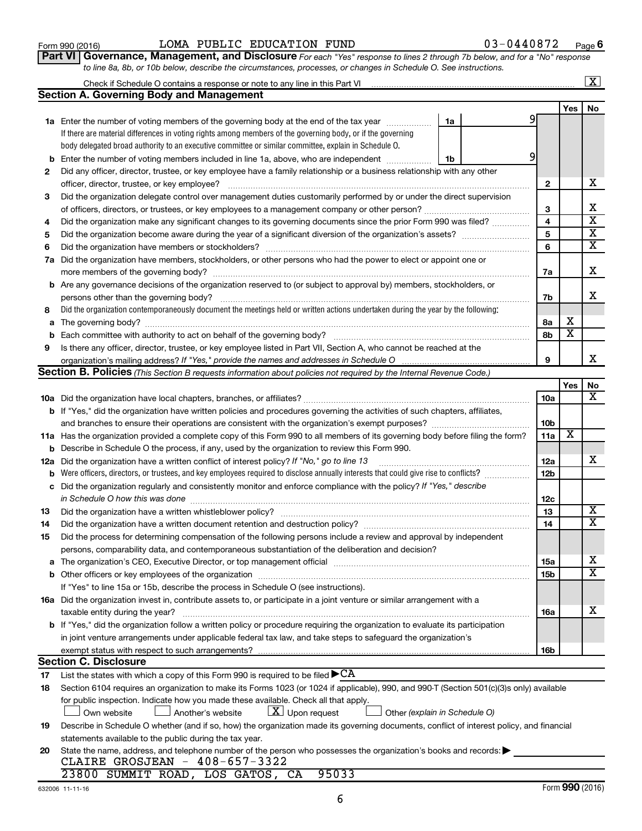|  |  | ٧ |
|--|--|---|
|  |  |   |

**2**

**9**

|  | ™ 990 (2016) |
|--|--------------|

|     | and branches to ensure their operations are consistent with the organization's exempt purposes?                                                                                                                         | 10 <sub>b</sub> |                         |                         |
|-----|-------------------------------------------------------------------------------------------------------------------------------------------------------------------------------------------------------------------------|-----------------|-------------------------|-------------------------|
|     | 11a Has the organization provided a complete copy of this Form 990 to all members of its governing body before filing the form?                                                                                         | 11a             | $\overline{\mathbf{X}}$ |                         |
|     | <b>b</b> Describe in Schedule O the process, if any, used by the organization to review this Form 990.                                                                                                                  |                 |                         |                         |
| 12a | Did the organization have a written conflict of interest policy? If "No," go to line 13                                                                                                                                 | 12a             |                         | x                       |
| b   |                                                                                                                                                                                                                         | 12 <sub>b</sub> |                         |                         |
| c   | Did the organization regularly and consistently monitor and enforce compliance with the policy? If "Yes," describe<br>in Schedule O how this was done                                                                   | 12c             |                         |                         |
| 13  |                                                                                                                                                                                                                         | 13              |                         | $\overline{\textbf{X}}$ |
| 14  | Did the organization have a written document retention and destruction policy?                                                                                                                                          | 14              |                         | X                       |
| 15  | Did the process for determining compensation of the following persons include a review and approval by independent<br>persons, comparability data, and contemporaneous substantiation of the deliberation and decision? |                 |                         |                         |
| a   | The organization's CEO, Executive Director, or top management official                                                                                                                                                  | 15a             |                         | x                       |
|     |                                                                                                                                                                                                                         | 15b             |                         | X                       |
|     | If "Yes" to line 15a or 15b, describe the process in Schedule O (see instructions).                                                                                                                                     |                 |                         |                         |
|     | <b>16a</b> Did the organization invest in, contribute assets to, or participate in a joint venture or similar arrangement with a                                                                                        |                 |                         |                         |
|     | taxable entity during the year?                                                                                                                                                                                         | 16a             |                         | x                       |
|     | <b>b</b> If "Yes," did the organization follow a written policy or procedure requiring the organization to evaluate its participation                                                                                   |                 |                         |                         |
|     | in joint venture arrangements under applicable federal tax law, and take steps to safeguard the organization's                                                                                                          |                 |                         |                         |
|     |                                                                                                                                                                                                                         | 16 <sub>b</sub> |                         |                         |
|     | <b>Section C. Disclosure</b>                                                                                                                                                                                            |                 |                         |                         |
| 17  | List the states with which a copy of this Form 990 is required to be filed $\blacktriangleright$ CA                                                                                                                     |                 |                         |                         |
| 18  | Section 6104 requires an organization to make its Forms 1023 (or 1024 if applicable), 990, and 990-T (Section 501(c)(3)s only) available                                                                                |                 |                         |                         |
|     | for public inspection. Indicate how you made these available. Check all that apply.<br>$ \mathbf{X} $ Upon request<br>Another's website<br>Own website<br>Other (explain in Schedule O)                                 |                 |                         |                         |
| 19  | Describe in Schedule O whether (and if so, how) the organization made its governing documents, conflict of interest policy, and financial                                                                               |                 |                         |                         |
|     | statements available to the public during the tax year.                                                                                                                                                                 |                 |                         |                         |
| 20  | State the name, address, and telephone number of the person who possesses the organization's books and records:<br>CLAIRE GROSJEAN - 408-657-3322                                                                       |                 |                         |                         |
|     | 95033<br>23800 SUMMIT ROAD, LOS GATOS, CA                                                                                                                                                                               |                 |                         |                         |
|     | 632006 11-11-16                                                                                                                                                                                                         |                 |                         | Form 990 (2016)         |
|     | 6                                                                                                                                                                                                                       |                 |                         |                         |
|     |                                                                                                                                                                                                                         |                 |                         |                         |

#### **3 4 5 6 7 2 3 4 5 6 7a 7b a b** officer, director, trustee, or key employee? ~~~~~~~~~~~~~~~~~~~~~~~~~~~~~~~~~~~~~~~~ Did the organization delegate control over management duties customarily performed by or under the direct supervision of officers, directors, or trustees, or key employees to a management company or other person?~~~~~~~~~~~~~~ Did the organization make any significant changes to its governing documents since the prior Form 990 was filed? ............... Did the organization become aware during the year of a significant diversion of the organization's assets? ~~~~~~~~~ Did the organization have members or stockholders? ~~~~~~~~~~~~~~~~~~~~~~~~~~~~~~~~~~~ Did the organization have members, stockholders, or other persons who had the power to elect or appoint one or more members of the governing body? Are any governance decisions of the organization reserved to (or subject to approval by) members, stockholders, or persons other than the governing body? ~~~~~~~~~~~~~~~~~~~~~~~~~~~~~~~~~~~~~~~~~~ ~~~~~~~~~~~~~~~~~~~~~~~~~~~~~~~~~~~~~~~~~

| 7a Did the organization have members, stockholders, or other persons who had the power to elect or appoint one or                   |    |  |
|-------------------------------------------------------------------------------------------------------------------------------------|----|--|
| more members of the governing body?                                                                                                 | 7a |  |
| <b>b</b> Are any governance decisions of the organization reserved to (or subject to approval by) members, stockholders, or         |    |  |
| persons other than the governing body?                                                                                              | 7h |  |
| 8 Did the organization contemporaneously document the meetings held or written actions undertaken during the year by the following: |    |  |

| . The main and any product in the control of a contribution of an extra the main main the person as energy who entered           |  |
|----------------------------------------------------------------------------------------------------------------------------------|--|
| more members of the governing body?                                                                                              |  |
| <b>b</b> Are any governance decisions of the organization reserved to (or subject to approval by) members, stockholders, or      |  |
| persons other than the governing body?                                                                                           |  |
| Did the organization contemporaneously document the meetings held or written actions undertaken during the year by the following |  |

|   | persons other than the governing body?                                                                                            |  |  |
|---|-----------------------------------------------------------------------------------------------------------------------------------|--|--|
| 8 | Did the organization contemporaneously document the meetings held or written actions undertaken during the vear by the following: |  |  |
|   | <b>a</b> The governing body?                                                                                                      |  |  |
|   | <b>b</b> Each committee with authority to act on behalf of the governing body?                                                    |  |  |

|                                                                                                                                     |          | <b>Yes</b> | ∣ No |
|-------------------------------------------------------------------------------------------------------------------------------------|----------|------------|------|
| <b>10a</b> Did the organization have local chapters, branches, or affiliates?                                                       | 10a      |            |      |
| <b>b</b> If "Yes," did the organization have written policies and procedures governing the activities of such chapters, affiliates, |          |            |      |
|                                                                                                                                     | $\cdots$ |            |      |

organization's mailing address? If "Yes," provide the names and addresses in Schedule O manument content content

**Section B. Policies** (This Section B requests information about policies not required by the Internal Revenue Code.)

Is there any officer, director, trustee, or key employee listed in Part VII, Section A, who cannot be reached at the

|  | LOMA PUBLIC EDUCATION FUND |  |
|--|----------------------------|--|

**1a** Enter the number of voting members of the governing body at the end of the tax year *www.www.* 

Check if Schedule O contains a response or note to any line in this Part VI

**Section A. Governing Body and Management**

If there are material differences in voting rights among members of the governing body, or if the governing body delegated broad authority to an executive committee or similar committee, explain in Schedule O.

**b** Enter the number of voting members included in line 1a, above, who are independent  $\ldots$ 

Did any officer, director, trustee, or key employee have a family relationship or a business relationship with any other

9

9

**9**

**1a**

**1b**

**Yes No**

 $\boxed{\text{X}}$ 

X

X X  $\overline{\text{X}}$  $\overline{\texttt{x}}$ 

X

X

X

| Form 990 (2016) |  | LOMA PUBLIC EDUCATION FUND                                                                                                         | 03-0440872 | Pag |
|-----------------|--|------------------------------------------------------------------------------------------------------------------------------------|------------|-----|
|                 |  | <b>Part VI Governance, Management, and Disclosure</b> For each "Yes" response to lines 2 through 7b below, and for a "No" response |            |     |
|                 |  | to line 8a, 8b, or 10b below, describe the circumstances, processes, or changes in Schedule O. See instructions.                   |            |     |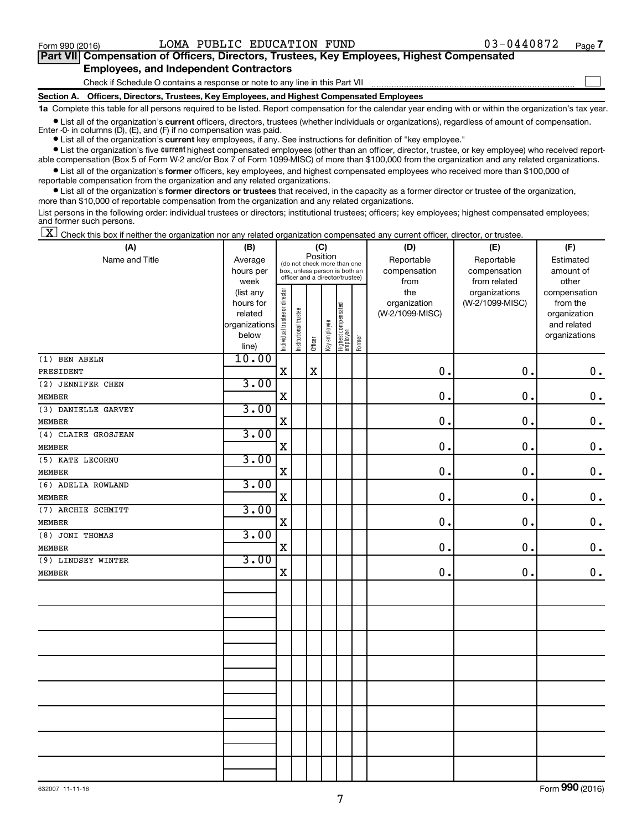$\Box$ 

| Part VII Compensation of Officers, Directors, Trustees, Key Employees, Highest Compensated |  |  |  |  |
|--------------------------------------------------------------------------------------------|--|--|--|--|
| <b>Employees, and Independent Contractors</b>                                              |  |  |  |  |

Check if Schedule O contains a response or note to any line in this Part VII

**Section A. Officers, Directors, Trustees, Key Employees, and Highest Compensated Employees**

**1a**  Complete this table for all persons required to be listed. Report compensation for the calendar year ending with or within the organization's tax year.

**•** List all of the organization's current officers, directors, trustees (whether individuals or organizations), regardless of amount of compensation. Enter -0- in columns  $(D)$ ,  $(E)$ , and  $(F)$  if no compensation was paid.

**•** List all of the organization's **current** key employees, if any. See instructions for definition of "key employee."

**•** List the organization's five current highest compensated employees (other than an officer, director, trustee, or key employee) who received reportable compensation (Box 5 of Form W-2 and/or Box 7 of Form 1099-MISC) of more than \$100,000 from the organization and any related organizations.

**•** List all of the organization's former officers, key employees, and highest compensated employees who received more than \$100,000 of reportable compensation from the organization and any related organizations.

**•** List all of the organization's former directors or trustees that received, in the capacity as a former director or trustee of the organization, more than \$10,000 of reportable compensation from the organization and any related organizations.

List persons in the following order: individual trustees or directors; institutional trustees; officers; key employees; highest compensated employees; and former such persons.

 $\boxed{\textbf{X}}$  Check this box if neither the organization nor any related organization compensated any current officer, director, or trustee.

| (A)                 | (B)            |                                |                       | (C)         |              |                                                                  |        | (D)             | (E)             | (F)           |
|---------------------|----------------|--------------------------------|-----------------------|-------------|--------------|------------------------------------------------------------------|--------|-----------------|-----------------|---------------|
| Name and Title      | Average        |                                |                       | Position    |              | (do not check more than one                                      |        | Reportable      | Reportable      | Estimated     |
|                     | hours per      |                                |                       |             |              | box, unless person is both an<br>officer and a director/trustee) |        | compensation    | compensation    | amount of     |
|                     | week           |                                |                       |             |              |                                                                  |        | from            | from related    | other         |
|                     | (list any      |                                |                       |             |              |                                                                  |        | the             | organizations   | compensation  |
|                     | hours for      |                                |                       |             |              |                                                                  |        | organization    | (W-2/1099-MISC) | from the      |
|                     | related        |                                |                       |             |              |                                                                  |        | (W-2/1099-MISC) |                 | organization  |
|                     | organizations  |                                |                       |             |              |                                                                  |        |                 |                 | and related   |
|                     | below<br>line) | Individual trustee or director | Institutional trustee | Officer     | Key employee | Highest compensated<br>employee                                  | Former |                 |                 | organizations |
| (1) BEN ABELN       | 10.00          |                                |                       |             |              |                                                                  |        |                 |                 |               |
| PRESIDENT           |                | X                              |                       | $\mathbf X$ |              |                                                                  |        | 0.              | $\mathbf 0$ .   | $\mathbf 0$ . |
| (2) JENNIFER CHEN   | 3.00           |                                |                       |             |              |                                                                  |        |                 |                 |               |
| <b>MEMBER</b>       |                | $\mathbf X$                    |                       |             |              |                                                                  |        | 0.              | 0.              | $\mathbf 0$ . |
| (3) DANIELLE GARVEY | 3.00           |                                |                       |             |              |                                                                  |        |                 |                 |               |
| <b>MEMBER</b>       |                | $\mathbf X$                    |                       |             |              |                                                                  |        | 0.              | 0.              | $\mathbf 0$ . |
| (4) CLAIRE GROSJEAN | 3.00           |                                |                       |             |              |                                                                  |        |                 |                 |               |
| MEMBER              |                | $\mathbf X$                    |                       |             |              |                                                                  |        | 0.              | 0.              | $\mathbf 0$ . |
| (5) KATE LECORNU    | 3.00           |                                |                       |             |              |                                                                  |        |                 |                 |               |
| <b>MEMBER</b>       |                | $\mathbf X$                    |                       |             |              |                                                                  |        | 0.              | 0.              | $\mathbf 0$ . |
| (6) ADELIA ROWLAND  | 3.00           |                                |                       |             |              |                                                                  |        |                 |                 |               |
| <b>MEMBER</b>       |                | $\mathbf X$                    |                       |             |              |                                                                  |        | $\mathbf 0$ .   | 0.              | $\mathbf 0$ . |
| (7) ARCHIE SCHMITT  | 3.00           |                                |                       |             |              |                                                                  |        |                 |                 |               |
| <b>MEMBER</b>       |                | $\mathbf X$                    |                       |             |              |                                                                  |        | 0.              | $\mathbf 0$ .   | $\mathbf 0$ . |
| (8) JONI THOMAS     | 3.00           |                                |                       |             |              |                                                                  |        |                 |                 |               |
| <b>MEMBER</b>       |                | $\mathbf X$                    |                       |             |              |                                                                  |        | 0.              | 0.              | $\mathbf 0$ . |
| (9) LINDSEY WINTER  | 3.00           |                                |                       |             |              |                                                                  |        |                 |                 |               |
| <b>MEMBER</b>       |                | $\mathbf X$                    |                       |             |              |                                                                  |        | 0.              | 0.              | $\mathbf 0$ . |
|                     |                |                                |                       |             |              |                                                                  |        |                 |                 |               |
|                     |                |                                |                       |             |              |                                                                  |        |                 |                 |               |
|                     |                |                                |                       |             |              |                                                                  |        |                 |                 |               |
|                     |                |                                |                       |             |              |                                                                  |        |                 |                 |               |
|                     |                |                                |                       |             |              |                                                                  |        |                 |                 |               |
|                     |                |                                |                       |             |              |                                                                  |        |                 |                 |               |
|                     |                |                                |                       |             |              |                                                                  |        |                 |                 |               |
|                     |                |                                |                       |             |              |                                                                  |        |                 |                 |               |
|                     |                |                                |                       |             |              |                                                                  |        |                 |                 |               |
|                     |                |                                |                       |             |              |                                                                  |        |                 |                 |               |
|                     |                |                                |                       |             |              |                                                                  |        |                 |                 |               |
|                     |                |                                |                       |             |              |                                                                  |        |                 |                 |               |
|                     |                |                                |                       |             |              |                                                                  |        |                 |                 |               |
|                     |                |                                |                       |             |              |                                                                  |        |                 |                 |               |

Form (2016) **990**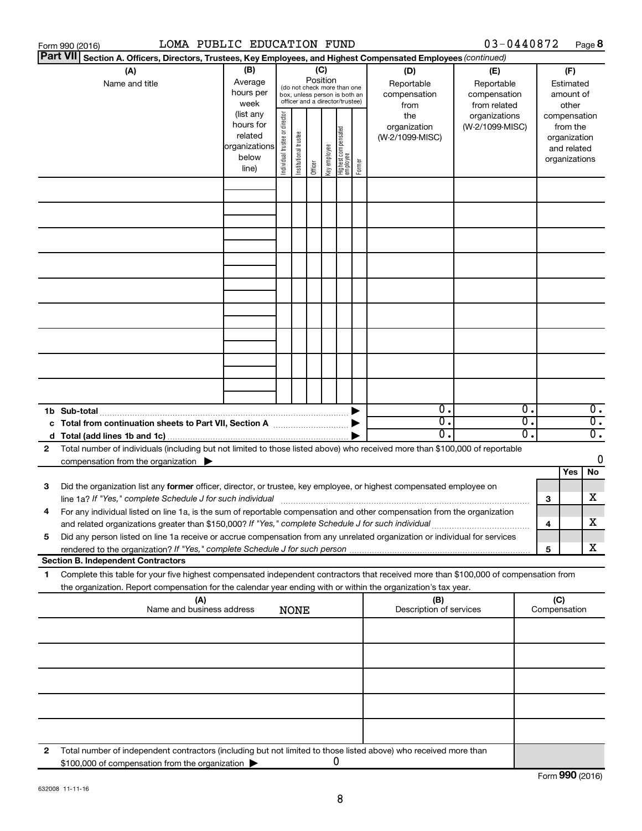|                 | LOMA PUBLIC EDUCATION FUND<br>Form 990 (2016)                                                                                                                                                                                                                      |                                                         |                                |                       |                 |              |                                                                                                 |        |                                                  | 03-0440872                                                         |    |                                         | Page 8           |
|-----------------|--------------------------------------------------------------------------------------------------------------------------------------------------------------------------------------------------------------------------------------------------------------------|---------------------------------------------------------|--------------------------------|-----------------------|-----------------|--------------|-------------------------------------------------------------------------------------------------|--------|--------------------------------------------------|--------------------------------------------------------------------|----|-----------------------------------------|------------------|
| <b>Part VII</b> | Section A. Officers, Directors, Trustees, Key Employees, and Highest Compensated Employees (continued)                                                                                                                                                             |                                                         |                                |                       |                 |              |                                                                                                 |        |                                                  |                                                                    |    |                                         |                  |
|                 | (A)<br>Name and title                                                                                                                                                                                                                                              | (B)<br>Average<br>hours per<br>week<br>(list any        |                                |                       | (C)<br>Position |              | (do not check more than one<br>box, unless person is both an<br>officer and a director/trustee) |        | (D)<br>Reportable<br>compensation<br>from<br>the | (E)<br>Reportable<br>compensation<br>from related<br>organizations |    | (F)<br>Estimated<br>amount of<br>other  | compensation     |
|                 |                                                                                                                                                                                                                                                                    | hours for<br>related<br>organizations<br>below<br>line) | Individual trustee or director | Institutional trustee | Officer         | Key employee | Highest compensated<br>  employee                                                               | Former | organization<br>(W-2/1099-MISC)                  | (W-2/1099-MISC)                                                    |    | from the<br>organization<br>and related | organizations    |
|                 |                                                                                                                                                                                                                                                                    |                                                         |                                |                       |                 |              |                                                                                                 |        |                                                  |                                                                    |    |                                         |                  |
|                 |                                                                                                                                                                                                                                                                    |                                                         |                                |                       |                 |              |                                                                                                 |        |                                                  |                                                                    |    |                                         |                  |
|                 |                                                                                                                                                                                                                                                                    |                                                         |                                |                       |                 |              |                                                                                                 |        |                                                  |                                                                    |    |                                         |                  |
|                 |                                                                                                                                                                                                                                                                    |                                                         |                                |                       |                 |              |                                                                                                 |        |                                                  |                                                                    |    |                                         |                  |
|                 |                                                                                                                                                                                                                                                                    |                                                         |                                |                       |                 |              |                                                                                                 |        |                                                  |                                                                    |    |                                         |                  |
|                 |                                                                                                                                                                                                                                                                    |                                                         |                                |                       |                 |              |                                                                                                 |        |                                                  |                                                                    |    |                                         |                  |
|                 |                                                                                                                                                                                                                                                                    |                                                         |                                |                       |                 |              |                                                                                                 |        |                                                  |                                                                    |    |                                         |                  |
|                 |                                                                                                                                                                                                                                                                    |                                                         |                                |                       |                 |              |                                                                                                 |        |                                                  |                                                                    |    |                                         |                  |
|                 |                                                                                                                                                                                                                                                                    |                                                         |                                |                       |                 |              |                                                                                                 |        | $\overline{0}$ .                                 |                                                                    | Ο. |                                         | $\overline{0}$ . |
|                 |                                                                                                                                                                                                                                                                    |                                                         |                                |                       |                 |              |                                                                                                 |        | σ.                                               |                                                                    | σ. |                                         | $\overline{0}$ . |
|                 |                                                                                                                                                                                                                                                                    |                                                         |                                |                       |                 |              |                                                                                                 |        | $\overline{0}$ .                                 |                                                                    | Ο. |                                         | $\overline{0}$ . |
| 2               | Total number of individuals (including but not limited to those listed above) who received more than \$100,000 of reportable<br>compensation from the organization $\blacktriangleright$                                                                           |                                                         |                                |                       |                 |              |                                                                                                 |        |                                                  |                                                                    |    |                                         | 0                |
|                 |                                                                                                                                                                                                                                                                    |                                                         |                                |                       |                 |              |                                                                                                 |        |                                                  |                                                                    |    | Yes                                     | No               |
| 3               | Did the organization list any former officer, director, or trustee, key employee, or highest compensated employee on<br>line 1a? If "Yes," complete Schedule J for such individual manufacture content to the set of the set of the schedule J for such individual |                                                         |                                |                       |                 |              |                                                                                                 |        |                                                  |                                                                    | З  |                                         | x                |
|                 | For any individual listed on line 1a, is the sum of reportable compensation and other compensation from the organization<br>and related organizations greater than \$150,000? If "Yes," complete Schedule J for such individual                                    |                                                         |                                |                       |                 |              |                                                                                                 |        |                                                  |                                                                    |    | 4                                       | х                |
| 5               | Did any person listed on line 1a receive or accrue compensation from any unrelated organization or individual for services                                                                                                                                         |                                                         |                                |                       |                 |              |                                                                                                 |        |                                                  |                                                                    |    | 5                                       | x                |
|                 | <b>Section B. Independent Contractors</b>                                                                                                                                                                                                                          |                                                         |                                |                       |                 |              |                                                                                                 |        |                                                  |                                                                    |    |                                         |                  |
| 1               | Complete this table for your five highest compensated independent contractors that received more than \$100,000 of compensation from<br>the organization. Report compensation for the calendar year ending with or within the organization's tax year.             |                                                         |                                |                       |                 |              |                                                                                                 |        |                                                  |                                                                    |    |                                         |                  |
|                 | (A)<br>Name and business address                                                                                                                                                                                                                                   |                                                         |                                | <b>NONE</b>           |                 |              |                                                                                                 |        | (B)<br>Description of services                   |                                                                    |    | (C)<br>Compensation                     |                  |
|                 |                                                                                                                                                                                                                                                                    |                                                         |                                |                       |                 |              |                                                                                                 |        |                                                  |                                                                    |    |                                         |                  |
|                 |                                                                                                                                                                                                                                                                    |                                                         |                                |                       |                 |              |                                                                                                 |        |                                                  |                                                                    |    |                                         |                  |
|                 |                                                                                                                                                                                                                                                                    |                                                         |                                |                       |                 |              |                                                                                                 |        |                                                  |                                                                    |    |                                         |                  |
|                 |                                                                                                                                                                                                                                                                    |                                                         |                                |                       |                 |              |                                                                                                 |        |                                                  |                                                                    |    |                                         |                  |
|                 |                                                                                                                                                                                                                                                                    |                                                         |                                |                       |                 |              |                                                                                                 |        |                                                  |                                                                    |    |                                         |                  |
| 2               | Total number of independent contractors (including but not limited to those listed above) who received more than<br>\$100,000 of compensation from the organization >                                                                                              |                                                         |                                |                       |                 |              | 0                                                                                               |        |                                                  |                                                                    |    |                                         |                  |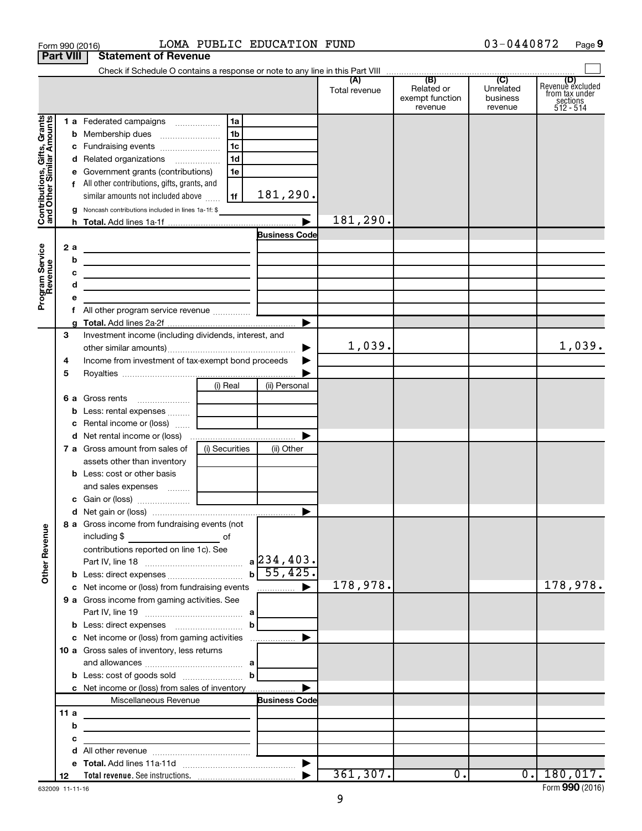|                                                           | Form 990 (2016)  |                                                                                                                       |                | LOMA PUBLIC EDUCATION FUND |                      |                                                 | 03-0440872                                         | Page 9                                                      |
|-----------------------------------------------------------|------------------|-----------------------------------------------------------------------------------------------------------------------|----------------|----------------------------|----------------------|-------------------------------------------------|----------------------------------------------------|-------------------------------------------------------------|
|                                                           | <b>Part VIII</b> | <b>Statement of Revenue</b>                                                                                           |                |                            |                      |                                                 |                                                    |                                                             |
|                                                           |                  |                                                                                                                       |                |                            |                      |                                                 |                                                    |                                                             |
|                                                           |                  |                                                                                                                       |                |                            | (A)<br>Total revenue | (B)<br>Related or<br>exempt function<br>revenue | $\overline{C}$<br>Unrelated<br>business<br>revenue | Revenue excluded<br>from tax under<br>sections<br>512 - 514 |
|                                                           |                  | 1 a Federated campaigns                                                                                               | 1a             |                            |                      |                                                 |                                                    |                                                             |
|                                                           |                  |                                                                                                                       | 1 <sub>b</sub> |                            |                      |                                                 |                                                    |                                                             |
|                                                           |                  | c Fundraising events                                                                                                  | l 1c           |                            |                      |                                                 |                                                    |                                                             |
|                                                           |                  | d Related organizations                                                                                               | 1 <sub>d</sub> |                            |                      |                                                 |                                                    |                                                             |
|                                                           |                  | e Government grants (contributions)                                                                                   | 1e             |                            |                      |                                                 |                                                    |                                                             |
|                                                           |                  | f All other contributions, gifts, grants, and                                                                         |                |                            |                      |                                                 |                                                    |                                                             |
| Contributions, Gifts, Grants<br>and Other Similar Amounts |                  | similar amounts not included above                                                                                    | 1f             | 181,290.                   |                      |                                                 |                                                    |                                                             |
|                                                           |                  | Noncash contributions included in lines 1a-1f: \$                                                                     |                |                            |                      |                                                 |                                                    |                                                             |
|                                                           |                  |                                                                                                                       |                | $\blacktriangleright$      | 181,290.             |                                                 |                                                    |                                                             |
|                                                           |                  |                                                                                                                       |                | <b>Business Code</b>       |                      |                                                 |                                                    |                                                             |
| Program Service<br>Revenue                                | 2 a              | <u> 1989 - Johann Barbara, martin a</u>                                                                               |                |                            |                      |                                                 |                                                    |                                                             |
|                                                           | b                | the contract of the contract of the contract of the contract of the contract of                                       |                |                            |                      |                                                 |                                                    |                                                             |
|                                                           | с                | <u> 1989 - Johann Barbara, martin amerikan basar dan berasal dalam basar dalam basar dalam basar dalam basar dala</u> |                |                            |                      |                                                 |                                                    |                                                             |
|                                                           | d                | the control of the control of the control of the control of the control of                                            |                |                            |                      |                                                 |                                                    |                                                             |
|                                                           | е<br>f.          |                                                                                                                       |                |                            |                      |                                                 |                                                    |                                                             |
|                                                           |                  |                                                                                                                       |                | ▶                          |                      |                                                 |                                                    |                                                             |
|                                                           | З                | Investment income (including dividends, interest, and                                                                 |                |                            |                      |                                                 |                                                    |                                                             |
|                                                           |                  |                                                                                                                       |                | ▶                          | 1,039.               |                                                 |                                                    | 1,039.                                                      |
|                                                           | 4                | Income from investment of tax-exempt bond proceeds                                                                    |                |                            |                      |                                                 |                                                    |                                                             |
|                                                           | 5                |                                                                                                                       |                |                            |                      |                                                 |                                                    |                                                             |
|                                                           |                  |                                                                                                                       | (i) Real       | (ii) Personal              |                      |                                                 |                                                    |                                                             |
|                                                           |                  |                                                                                                                       |                |                            |                      |                                                 |                                                    |                                                             |
|                                                           |                  |                                                                                                                       |                |                            |                      |                                                 |                                                    |                                                             |
|                                                           |                  | c Rental income or (loss)                                                                                             |                |                            |                      |                                                 |                                                    |                                                             |
|                                                           |                  |                                                                                                                       |                | ▶                          |                      |                                                 |                                                    |                                                             |
|                                                           |                  | 7 a Gross amount from sales of                                                                                        | (i) Securities | (ii) Other                 |                      |                                                 |                                                    |                                                             |
|                                                           |                  | assets other than inventory                                                                                           |                |                            |                      |                                                 |                                                    |                                                             |
|                                                           |                  | <b>b</b> Less: cost or other basis                                                                                    |                |                            |                      |                                                 |                                                    |                                                             |
|                                                           |                  |                                                                                                                       |                |                            |                      |                                                 |                                                    |                                                             |
|                                                           |                  |                                                                                                                       |                |                            |                      |                                                 |                                                    |                                                             |
|                                                           |                  |                                                                                                                       |                |                            |                      |                                                 |                                                    |                                                             |
|                                                           |                  | 8 a Gross income from fundraising events (not                                                                         |                |                            |                      |                                                 |                                                    |                                                             |
|                                                           |                  | including \$<br><u>and the state of</u> the state of                                                                  |                |                            |                      |                                                 |                                                    |                                                             |
|                                                           |                  | contributions reported on line 1c). See                                                                               |                |                            |                      |                                                 |                                                    |                                                             |
| <b>Other Revenue</b>                                      |                  |                                                                                                                       |                |                            |                      |                                                 |                                                    |                                                             |
|                                                           |                  | c Net income or (loss) from fundraising events                                                                        |                |                            | 178,978.             |                                                 |                                                    | 178,978.                                                    |
|                                                           |                  | 9 a Gross income from gaming activities. See                                                                          |                |                            |                      |                                                 |                                                    |                                                             |
|                                                           |                  |                                                                                                                       |                |                            |                      |                                                 |                                                    |                                                             |
|                                                           |                  |                                                                                                                       | bl             |                            |                      |                                                 |                                                    |                                                             |
|                                                           |                  |                                                                                                                       |                |                            |                      |                                                 |                                                    |                                                             |
|                                                           |                  | 10 a Gross sales of inventory, less returns                                                                           |                |                            |                      |                                                 |                                                    |                                                             |
|                                                           |                  |                                                                                                                       |                |                            |                      |                                                 |                                                    |                                                             |
|                                                           |                  | <b>b</b> Less: cost of goods sold $\ldots$ <b>b</b>                                                                   |                |                            |                      |                                                 |                                                    |                                                             |
|                                                           |                  | c Net income or (loss) from sales of inventory                                                                        |                | ▶                          |                      |                                                 |                                                    |                                                             |
|                                                           |                  | Miscellaneous Revenue                                                                                                 |                | <b>Business Code</b>       |                      |                                                 |                                                    |                                                             |
|                                                           | 11a              |                                                                                                                       |                |                            |                      |                                                 |                                                    |                                                             |
|                                                           | b                |                                                                                                                       |                |                            |                      |                                                 |                                                    |                                                             |
|                                                           | с                | <u> 1989 - Johann Barn, fransk politik (d. 1989)</u>                                                                  |                |                            |                      |                                                 |                                                    |                                                             |
|                                                           | d                |                                                                                                                       |                |                            |                      |                                                 |                                                    |                                                             |
|                                                           |                  |                                                                                                                       |                |                            |                      |                                                 |                                                    |                                                             |
|                                                           | 12               |                                                                                                                       |                |                            | 361, 307.            | $\overline{0}$ .                                |                                                    | $0.$   180,017.                                             |

03-0440872 Page 9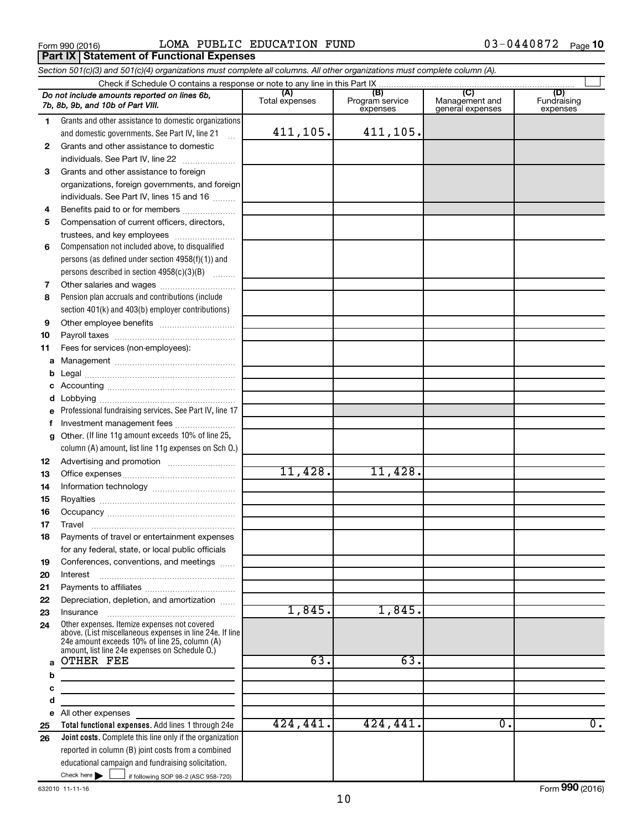Form 990 (2016)  $LOMA$  PUBLIC EDUCATION FUND  $03-0440872$  Page **Part IX Statement of Functional Expenses**

*Section 501(c)(3) and 501(c)(4) organizations must complete all columns. All other organizations must complete column (A).*

|        | Do not include amounts reported on lines 6b,<br>7b, 8b, 9b, and 10b of Part VIII.                        | (A)<br>Total expenses | (B)<br>Program service<br>expenses | (C)<br>Management and<br>general expenses | (D)<br>Fundraising<br>expenses |
|--------|----------------------------------------------------------------------------------------------------------|-----------------------|------------------------------------|-------------------------------------------|--------------------------------|
| 1.     | Grants and other assistance to domestic organizations                                                    |                       |                                    |                                           |                                |
|        | and domestic governments. See Part IV, line 21                                                           | 411,105.              | 411,105.                           |                                           |                                |
| 2      | Grants and other assistance to domestic                                                                  |                       |                                    |                                           |                                |
|        | individuals. See Part IV, line 22                                                                        |                       |                                    |                                           |                                |
| 3      | Grants and other assistance to foreign                                                                   |                       |                                    |                                           |                                |
|        | organizations, foreign governments, and foreign                                                          |                       |                                    |                                           |                                |
|        | individuals. See Part IV, lines 15 and 16                                                                |                       |                                    |                                           |                                |
| 4      | Benefits paid to or for members                                                                          |                       |                                    |                                           |                                |
| 5      | Compensation of current officers, directors,                                                             |                       |                                    |                                           |                                |
|        | trustees, and key employees                                                                              |                       |                                    |                                           |                                |
| 6      | Compensation not included above, to disqualified                                                         |                       |                                    |                                           |                                |
|        | persons (as defined under section 4958(f)(1)) and                                                        |                       |                                    |                                           |                                |
|        | persons described in section 4958(c)(3)(B)                                                               |                       |                                    |                                           |                                |
| 7      |                                                                                                          |                       |                                    |                                           |                                |
| 8      | Pension plan accruals and contributions (include                                                         |                       |                                    |                                           |                                |
|        | section 401(k) and 403(b) employer contributions)                                                        |                       |                                    |                                           |                                |
| 9      |                                                                                                          |                       |                                    |                                           |                                |
| 10     |                                                                                                          |                       |                                    |                                           |                                |
| 11     | Fees for services (non-employees):                                                                       |                       |                                    |                                           |                                |
| a      |                                                                                                          |                       |                                    |                                           |                                |
| b      |                                                                                                          |                       |                                    |                                           |                                |
|        |                                                                                                          |                       |                                    |                                           |                                |
| d      |                                                                                                          |                       |                                    |                                           |                                |
|        | Professional fundraising services. See Part IV, line 17                                                  |                       |                                    |                                           |                                |
| f<br>g | Investment management fees<br>Other. (If line 11g amount exceeds 10% of line 25,                         |                       |                                    |                                           |                                |
|        | column (A) amount, list line 11g expenses on Sch O.)                                                     |                       |                                    |                                           |                                |
| 12     |                                                                                                          |                       |                                    |                                           |                                |
| 13     |                                                                                                          | 11,428.               | 11,428.                            |                                           |                                |
| 14     |                                                                                                          |                       |                                    |                                           |                                |
| 15     |                                                                                                          |                       |                                    |                                           |                                |
| 16     |                                                                                                          |                       |                                    |                                           |                                |
| 17     | Travel                                                                                                   |                       |                                    |                                           |                                |
| 18     | Payments of travel or entertainment expenses                                                             |                       |                                    |                                           |                                |
|        | for any federal, state, or local public officials                                                        |                       |                                    |                                           |                                |
| 19     | Conferences, conventions, and meetings                                                                   |                       |                                    |                                           |                                |
| 20     | Interest                                                                                                 |                       |                                    |                                           |                                |
| 21     |                                                                                                          |                       |                                    |                                           |                                |
| 22     | Depreciation, depletion, and amortization                                                                |                       |                                    |                                           |                                |
| 23     | Insurance                                                                                                | 1,845.                | 1,845.                             |                                           |                                |
| 24     | Other expenses. Itemize expenses not covered<br>above. (List miscellaneous expenses in line 24e. If line |                       |                                    |                                           |                                |
|        | 24e amount exceeds 10% of line 25, column (A)                                                            |                       |                                    |                                           |                                |
| a      | amount, list line 24e expenses on Schedule O.)<br><b>OTHER FEE</b>                                       | 63.                   | 63.                                |                                           |                                |
| b      |                                                                                                          |                       |                                    |                                           |                                |
| с      | the control of the control of the control of the control of                                              |                       |                                    |                                           |                                |
| d      | the control of the control of the control of the control of the control of                               |                       |                                    |                                           |                                |
|        | e All other expenses                                                                                     |                       |                                    |                                           |                                |
| 25     | Total functional expenses. Add lines 1 through 24e                                                       | 424,441.              | 424, 441.                          | ο.                                        | $\overline{0}$ .               |
| 26     | <b>Joint costs.</b> Complete this line only if the organization                                          |                       |                                    |                                           |                                |
|        | reported in column (B) joint costs from a combined                                                       |                       |                                    |                                           |                                |
|        | educational campaign and fundraising solicitation.                                                       |                       |                                    |                                           |                                |
|        | Check here $\blacktriangleright$<br>if following SOP 98-2 (ASC 958-720)                                  |                       |                                    |                                           |                                |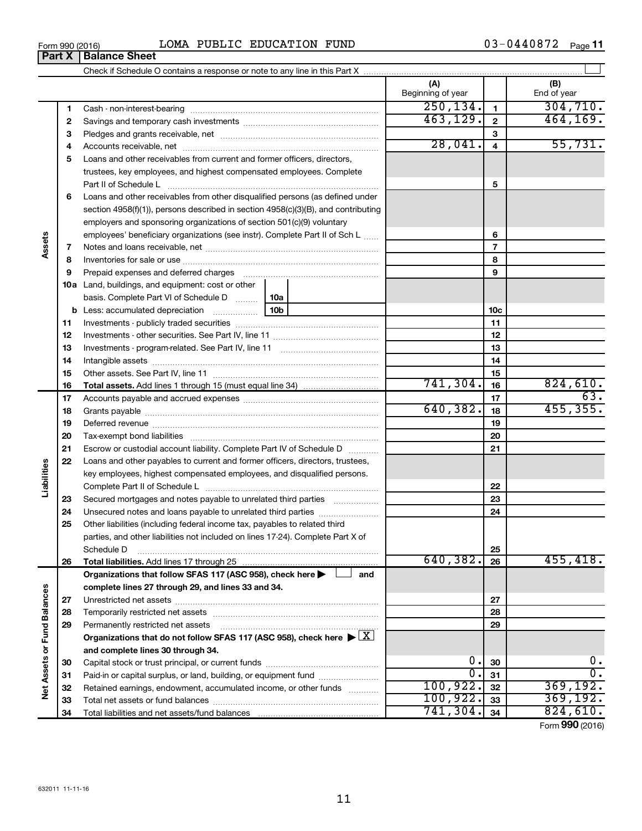| 0440872<br>LOMA<br>PUBLIC<br><b>EDUCATION</b><br>FUND<br>Form 990 (2016) | Page |
|--------------------------------------------------------------------------|------|
|--------------------------------------------------------------------------|------|

|                             |    |                                                                                                                                                                                                                                | (A)<br>Beginning of year |                         | (B)<br>End of year |
|-----------------------------|----|--------------------------------------------------------------------------------------------------------------------------------------------------------------------------------------------------------------------------------|--------------------------|-------------------------|--------------------|
|                             | 1  |                                                                                                                                                                                                                                | 250, 134.                | $\blacksquare$          | 304, 710.          |
|                             | 2  |                                                                                                                                                                                                                                | 463, 129.                | $\mathbf{2}$            | 464,169.           |
|                             | З  |                                                                                                                                                                                                                                |                          | З                       |                    |
|                             | 4  |                                                                                                                                                                                                                                | 28,041.                  | $\overline{\mathbf{4}}$ | 55,731.            |
|                             | 5  | Loans and other receivables from current and former officers, directors,                                                                                                                                                       |                          |                         |                    |
|                             |    | trustees, key employees, and highest compensated employees. Complete                                                                                                                                                           |                          |                         |                    |
|                             |    |                                                                                                                                                                                                                                |                          | 5                       |                    |
|                             | 6  | Loans and other receivables from other disqualified persons (as defined under                                                                                                                                                  |                          |                         |                    |
|                             |    | section 4958(f)(1)), persons described in section 4958(c)(3)(B), and contributing                                                                                                                                              |                          |                         |                    |
|                             |    | employers and sponsoring organizations of section 501(c)(9) voluntary                                                                                                                                                          |                          |                         |                    |
|                             |    | employees' beneficiary organizations (see instr). Complete Part II of Sch L                                                                                                                                                    |                          | 6                       |                    |
| Assets                      | 7  |                                                                                                                                                                                                                                |                          | 7                       |                    |
|                             | 8  |                                                                                                                                                                                                                                |                          | 8                       |                    |
|                             | 9  | Prepaid expenses and deferred charges [11] matter continuum matter and referred charges [11] matter continuum matter continuum matter and continuum matter continuum matter continuum matter continuum matter continuum matter |                          | 9                       |                    |
|                             |    | <b>10a</b> Land, buildings, and equipment: cost or other                                                                                                                                                                       |                          |                         |                    |
|                             |    | basis. Complete Part VI of Schedule D<br>10a                                                                                                                                                                                   |                          |                         |                    |
|                             |    | 10b<br><b>b</b> Less: accumulated depreciation <i></i>                                                                                                                                                                         |                          | 10 <sub>c</sub>         |                    |
|                             | 11 |                                                                                                                                                                                                                                |                          | 11                      |                    |
|                             | 12 |                                                                                                                                                                                                                                |                          | 12                      |                    |
|                             | 13 |                                                                                                                                                                                                                                |                          | 13                      |                    |
|                             | 14 |                                                                                                                                                                                                                                |                          | 14                      |                    |
|                             | 15 |                                                                                                                                                                                                                                |                          | 15                      |                    |
|                             | 16 |                                                                                                                                                                                                                                | 741, 304.                | 16                      | 824,610.           |
|                             | 17 |                                                                                                                                                                                                                                |                          | 17                      | 63.                |
|                             | 18 |                                                                                                                                                                                                                                | 640, 382.                | 18                      | 455, 355.          |
|                             | 19 |                                                                                                                                                                                                                                |                          | 19                      |                    |
|                             | 20 |                                                                                                                                                                                                                                |                          | 20                      |                    |
|                             | 21 | Escrow or custodial account liability. Complete Part IV of Schedule D                                                                                                                                                          |                          | 21                      |                    |
|                             | 22 | Loans and other payables to current and former officers, directors, trustees,                                                                                                                                                  |                          |                         |                    |
|                             |    | key employees, highest compensated employees, and disqualified persons.                                                                                                                                                        |                          |                         |                    |
| Liabilities                 |    |                                                                                                                                                                                                                                |                          | 22                      |                    |
|                             | 23 | Secured mortgages and notes payable to unrelated third parties                                                                                                                                                                 |                          | 23                      |                    |
|                             | 24 | Unsecured notes and loans payable to unrelated third parties                                                                                                                                                                   |                          | 24                      |                    |
|                             | 25 | Other liabilities (including federal income tax, payables to related third                                                                                                                                                     |                          |                         |                    |
|                             |    | parties, and other liabilities not included on lines 17-24). Complete Part X of                                                                                                                                                |                          | 25                      |                    |
|                             |    | Schedule D                                                                                                                                                                                                                     | 640,382.                 | 26                      | 455, 418.          |
|                             | 26 | Organizations that follow SFAS 117 (ASC 958), check here ><br>and                                                                                                                                                              |                          |                         |                    |
|                             |    | complete lines 27 through 29, and lines 33 and 34.                                                                                                                                                                             |                          |                         |                    |
|                             | 27 |                                                                                                                                                                                                                                |                          | 27                      |                    |
|                             | 28 |                                                                                                                                                                                                                                |                          | 28                      |                    |
|                             | 29 | Permanently restricted net assets                                                                                                                                                                                              |                          | 29                      |                    |
|                             |    | Organizations that do not follow SFAS 117 (ASC 958), check here $\blacktriangleright \boxed{X}$                                                                                                                                |                          |                         |                    |
|                             |    | and complete lines 30 through 34.                                                                                                                                                                                              |                          |                         |                    |
|                             | 30 |                                                                                                                                                                                                                                | $\mathbf 0$ .            | 30                      | 0.                 |
|                             | 31 | Paid-in or capital surplus, or land, building, or equipment fund                                                                                                                                                               | $\overline{0}$ .         | 31                      | $\overline{0}$ .   |
| Net Assets or Fund Balances | 32 | Retained earnings, endowment, accumulated income, or other funds                                                                                                                                                               | 100, 922.                | 32                      | 369, 192.          |
|                             | 33 |                                                                                                                                                                                                                                | 100, 922.                | 33                      | 369, 192.          |
|                             | 34 |                                                                                                                                                                                                                                | 741, 304.                | 34                      | 824,610.           |

Form (2016) **990**

| Form 990 (2016)               |  |  |
|-------------------------------|--|--|
| <b>Part X   Balance Sheet</b> |  |  |

 $\frac{1}{2}$ 

 $\overline{\phantom{0}}$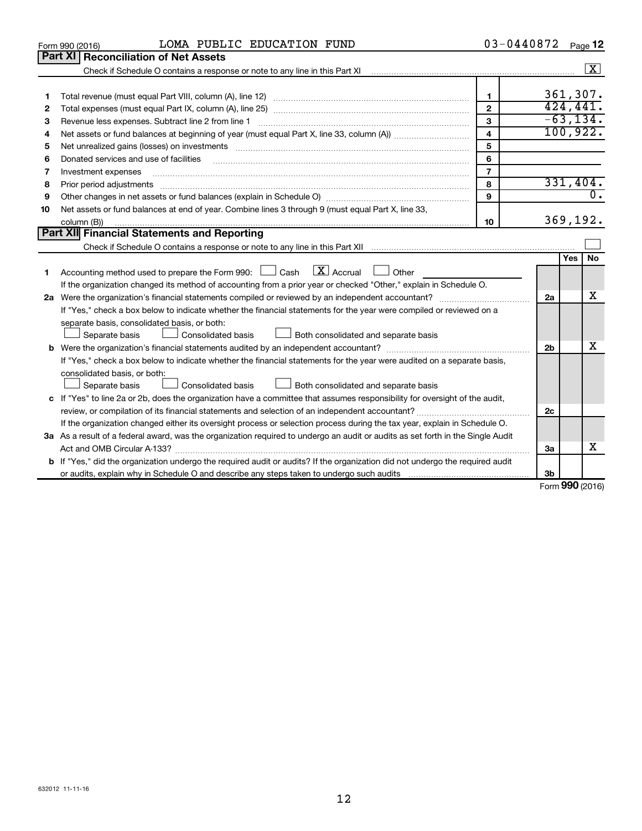|    | LOMA PUBLIC EDUCATION FUND<br>Form 990 (2016)                                                                                                                                                                                                                                                                                                                                                                                                                           | 03-0440872     |    | Page 12          |  |
|----|-------------------------------------------------------------------------------------------------------------------------------------------------------------------------------------------------------------------------------------------------------------------------------------------------------------------------------------------------------------------------------------------------------------------------------------------------------------------------|----------------|----|------------------|--|
|    | <b>Part XI</b><br><b>Reconciliation of Net Assets</b>                                                                                                                                                                                                                                                                                                                                                                                                                   |                |    |                  |  |
|    |                                                                                                                                                                                                                                                                                                                                                                                                                                                                         |                |    | $\sqrt{X}$       |  |
|    |                                                                                                                                                                                                                                                                                                                                                                                                                                                                         |                |    |                  |  |
| 1  |                                                                                                                                                                                                                                                                                                                                                                                                                                                                         | $\mathbf{1}$   |    | 361,307.         |  |
| 2  |                                                                                                                                                                                                                                                                                                                                                                                                                                                                         | $\overline{2}$ |    | 424, 441.        |  |
| 3  | Revenue less expenses. Subtract line 2 from line 1                                                                                                                                                                                                                                                                                                                                                                                                                      | 3              |    | $-63, 134.$      |  |
| 4  |                                                                                                                                                                                                                                                                                                                                                                                                                                                                         | 4              |    | 100, 922.        |  |
| 5  | Net unrealized gains (losses) on investments [11] matter than the control of the state of the state of the state of the state of the state of the state of the state of the state of the state of the state of the state of th                                                                                                                                                                                                                                          | 5              |    |                  |  |
| 6  | Donated services and use of facilities                                                                                                                                                                                                                                                                                                                                                                                                                                  | 6              |    |                  |  |
| 7  | Investment expenses                                                                                                                                                                                                                                                                                                                                                                                                                                                     | $\overline{7}$ |    |                  |  |
| 8  | Prior period adjustments<br>$\begin{minipage}{0.5\textwidth} \begin{tabular}{ l l l } \hline \multicolumn{1}{ l l l } \hline \multicolumn{1}{ l l } \multicolumn{1}{ l } \multicolumn{1}{ l } \multicolumn{1}{ l } \multicolumn{1}{ l } \multicolumn{1}{ l } \multicolumn{1}{ l } \multicolumn{1}{ l } \multicolumn{1}{ l } \multicolumn{1}{ l } \multicolumn{1}{ l } \multicolumn{1}{ l } \multicolumn{1}{ l } \multicolumn{1}{ l } \multicolumn{1}{ l } \multicolumn$ | 8              |    | 331,404.         |  |
| 9  |                                                                                                                                                                                                                                                                                                                                                                                                                                                                         | 9              |    | $\overline{0}$ . |  |
| 10 | Net assets or fund balances at end of year. Combine lines 3 through 9 (must equal Part X, line 33,                                                                                                                                                                                                                                                                                                                                                                      |                |    |                  |  |
|    | column (B))                                                                                                                                                                                                                                                                                                                                                                                                                                                             | 10             |    | 369, 192.        |  |
|    | Part XII Financial Statements and Reporting                                                                                                                                                                                                                                                                                                                                                                                                                             |                |    |                  |  |
|    |                                                                                                                                                                                                                                                                                                                                                                                                                                                                         |                |    |                  |  |
|    |                                                                                                                                                                                                                                                                                                                                                                                                                                                                         |                |    | No.<br>Yes       |  |
| 1  | $\lfloor \mathbf{X} \rfloor$ Accrual<br>Accounting method used to prepare the Form 990: $\Box$ Cash<br>Other                                                                                                                                                                                                                                                                                                                                                            |                |    |                  |  |
|    | If the organization changed its method of accounting from a prior year or checked "Other," explain in Schedule O.                                                                                                                                                                                                                                                                                                                                                       |                |    |                  |  |
|    |                                                                                                                                                                                                                                                                                                                                                                                                                                                                         |                | 2a | x                |  |
|    | If "Yes," check a box below to indicate whether the financial statements for the year were compiled or reviewed on a                                                                                                                                                                                                                                                                                                                                                    |                |    |                  |  |
|    | separate basis, consolidated basis, or both:                                                                                                                                                                                                                                                                                                                                                                                                                            |                |    |                  |  |
|    | Both consolidated and separate basis<br>Separate basis<br>Consolidated basis                                                                                                                                                                                                                                                                                                                                                                                            |                |    |                  |  |
|    |                                                                                                                                                                                                                                                                                                                                                                                                                                                                         |                | 2b | х                |  |
|    | If "Yes," check a box below to indicate whether the financial statements for the year were audited on a separate basis,                                                                                                                                                                                                                                                                                                                                                 |                |    |                  |  |
|    | consolidated basis, or both:                                                                                                                                                                                                                                                                                                                                                                                                                                            |                |    |                  |  |
|    | Separate basis<br>Consolidated basis<br>Both consolidated and separate basis                                                                                                                                                                                                                                                                                                                                                                                            |                |    |                  |  |
|    | c If "Yes" to line 2a or 2b, does the organization have a committee that assumes responsibility for oversight of the audit,                                                                                                                                                                                                                                                                                                                                             |                |    |                  |  |
|    |                                                                                                                                                                                                                                                                                                                                                                                                                                                                         |                | 2c |                  |  |
|    | If the organization changed either its oversight process or selection process during the tax year, explain in Schedule O.                                                                                                                                                                                                                                                                                                                                               |                |    |                  |  |
|    | 3a As a result of a federal award, was the organization required to undergo an audit or audits as set forth in the Single Audit                                                                                                                                                                                                                                                                                                                                         |                |    |                  |  |
|    | Act and OMB Circular A-133?                                                                                                                                                                                                                                                                                                                                                                                                                                             |                | За | x                |  |
|    | b If "Yes," did the organization undergo the required audit or audits? If the organization did not undergo the required audit                                                                                                                                                                                                                                                                                                                                           |                |    |                  |  |
|    |                                                                                                                                                                                                                                                                                                                                                                                                                                                                         |                | Зb | nnn.             |  |

Form (2016) **990**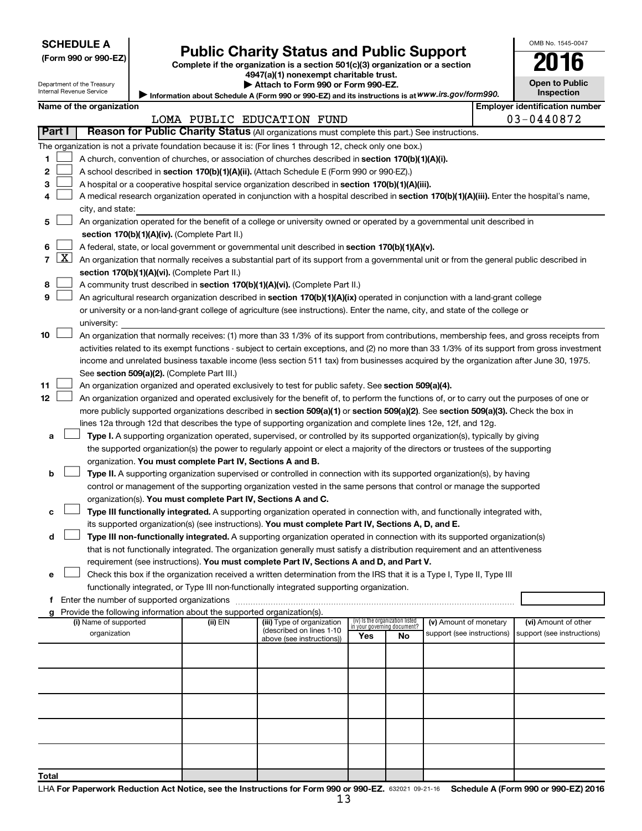| <b>SCHEDULE A</b> |  |
|-------------------|--|
|-------------------|--|

| (Form 990 or 990-EZ |  |  |  |  |
|---------------------|--|--|--|--|
|---------------------|--|--|--|--|

## **Public Charity Status and Public Support**

**(Form 990 or 990-EZ) Complete if the organization is a section 501(c)(3) organization or a section**

**4947(a)(1) nonexempt charitable trust.**

| --<br>. .             |
|-----------------------|
| <b>Open to Public</b> |
| <b>Inspection</b>     |

OMB No. 1545-0047

| Department of the Treasury<br>Internal Revenue Service |
|--------------------------------------------------------|
|--------------------------------------------------------|

Information about Schedule A (Form 990 or 990-EZ) and its instructions is at WWW.irs.gov/form990. **| Attach to Form 990 or Form 990-EZ.** 

|                | Name of the organization                                                                                                                   | <b>Employer identification number</b> |
|----------------|--------------------------------------------------------------------------------------------------------------------------------------------|---------------------------------------|
|                | LOMA PUBLIC EDUCATION FUND                                                                                                                 | $03 - 0440872$                        |
| l Part I       | Reason for Public Charity Status (All organizations must complete this part.) See instructions.                                            |                                       |
|                | The organization is not a private foundation because it is: (For lines 1 through 12, check only one box.)                                  |                                       |
|                | A church, convention of churches, or association of churches described in section 170(b)(1)(A)(i).                                         |                                       |
| 2 <sup>1</sup> | A school described in section 170(b)(1)(A)(ii). (Attach Schedule E (Form 990 or 990-EZ).)                                                  |                                       |
| 3 <sup>1</sup> | A hospital or a cooperative hospital service organization described in section 170(b)(1)(A)(iii).                                          |                                       |
| 4              | A medical research organization operated in conjunction with a hospital described in section 170(b)(1)(A)(iii). Enter the hospital's name, |                                       |

- ter the hospital's name, city, and state:
- **5** † **section 170(b)(1)(A)(iv).**  (Complete Part II.) An organization operated for the benefit of a college or university owned or operated by a governmental unit described in
- **6** A federal, state, or local government or governmental unit described in section 170(b)(1)(A)(v).  $\Box$
- **7**  $[X]$  An organization that normally receives a substantial part of its support from a governmental unit or from the general public described in **section 170(b)(1)(A)(vi).** (Complete Part II.)
- **8** A community trust described in **section 170(b)(1)(A)(vi).** (Complete Part II.)  $\Box$
- **9** An agricultural research organization described in **section 170(b)(1)(A)(ix)** operated in conjunction with a land-grant college or university or a non-land-grant college of agriculture (see instructions). Enter the name, city, and state of the college or university:  $\Box$
- **10** † See section 509(a)(2). (Complete Part III.) An organization that normally receives: (1) more than 33 1/3% of its support from contributions, membership fees, and gross receipts from activities related to its exempt functions - subject to certain exceptions, and (2) no more than 33 1/3% of its support from gross investment income and unrelated business taxable income (less section 511 tax) from businesses acquired by the organization after June 30, 1975.
- **11** An organization organized and operated exclusively to test for public safety. See **section 509(a)(4).**  $\Box$
- **12** more publicly supported organizations described in section 509(a)(1) or section 509(a)(2). See section 509(a)(3). Check the box in An organization organized and operated exclusively for the benefit of, to perform the functions of, or to carry out the purposes of one or lines 12a through 12d that describes the type of supporting organization and complete lines 12e, 12f, and 12g.  $\Box$ 
	- **a Type I.** A supporting organization operated, supervised, or controlled by its supported organization(s), typically by giving organization. You must complete Part IV, Sections A and B. the supported organization(s) the power to regularly appoint or elect a majority of the directors or trustees of the supporting
	- **b Type II.** A supporting organization supervised or controlled in connection with its supported organization(s), by having organization(s). You must complete Part IV, Sections A and C. control or management of the supporting organization vested in the same persons that control or manage the supported  $\Box$
	- **c Type III functionally integrated.** A supporting organization operated in connection with, and functionally integrated with, its supported organization(s) (see instructions). **You must complete Part IV, Sections A, D, and E.**  $\Box$
	- **d Type III non-functionally integrated.** A supporting organization operated in connection with its supported organization(s) requirement (see instructions). **You must complete Part IV, Sections A and D, and Part V.** that is not functionally integrated. The organization generally must satisfy a distribution requirement and an attentiveness  $\Box$
	- **e** Check this box if the organization received a written determination from the IRS that it is a Type I, Type II, Type III functionally integrated, or Type III non-functionally integrated supporting organization.  $\Box$
	- **f** Enter the number of supported organizations ~~~~~~~~~~~~~~~~~~~~~~~~~~~~~~~~~~~~~

| Provide the following information about the supported organization(s).<br>g |          |                                                                                     |                                                                       |    |                                                      |                                                    |
|-----------------------------------------------------------------------------|----------|-------------------------------------------------------------------------------------|-----------------------------------------------------------------------|----|------------------------------------------------------|----------------------------------------------------|
| (i) Name of supported<br>organization                                       | (ii) EIN | (iii) Type of organization<br>(described on lines 1-10<br>above (see instructions)) | (iv) Is the organization listed<br>in your governing document?<br>Yes | No | (v) Amount of monetary<br>support (see instructions) | (vi) Amount of other<br>support (see instructions) |
|                                                                             |          |                                                                                     |                                                                       |    |                                                      |                                                    |
|                                                                             |          |                                                                                     |                                                                       |    |                                                      |                                                    |
|                                                                             |          |                                                                                     |                                                                       |    |                                                      |                                                    |
|                                                                             |          |                                                                                     |                                                                       |    |                                                      |                                                    |
|                                                                             |          |                                                                                     |                                                                       |    |                                                      |                                                    |
| <b>Total</b>                                                                |          |                                                                                     |                                                                       |    |                                                      |                                                    |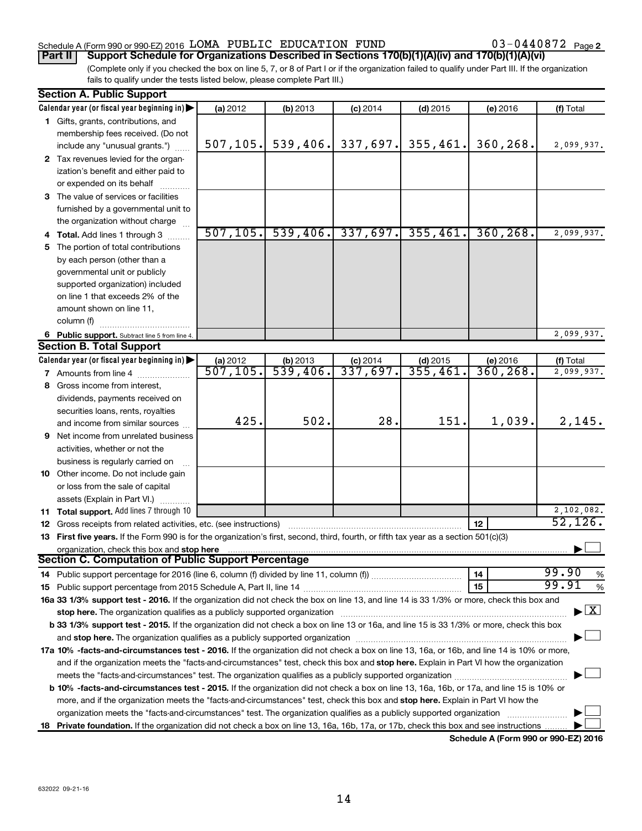### Schedule A (Form 990 or 990-EZ) 2016  $\,$  LOMA PUBLIC EDUCATION FUND  $\,$  03-0440872  $\,$  Page

03-0440872 Page 2

(Complete only if you checked the box on line 5, 7, or 8 of Part I or if the organization failed to qualify under Part III. If the organization fails to qualify under the tests listed below, please complete Part III.) **Part II Support Schedule for Organizations Described in Sections 170(b)(1)(A)(iv) and 170(b)(1)(A)(vi)**

|    | <b>Section A. Public Support</b>                                                                                                               |                                     |                                    |                        |                       |           |                                 |  |  |
|----|------------------------------------------------------------------------------------------------------------------------------------------------|-------------------------------------|------------------------------------|------------------------|-----------------------|-----------|---------------------------------|--|--|
|    | Calendar year (or fiscal year beginning in)                                                                                                    | (a) 2012                            | (b) 2013                           | $(c)$ 2014             | $(d)$ 2015            | (e) 2016  | (f) Total                       |  |  |
|    | 1 Gifts, grants, contributions, and                                                                                                            |                                     |                                    |                        |                       |           |                                 |  |  |
|    | membership fees received. (Do not                                                                                                              |                                     |                                    |                        |                       |           |                                 |  |  |
|    | include any "unusual grants.")                                                                                                                 | 507, 105.                           | 539,406.                           | 337,697.               | 355,461.              | 360,268.  | 2,099,937.                      |  |  |
|    | 2 Tax revenues levied for the organ-                                                                                                           |                                     |                                    |                        |                       |           |                                 |  |  |
|    | ization's benefit and either paid to                                                                                                           |                                     |                                    |                        |                       |           |                                 |  |  |
|    | or expended on its behalf                                                                                                                      |                                     |                                    |                        |                       |           |                                 |  |  |
|    | 3 The value of services or facilities                                                                                                          |                                     |                                    |                        |                       |           |                                 |  |  |
|    | furnished by a governmental unit to                                                                                                            |                                     |                                    |                        |                       |           |                                 |  |  |
|    | the organization without charge                                                                                                                |                                     |                                    |                        |                       |           |                                 |  |  |
|    | 4 Total. Add lines 1 through 3                                                                                                                 | 507, 105.                           |                                    | $539, 406.$ 337, 697.  | 355,461.              | 360, 268. | 2,099,937.                      |  |  |
| 5. | The portion of total contributions                                                                                                             |                                     |                                    |                        |                       |           |                                 |  |  |
|    | by each person (other than a                                                                                                                   |                                     |                                    |                        |                       |           |                                 |  |  |
|    | governmental unit or publicly                                                                                                                  |                                     |                                    |                        |                       |           |                                 |  |  |
|    | supported organization) included                                                                                                               |                                     |                                    |                        |                       |           |                                 |  |  |
|    | on line 1 that exceeds 2% of the                                                                                                               |                                     |                                    |                        |                       |           |                                 |  |  |
|    | amount shown on line 11,                                                                                                                       |                                     |                                    |                        |                       |           |                                 |  |  |
|    |                                                                                                                                                |                                     |                                    |                        |                       |           |                                 |  |  |
|    | column (f)                                                                                                                                     |                                     |                                    |                        |                       |           |                                 |  |  |
|    | 6 Public support. Subtract line 5 from line 4.                                                                                                 |                                     |                                    |                        |                       |           | 2,099,937.                      |  |  |
|    | <b>Section B. Total Support</b>                                                                                                                |                                     |                                    |                        |                       |           |                                 |  |  |
|    | Calendar year (or fiscal year beginning in)                                                                                                    | (a) 2012<br>$\overline{507}$ , 105. | (b) 2013<br>$\overline{539,406}$ . | $(c)$ 2014<br>337,697. | $(d)$ 2015<br>355,461 | (e) 2016  | (f) Total                       |  |  |
|    | <b>7</b> Amounts from line 4                                                                                                                   |                                     |                                    |                        |                       | 360, 268. | 2,099,937.                      |  |  |
|    | 8 Gross income from interest,                                                                                                                  |                                     |                                    |                        |                       |           |                                 |  |  |
|    | dividends, payments received on                                                                                                                |                                     |                                    |                        |                       |           |                                 |  |  |
|    | securities loans, rents, royalties                                                                                                             |                                     |                                    |                        |                       |           |                                 |  |  |
|    | and income from similar sources                                                                                                                | 425.                                | 502.                               | 28.                    | 151.                  | 1,039.    | 2,145.                          |  |  |
|    | <b>9</b> Net income from unrelated business                                                                                                    |                                     |                                    |                        |                       |           |                                 |  |  |
|    | activities, whether or not the                                                                                                                 |                                     |                                    |                        |                       |           |                                 |  |  |
|    | business is regularly carried on                                                                                                               |                                     |                                    |                        |                       |           |                                 |  |  |
|    | 10 Other income. Do not include gain                                                                                                           |                                     |                                    |                        |                       |           |                                 |  |  |
|    | or loss from the sale of capital                                                                                                               |                                     |                                    |                        |                       |           |                                 |  |  |
|    | assets (Explain in Part VI.)                                                                                                                   |                                     |                                    |                        |                       |           |                                 |  |  |
|    | 11 Total support. Add lines 7 through 10                                                                                                       |                                     |                                    |                        |                       |           | 2,102,082.                      |  |  |
|    | <b>12</b> Gross receipts from related activities, etc. (see instructions)                                                                      |                                     |                                    |                        |                       | 12        | 52,126.                         |  |  |
|    | 13 First five years. If the Form 990 is for the organization's first, second, third, fourth, or fifth tax year as a section 501(c)(3)          |                                     |                                    |                        |                       |           |                                 |  |  |
|    | organization, check this box and stop here                                                                                                     |                                     |                                    |                        |                       |           |                                 |  |  |
|    | Section C. Computation of Public Support Percentage                                                                                            |                                     |                                    |                        |                       |           |                                 |  |  |
|    |                                                                                                                                                |                                     |                                    |                        |                       | 14        | 99.90<br>%                      |  |  |
|    |                                                                                                                                                |                                     |                                    |                        |                       | 15        | 99.91<br>$\%$                   |  |  |
|    | 16a 33 1/3% support test - 2016. If the organization did not check the box on line 13, and line 14 is 33 1/3% or more, check this box and      |                                     |                                    |                        |                       |           |                                 |  |  |
|    | stop here. The organization qualifies as a publicly supported organization                                                                     |                                     |                                    |                        |                       |           | $\blacktriangleright$ $\vert$ X |  |  |
|    | b 33 1/3% support test - 2015. If the organization did not check a box on line 13 or 16a, and line 15 is 33 1/3% or more, check this box       |                                     |                                    |                        |                       |           |                                 |  |  |
|    |                                                                                                                                                |                                     |                                    |                        |                       |           |                                 |  |  |
|    | 17a 10% -facts-and-circumstances test - 2016. If the organization did not check a box on line 13, 16a, or 16b, and line 14 is 10% or more,     |                                     |                                    |                        |                       |           |                                 |  |  |
|    | and if the organization meets the "facts-and-circumstances" test, check this box and stop here. Explain in Part VI how the organization        |                                     |                                    |                        |                       |           |                                 |  |  |
|    |                                                                                                                                                |                                     |                                    |                        |                       |           |                                 |  |  |
|    | <b>b 10%</b> -facts-and-circumstances test - 2015. If the organization did not check a box on line 13, 16a, 16b, or 17a, and line 15 is 10% or |                                     |                                    |                        |                       |           |                                 |  |  |
|    |                                                                                                                                                |                                     |                                    |                        |                       |           |                                 |  |  |
|    | more, and if the organization meets the "facts-and-circumstances" test, check this box and stop here. Explain in Part VI how the               |                                     |                                    |                        |                       |           |                                 |  |  |
|    | organization meets the "facts-and-circumstances" test. The organization qualifies as a publicly supported organization                         |                                     |                                    |                        |                       |           |                                 |  |  |
|    | 18 Private foundation. If the organization did not check a box on line 13, 16a, 16b, 17a, or 17b, check this box and see instructions.         |                                     |                                    |                        |                       |           |                                 |  |  |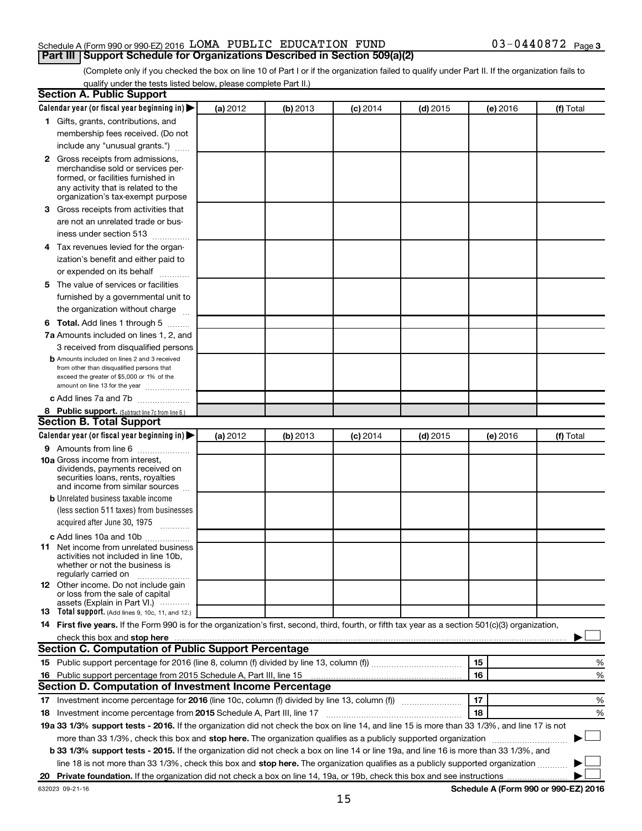### Schedule A (Form 990 or 990-EZ) 2016  $\,$  LOMA PUBLIC EDUCATION FUND  $\,$  03-0440872  $\,$  Page **Part III Support Schedule for Organizations Described in Section 509(a)(2)**

(Complete only if you checked the box on line 10 of Part I or if the organization failed to qualify under Part II. If the organization fails to qualify under the tests listed below, please complete Part II.)

|    | Calendar year (or fiscal year beginning in)<br>1 Gifts, grants, contributions, and                                                                                                                                             | (a) 2012 | (b) 2013 | $(c)$ 2014 | $(d)$ 2015 | (e) 2016 | (f) Total                            |
|----|--------------------------------------------------------------------------------------------------------------------------------------------------------------------------------------------------------------------------------|----------|----------|------------|------------|----------|--------------------------------------|
|    |                                                                                                                                                                                                                                |          |          |            |            |          |                                      |
|    |                                                                                                                                                                                                                                |          |          |            |            |          |                                      |
|    | membership fees received. (Do not                                                                                                                                                                                              |          |          |            |            |          |                                      |
|    | include any "unusual grants.")                                                                                                                                                                                                 |          |          |            |            |          |                                      |
|    | 2 Gross receipts from admissions,<br>merchandise sold or services per-<br>formed, or facilities furnished in<br>any activity that is related to the<br>organization's tax-exempt purpose                                       |          |          |            |            |          |                                      |
|    | 3 Gross receipts from activities that                                                                                                                                                                                          |          |          |            |            |          |                                      |
|    | are not an unrelated trade or bus-<br>iness under section 513                                                                                                                                                                  |          |          |            |            |          |                                      |
|    | 4 Tax revenues levied for the organ-                                                                                                                                                                                           |          |          |            |            |          |                                      |
|    | ization's benefit and either paid to                                                                                                                                                                                           |          |          |            |            |          |                                      |
|    | or expended on its behalf                                                                                                                                                                                                      |          |          |            |            |          |                                      |
|    | 5 The value of services or facilities                                                                                                                                                                                          |          |          |            |            |          |                                      |
|    | furnished by a governmental unit to                                                                                                                                                                                            |          |          |            |            |          |                                      |
|    | the organization without charge                                                                                                                                                                                                |          |          |            |            |          |                                      |
|    | <b>6 Total.</b> Add lines 1 through 5                                                                                                                                                                                          |          |          |            |            |          |                                      |
|    | 7a Amounts included on lines 1, 2, and                                                                                                                                                                                         |          |          |            |            |          |                                      |
|    | 3 received from disqualified persons                                                                                                                                                                                           |          |          |            |            |          |                                      |
|    | <b>b</b> Amounts included on lines 2 and 3 received<br>from other than disqualified persons that<br>exceed the greater of \$5,000 or 1% of the<br>amount on line 13 for the year                                               |          |          |            |            |          |                                      |
|    | c Add lines 7a and 7b                                                                                                                                                                                                          |          |          |            |            |          |                                      |
|    | 8 Public support. (Subtract line 7c from line 6.)                                                                                                                                                                              |          |          |            |            |          |                                      |
|    | <b>Section B. Total Support</b>                                                                                                                                                                                                |          |          |            |            |          |                                      |
|    | Calendar year (or fiscal year beginning in)                                                                                                                                                                                    | (a) 2012 | (b) 2013 | $(c)$ 2014 | $(d)$ 2015 | (e) 2016 | (f) Total                            |
|    | <b>9</b> Amounts from line 6                                                                                                                                                                                                   |          |          |            |            |          |                                      |
|    | <b>10a</b> Gross income from interest,<br>dividends, payments received on<br>securities loans, rents, royalties<br>and income from similar sources                                                                             |          |          |            |            |          |                                      |
|    | <b>b</b> Unrelated business taxable income                                                                                                                                                                                     |          |          |            |            |          |                                      |
|    | (less section 511 taxes) from businesses                                                                                                                                                                                       |          |          |            |            |          |                                      |
|    | acquired after June 30, 1975                                                                                                                                                                                                   |          |          |            |            |          |                                      |
|    | c Add lines 10a and 10b                                                                                                                                                                                                        |          |          |            |            |          |                                      |
|    | <b>11</b> Net income from unrelated business<br>activities not included in line 10b.<br>whether or not the business is<br>regularly carried on                                                                                 |          |          |            |            |          |                                      |
|    | <b>12</b> Other income. Do not include gain<br>or loss from the sale of capital<br>assets (Explain in Part VI.)                                                                                                                |          |          |            |            |          |                                      |
|    | <b>13</b> Total support. (Add lines 9, 10c, 11, and 12.)                                                                                                                                                                       |          |          |            |            |          |                                      |
|    | 14 First five years. If the Form 990 is for the organization's first, second, third, fourth, or fifth tax year as a section 501(c)(3) organization,                                                                            |          |          |            |            |          |                                      |
|    | check this box and stop here with the content of the content of the state of the content of the state of the state of the content of the content of the content of the content of the content of the content of the content of |          |          |            |            |          |                                      |
|    | <b>Section C. Computation of Public Support Percentage</b>                                                                                                                                                                     |          |          |            |            |          |                                      |
|    |                                                                                                                                                                                                                                |          |          |            |            | 15       | %                                    |
|    | 16 Public support percentage from 2015 Schedule A, Part III, line 15                                                                                                                                                           |          |          |            |            | 16       | %                                    |
|    | Section D. Computation of Investment Income Percentage                                                                                                                                                                         |          |          |            |            |          |                                      |
|    |                                                                                                                                                                                                                                |          |          |            |            | 17       | %                                    |
|    | 18 Investment income percentage from 2015 Schedule A, Part III, line 17                                                                                                                                                        |          |          |            |            | 18       | %                                    |
|    | 19a 33 1/3% support tests - 2016. If the organization did not check the box on line 14, and line 15 is more than 33 1/3%, and line 17 is not                                                                                   |          |          |            |            |          |                                      |
|    | more than 33 1/3%, check this box and stop here. The organization qualifies as a publicly supported organization                                                                                                               |          |          |            |            |          |                                      |
|    | <b>b 33 1/3% support tests - 2015.</b> If the organization did not check a box on line 14 or line 19a, and line 16 is more than 33 1/3%, and                                                                                   |          |          |            |            |          |                                      |
|    | line 18 is not more than 33 1/3%, check this box and stop here. The organization qualifies as a publicly supported organization                                                                                                |          |          |            |            |          |                                      |
| 20 |                                                                                                                                                                                                                                |          |          |            |            |          |                                      |
|    | 632023 09-21-16                                                                                                                                                                                                                |          |          |            |            |          | Schedule A (Form 990 or 990-EZ) 2016 |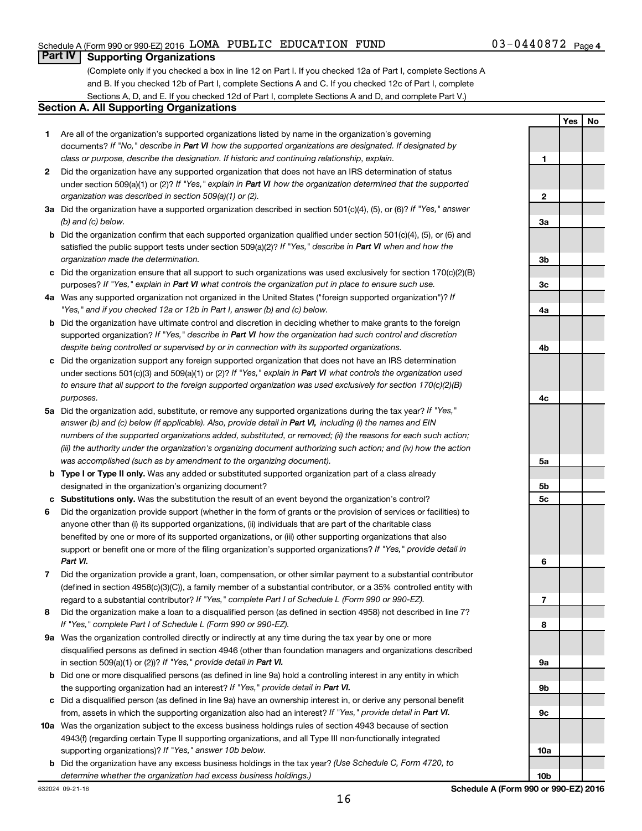**Yes No**

### **Part IV Supporting Organizations**

(Complete only if you checked a box in line 12 on Part I. If you checked 12a of Part I, complete Sections A and B. If you checked 12b of Part I, complete Sections A and C. If you checked 12c of Part I, complete Sections A, D, and E. If you checked 12d of Part I, complete Sections A and D, and complete Part V.)

### **Section A. All Supporting Organizations**

- **1** Are all of the organization's supported organizations listed by name in the organization's governing documents? If "No," describe in Part VI how the supported organizations are designated. If designated by *class or purpose, describe the designation. If historic and continuing relationship, explain.*
- **2** Did the organization have any supported organization that does not have an IRS determination of status under section 509(a)(1) or (2)? If "Yes," explain in Part VI how the organization determined that the supported *organization was described in section 509(a)(1) or (2).*
- **3a** Did the organization have a supported organization described in section 501(c)(4), (5), or (6)? If "Yes," answer *(b) and (c) below.*
- **b** Did the organization confirm that each supported organization qualified under section 501(c)(4), (5), or (6) and satisfied the public support tests under section 509(a)(2)? If "Yes," describe in Part VI when and how the *organization made the determination.*
- **c** Did the organization ensure that all support to such organizations was used exclusively for section 170(c)(2)(B) purposes? If "Yes," explain in Part VI what controls the organization put in place to ensure such use.
- **4 a** *If* Was any supported organization not organized in the United States ("foreign supported organization")? *"Yes," and if you checked 12a or 12b in Part I, answer (b) and (c) below.*
- **b** Did the organization have ultimate control and discretion in deciding whether to make grants to the foreign supported organization? If "Yes," describe in Part VI how the organization had such control and discretion *despite being controlled or supervised by or in connection with its supported organizations.*
- **c** Did the organization support any foreign supported organization that does not have an IRS determination under sections 501(c)(3) and 509(a)(1) or (2)? If "Yes," explain in Part VI what controls the organization used *to ensure that all support to the foreign supported organization was used exclusively for section 170(c)(2)(B) purposes.*
- **5a** Did the organization add, substitute, or remove any supported organizations during the tax year? If "Yes," answer (b) and (c) below (if applicable). Also, provide detail in Part VI, including (i) the names and EIN *numbers of the supported organizations added, substituted, or removed; (ii) the reasons for each such action; (iii) the authority under the organization's organizing document authorizing such action; and (iv) how the action was accomplished (such as by amendment to the organizing document).*
- **b** Type I or Type II only. Was any added or substituted supported organization part of a class already designated in the organization's organizing document?
- **c Substitutions only.**  Was the substitution the result of an event beyond the organization's control?
- **6** Did the organization provide support (whether in the form of grants or the provision of services or facilities) to support or benefit one or more of the filing organization's supported organizations? If "Yes," provide detail in anyone other than (i) its supported organizations, (ii) individuals that are part of the charitable class benefited by one or more of its supported organizations, or (iii) other supporting organizations that also *Part VI.*
- **7** Did the organization provide a grant, loan, compensation, or other similar payment to a substantial contributor regard to a substantial contributor? If "Yes," complete Part I of Schedule L (Form 990 or 990-EZ). (defined in section 4958(c)(3)(C)), a family member of a substantial contributor, or a 35% controlled entity with
- **8** Did the organization make a loan to a disqualified person (as defined in section 4958) not described in line 7? *If "Yes," complete Part I of Schedule L (Form 990 or 990-EZ).*
- **9 a** Was the organization controlled directly or indirectly at any time during the tax year by one or more in section 509(a)(1) or (2))? If "Yes," provide detail in Part VI. disqualified persons as defined in section 4946 (other than foundation managers and organizations described
- **b** Did one or more disqualified persons (as defined in line 9a) hold a controlling interest in any entity in which the supporting organization had an interest? If "Yes," provide detail in Part VI.
- **c** Did a disqualified person (as defined in line 9a) have an ownership interest in, or derive any personal benefit from, assets in which the supporting organization also had an interest? If "Yes," provide detail in Part VI.
- **10 a** Was the organization subject to the excess business holdings rules of section 4943 because of section supporting organizations)? If "Yes," answer 10b below. 4943(f) (regarding certain Type II supporting organizations, and all Type III non-functionally integrated
	- **b** Did the organization have any excess business holdings in the tax year? (Use Schedule C, Form 4720, to *determine whether the organization had excess business holdings.)*

**1 2 3a 3b 3c 4a 4b 4c 5a 5b 5c 6 7 8 9a 9b 9c 10a**

16

**10b**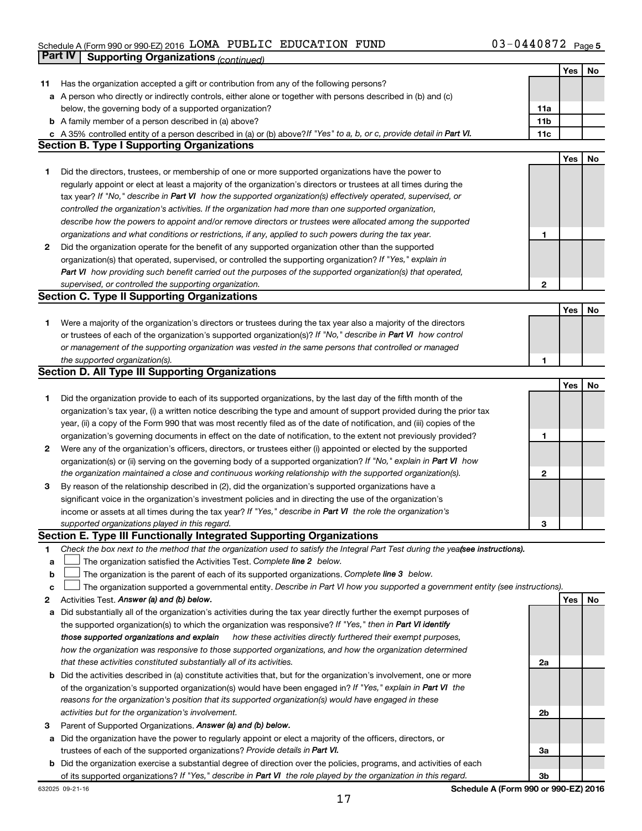#### Schedule A (Form 990 or 990-EZ) 2016 LOMA PUBLIC EDUCATION FUND  $03-04408/2$  Page LOMA PUBLIC EDUCATION FUND 03-0440872

|    | Part IV<br><b>Supporting Organizations (continued)</b>                                                                          |                 |     |    |
|----|---------------------------------------------------------------------------------------------------------------------------------|-----------------|-----|----|
|    |                                                                                                                                 |                 | Yes | No |
| 11 | Has the organization accepted a gift or contribution from any of the following persons?                                         |                 |     |    |
|    | a A person who directly or indirectly controls, either alone or together with persons described in (b) and (c)                  |                 |     |    |
|    | below, the governing body of a supported organization?                                                                          | 11a             |     |    |
|    | <b>b</b> A family member of a person described in (a) above?                                                                    | 11 <sub>b</sub> |     |    |
|    | c A 35% controlled entity of a person described in (a) or (b) above? If "Yes" to a, b, or c, provide detail in Part VI.         | 11c             |     |    |
|    | <b>Section B. Type I Supporting Organizations</b>                                                                               |                 |     |    |
|    |                                                                                                                                 |                 | Yes | No |
|    |                                                                                                                                 |                 |     |    |
| 1  | Did the directors, trustees, or membership of one or more supported organizations have the power to                             |                 |     |    |
|    | regularly appoint or elect at least a majority of the organization's directors or trustees at all times during the              |                 |     |    |
|    | tax year? If "No," describe in Part VI how the supported organization(s) effectively operated, supervised, or                   |                 |     |    |
|    | controlled the organization's activities. If the organization had more than one supported organization,                         |                 |     |    |
|    | describe how the powers to appoint and/or remove directors or trustees were allocated among the supported                       |                 |     |    |
|    | organizations and what conditions or restrictions, if any, applied to such powers during the tax year.                          | 1               |     |    |
| 2  | Did the organization operate for the benefit of any supported organization other than the supported                             |                 |     |    |
|    | organization(s) that operated, supervised, or controlled the supporting organization? If "Yes," explain in                      |                 |     |    |
|    | Part VI how providing such benefit carried out the purposes of the supported organization(s) that operated,                     |                 |     |    |
|    | supervised, or controlled the supporting organization.                                                                          | $\mathbf{2}$    |     |    |
|    | <b>Section C. Type II Supporting Organizations</b>                                                                              |                 |     |    |
|    |                                                                                                                                 |                 | Yes | No |
| 1. | Were a majority of the organization's directors or trustees during the tax year also a majority of the directors                |                 |     |    |
|    | or trustees of each of the organization's supported organization(s)? If "No," describe in Part VI how control                   |                 |     |    |
|    | or management of the supporting organization was vested in the same persons that controlled or managed                          |                 |     |    |
|    | the supported organization(s).                                                                                                  | 1               |     |    |
|    | <b>Section D. All Type III Supporting Organizations</b>                                                                         |                 |     |    |
|    |                                                                                                                                 |                 | Yes | No |
| 1  | Did the organization provide to each of its supported organizations, by the last day of the fifth month of the                  |                 |     |    |
|    | organization's tax year, (i) a written notice describing the type and amount of support provided during the prior tax           |                 |     |    |
|    | year, (ii) a copy of the Form 990 that was most recently filed as of the date of notification, and (iii) copies of the          |                 |     |    |
|    | organization's governing documents in effect on the date of notification, to the extent not previously provided?                | 1               |     |    |
| 2  | Were any of the organization's officers, directors, or trustees either (i) appointed or elected by the supported                |                 |     |    |
|    | organization(s) or (ii) serving on the governing body of a supported organization? If "No," explain in Part VI how              |                 |     |    |
|    | the organization maintained a close and continuous working relationship with the supported organization(s).                     | 2               |     |    |
| 3  | By reason of the relationship described in (2), did the organization's supported organizations have a                           |                 |     |    |
|    | significant voice in the organization's investment policies and in directing the use of the organization's                      |                 |     |    |
|    | income or assets at all times during the tax year? If "Yes," describe in Part VI the role the organization's                    |                 |     |    |
|    | supported organizations played in this regard.                                                                                  | з               |     |    |
|    | Section E. Type III Functionally Integrated Supporting Organizations                                                            |                 |     |    |
| 1  | Check the box next to the method that the organization used to satisfy the Integral Part Test during the yea(see instructions). |                 |     |    |
| а  | The organization satisfied the Activities Test. Complete line 2 below.                                                          |                 |     |    |
| b  | The organization is the parent of each of its supported organizations. Complete line 3 below.                                   |                 |     |    |
| с  | The organization supported a governmental entity. Describe in Part VI how you supported a government entity (see instructions). |                 |     |    |
| 2  | Activities Test. Answer (a) and (b) below.                                                                                      |                 | Yes | No |
| а  | Did substantially all of the organization's activities during the tax year directly further the exempt purposes of              |                 |     |    |
|    | the supported organization(s) to which the organization was responsive? If "Yes," then in Part VI identify                      |                 |     |    |
|    | those supported organizations and explain<br>how these activities directly furthered their exempt purposes,                     |                 |     |    |
|    | how the organization was responsive to those supported organizations, and how the organization determined                       |                 |     |    |
|    | that these activities constituted substantially all of its activities.                                                          | 2a              |     |    |
| b  | Did the activities described in (a) constitute activities that, but for the organization's involvement, one or more             |                 |     |    |
|    | of the organization's supported organization(s) would have been engaged in? If "Yes," explain in Part VI the                    |                 |     |    |
|    | reasons for the organization's position that its supported organization(s) would have engaged in these                          |                 |     |    |
|    | activities but for the organization's involvement.                                                                              | 2b              |     |    |
| 3  | Parent of Supported Organizations. Answer (a) and (b) below.                                                                    |                 |     |    |
| а  | Did the organization have the power to regularly appoint or elect a majority of the officers, directors, or                     |                 |     |    |
|    | trustees of each of the supported organizations? Provide details in Part VI.                                                    | За              |     |    |
| b  | Did the organization exercise a substantial degree of direction over the policies, programs, and activities of each             |                 |     |    |
|    | of its supported organizations? If "Yes," describe in Part VI the role played by the organization in this regard.               | 3b              |     |    |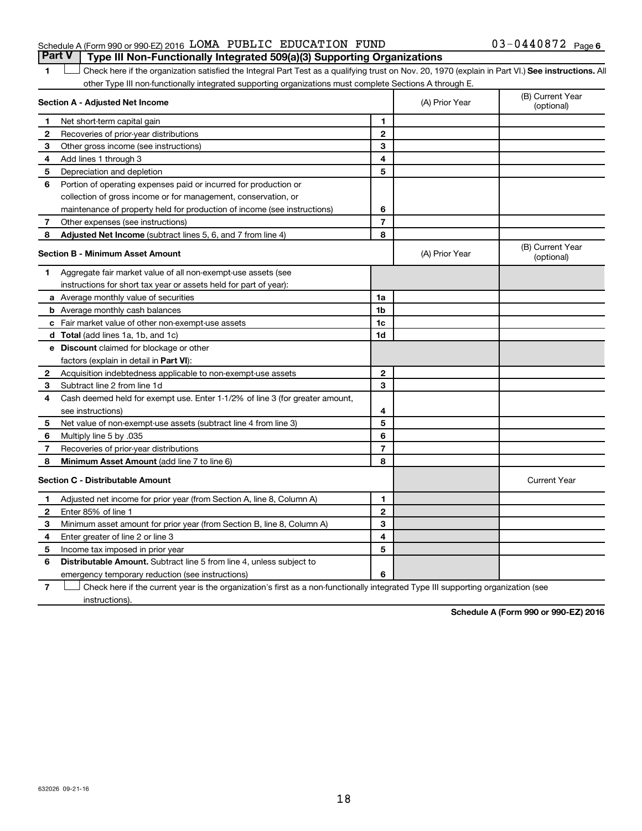### Schedule A (Form 990 or 990-EZ) 2016  $\,$  LOMA PUBLIC EDUCATION FUND  $\,$  03-0440872  $\,$  Page **Part V Type III Non-Functionally Integrated 509(a)(3) Supporting Organizations**

1 **Letter See instructions.** All Check here if the organization satisfied the Integral Part Test as a qualifying trust on Nov. 20, 1970 (explain in Part VI.) See instructions. All other Type III non-functionally integrated supporting organizations must complete Sections A through E.

|              | Section A - Adjusted Net Income                                              |                | (A) Prior Year | (B) Current Year<br>(optional) |
|--------------|------------------------------------------------------------------------------|----------------|----------------|--------------------------------|
| 1            | Net short-term capital gain                                                  | 1              |                |                                |
| 2            | Recoveries of prior-year distributions                                       | 2              |                |                                |
| 3            | Other gross income (see instructions)                                        | 3              |                |                                |
| 4            | Add lines 1 through 3                                                        | 4              |                |                                |
| 5            | Depreciation and depletion                                                   | 5              |                |                                |
| 6            | Portion of operating expenses paid or incurred for production or             |                |                |                                |
|              | collection of gross income or for management, conservation, or               |                |                |                                |
|              | maintenance of property held for production of income (see instructions)     | 6              |                |                                |
| 7            | Other expenses (see instructions)                                            | $\overline{7}$ |                |                                |
| 8            | Adjusted Net Income (subtract lines 5, 6, and 7 from line 4)                 | 8              |                |                                |
|              | <b>Section B - Minimum Asset Amount</b>                                      |                | (A) Prior Year | (B) Current Year<br>(optional) |
| 1.           | Aggregate fair market value of all non-exempt-use assets (see                |                |                |                                |
|              | instructions for short tax year or assets held for part of year):            |                |                |                                |
|              | <b>a</b> Average monthly value of securities                                 | 1a             |                |                                |
|              | <b>b</b> Average monthly cash balances                                       | 1 <sub>b</sub> |                |                                |
|              | c Fair market value of other non-exempt-use assets                           | 1c             |                |                                |
|              | d Total (add lines 1a, 1b, and 1c)                                           | 1d             |                |                                |
|              | e Discount claimed for blockage or other                                     |                |                |                                |
|              | factors (explain in detail in Part VI):                                      |                |                |                                |
| 2            | Acquisition indebtedness applicable to non-exempt-use assets                 | 2              |                |                                |
| 3            | Subtract line 2 from line 1d                                                 | 3              |                |                                |
| 4            | Cash deemed held for exempt use. Enter 1-1/2% of line 3 (for greater amount, |                |                |                                |
|              | see instructions)                                                            | 4              |                |                                |
| 5            | Net value of non-exempt-use assets (subtract line 4 from line 3)             | 5              |                |                                |
| 6            | Multiply line 5 by .035                                                      | 6              |                |                                |
| 7            | Recoveries of prior-year distributions                                       | $\overline{7}$ |                |                                |
| 8            | Minimum Asset Amount (add line 7 to line 6)                                  | 8              |                |                                |
|              | <b>Section C - Distributable Amount</b>                                      |                |                | <b>Current Year</b>            |
| 1            | Adjusted net income for prior year (from Section A, line 8, Column A)        | 1              |                |                                |
| $\mathbf{2}$ | Enter 85% of line 1                                                          | $\mathbf{2}$   |                |                                |
| з            | Minimum asset amount for prior year (from Section B, line 8, Column A)       | 3              |                |                                |
| 4            | Enter greater of line 2 or line 3                                            | 4              |                |                                |
| 5            | Income tax imposed in prior year                                             | 5              |                |                                |
| 6            | <b>Distributable Amount.</b> Subtract line 5 from line 4, unless subject to  |                |                |                                |
|              | emergency temporary reduction (see instructions)                             | 6              |                |                                |

**7** Let Check here if the current year is the organization's first as a non-functionally integrated Type III supporting organization (see instructions).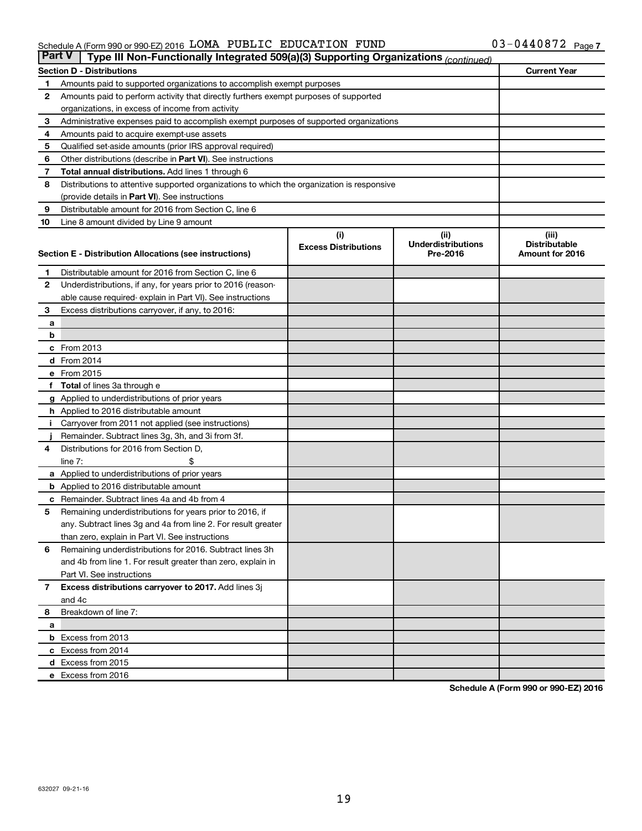#### Schedule A (Form 990 or 990-EZ) 2016 LOMA PUBLIC EDUCATION FUND  $03-04408/2$  Page LOMA PUBLIC EDUCATION FUND 03-0440872

| <b>Part V</b><br>Type III Non-Functionally Integrated 509(a)(3) Supporting Organizations (continued) |                                                                                                     |                             |                                       |                                         |  |  |  |
|------------------------------------------------------------------------------------------------------|-----------------------------------------------------------------------------------------------------|-----------------------------|---------------------------------------|-----------------------------------------|--|--|--|
|                                                                                                      | <b>Section D - Distributions</b>                                                                    |                             |                                       | <b>Current Year</b>                     |  |  |  |
| 1                                                                                                    | Amounts paid to supported organizations to accomplish exempt purposes                               |                             |                                       |                                         |  |  |  |
| 2                                                                                                    | Amounts paid to perform activity that directly furthers exempt purposes of supported                |                             |                                       |                                         |  |  |  |
|                                                                                                      | organizations, in excess of income from activity                                                    |                             |                                       |                                         |  |  |  |
| 3                                                                                                    | Administrative expenses paid to accomplish exempt purposes of supported organizations               |                             |                                       |                                         |  |  |  |
| 4                                                                                                    | Amounts paid to acquire exempt-use assets                                                           |                             |                                       |                                         |  |  |  |
| 5                                                                                                    | Qualified set-aside amounts (prior IRS approval required)                                           |                             |                                       |                                         |  |  |  |
| 6                                                                                                    | Other distributions (describe in Part VI). See instructions                                         |                             |                                       |                                         |  |  |  |
| 7                                                                                                    | <b>Total annual distributions.</b> Add lines 1 through 6                                            |                             |                                       |                                         |  |  |  |
| 8                                                                                                    | Distributions to attentive supported organizations to which the organization is responsive          |                             |                                       |                                         |  |  |  |
|                                                                                                      | (provide details in Part VI). See instructions                                                      |                             |                                       |                                         |  |  |  |
| 9                                                                                                    | Distributable amount for 2016 from Section C, line 6                                                |                             |                                       |                                         |  |  |  |
| 10                                                                                                   | Line 8 amount divided by Line 9 amount                                                              |                             |                                       |                                         |  |  |  |
|                                                                                                      |                                                                                                     | (i)                         | (ii)                                  | (iii)                                   |  |  |  |
|                                                                                                      | Section E - Distribution Allocations (see instructions)                                             | <b>Excess Distributions</b> | <b>Underdistributions</b><br>Pre-2016 | <b>Distributable</b><br>Amount for 2016 |  |  |  |
|                                                                                                      |                                                                                                     |                             |                                       |                                         |  |  |  |
| 1                                                                                                    | Distributable amount for 2016 from Section C, line 6                                                |                             |                                       |                                         |  |  |  |
| $\mathbf{2}$                                                                                         | Underdistributions, if any, for years prior to 2016 (reason-                                        |                             |                                       |                                         |  |  |  |
|                                                                                                      | able cause required- explain in Part VI). See instructions                                          |                             |                                       |                                         |  |  |  |
| 3                                                                                                    | Excess distributions carryover, if any, to 2016:                                                    |                             |                                       |                                         |  |  |  |
| а                                                                                                    |                                                                                                     |                             |                                       |                                         |  |  |  |
| b                                                                                                    |                                                                                                     |                             |                                       |                                         |  |  |  |
|                                                                                                      | c From 2013                                                                                         |                             |                                       |                                         |  |  |  |
|                                                                                                      | <b>d</b> From 2014                                                                                  |                             |                                       |                                         |  |  |  |
|                                                                                                      | e From 2015                                                                                         |                             |                                       |                                         |  |  |  |
|                                                                                                      | f Total of lines 3a through e                                                                       |                             |                                       |                                         |  |  |  |
|                                                                                                      | <b>g</b> Applied to underdistributions of prior years                                               |                             |                                       |                                         |  |  |  |
|                                                                                                      | <b>h</b> Applied to 2016 distributable amount<br>Carryover from 2011 not applied (see instructions) |                             |                                       |                                         |  |  |  |
|                                                                                                      | Remainder. Subtract lines 3g, 3h, and 3i from 3f.                                                   |                             |                                       |                                         |  |  |  |
| 4                                                                                                    | Distributions for 2016 from Section D,                                                              |                             |                                       |                                         |  |  |  |
|                                                                                                      | $line 7$ :                                                                                          |                             |                                       |                                         |  |  |  |
|                                                                                                      | a Applied to underdistributions of prior years                                                      |                             |                                       |                                         |  |  |  |
|                                                                                                      | <b>b</b> Applied to 2016 distributable amount                                                       |                             |                                       |                                         |  |  |  |
| с                                                                                                    | Remainder. Subtract lines 4a and 4b from 4                                                          |                             |                                       |                                         |  |  |  |
| 5                                                                                                    | Remaining underdistributions for years prior to 2016, if                                            |                             |                                       |                                         |  |  |  |
|                                                                                                      | any. Subtract lines 3g and 4a from line 2. For result greater                                       |                             |                                       |                                         |  |  |  |
|                                                                                                      | than zero, explain in Part VI. See instructions                                                     |                             |                                       |                                         |  |  |  |
| 6                                                                                                    | Remaining underdistributions for 2016. Subtract lines 3h                                            |                             |                                       |                                         |  |  |  |
|                                                                                                      | and 4b from line 1. For result greater than zero, explain in                                        |                             |                                       |                                         |  |  |  |
|                                                                                                      | Part VI. See instructions                                                                           |                             |                                       |                                         |  |  |  |
| $\overline{7}$                                                                                       | Excess distributions carryover to 2017. Add lines 3j                                                |                             |                                       |                                         |  |  |  |
|                                                                                                      | and 4c                                                                                              |                             |                                       |                                         |  |  |  |
| 8                                                                                                    | Breakdown of line 7:                                                                                |                             |                                       |                                         |  |  |  |
| a                                                                                                    |                                                                                                     |                             |                                       |                                         |  |  |  |
|                                                                                                      | <b>b</b> Excess from 2013                                                                           |                             |                                       |                                         |  |  |  |
|                                                                                                      | c Excess from 2014                                                                                  |                             |                                       |                                         |  |  |  |
|                                                                                                      | d Excess from 2015                                                                                  |                             |                                       |                                         |  |  |  |
|                                                                                                      | e Excess from 2016                                                                                  |                             |                                       |                                         |  |  |  |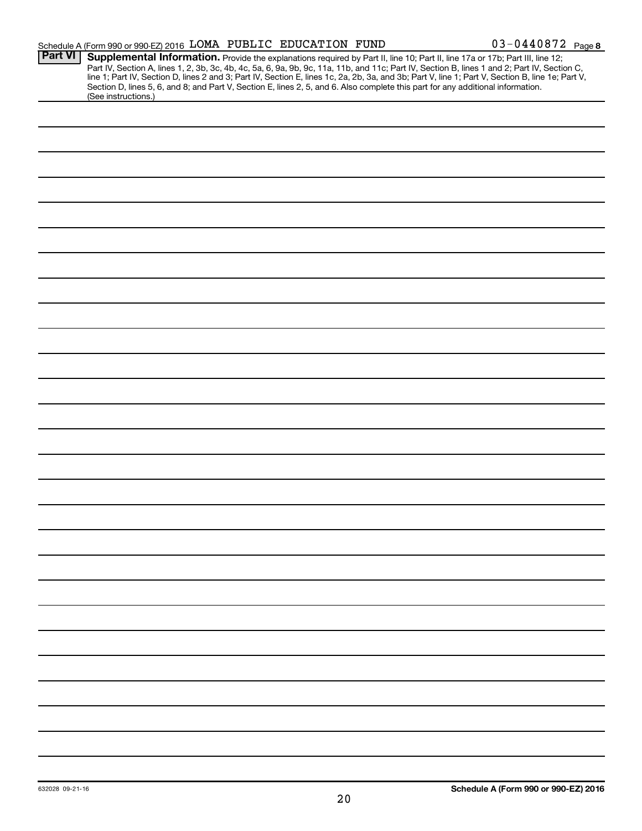|                | Schedule A (Form 990 or 990-EZ) 2016 LOMA PUBLIC EDUCATION FUND                                                                                                                                                                                                                                                                                                                                                                                                                                      |  | $03 - 0440872$ Page 8 |
|----------------|------------------------------------------------------------------------------------------------------------------------------------------------------------------------------------------------------------------------------------------------------------------------------------------------------------------------------------------------------------------------------------------------------------------------------------------------------------------------------------------------------|--|-----------------------|
| <b>Part VI</b> | Supplemental Information. Provide the explanations required by Part II, line 10; Part II, line 17a or 17b; Part III, line 12;<br>Part IV, Section A, lines 1, 2, 3b, 3c, 4b, 4c, 5a, 6, 9a, 9b, 9c, 11a, 11b, and 11c; Part IV, Section B, lines 1 and 2; Part IV, Section C,<br>line 1; Part IV, Section D, lines 2 and 3; Part IV, Section E, lines 1c, 2a, 2b,<br>Section D, lines 5, 6, and 8; and Part V, Section E, lines 2, 5, and 6. Also complete this part for any additional information. |  |                       |
|                | (See instructions.)                                                                                                                                                                                                                                                                                                                                                                                                                                                                                  |  |                       |
|                |                                                                                                                                                                                                                                                                                                                                                                                                                                                                                                      |  |                       |
|                |                                                                                                                                                                                                                                                                                                                                                                                                                                                                                                      |  |                       |
|                |                                                                                                                                                                                                                                                                                                                                                                                                                                                                                                      |  |                       |
|                |                                                                                                                                                                                                                                                                                                                                                                                                                                                                                                      |  |                       |
|                |                                                                                                                                                                                                                                                                                                                                                                                                                                                                                                      |  |                       |
|                |                                                                                                                                                                                                                                                                                                                                                                                                                                                                                                      |  |                       |
|                |                                                                                                                                                                                                                                                                                                                                                                                                                                                                                                      |  |                       |
|                |                                                                                                                                                                                                                                                                                                                                                                                                                                                                                                      |  |                       |
|                |                                                                                                                                                                                                                                                                                                                                                                                                                                                                                                      |  |                       |
|                |                                                                                                                                                                                                                                                                                                                                                                                                                                                                                                      |  |                       |
|                |                                                                                                                                                                                                                                                                                                                                                                                                                                                                                                      |  |                       |
|                |                                                                                                                                                                                                                                                                                                                                                                                                                                                                                                      |  |                       |
|                |                                                                                                                                                                                                                                                                                                                                                                                                                                                                                                      |  |                       |
|                |                                                                                                                                                                                                                                                                                                                                                                                                                                                                                                      |  |                       |
|                |                                                                                                                                                                                                                                                                                                                                                                                                                                                                                                      |  |                       |
|                |                                                                                                                                                                                                                                                                                                                                                                                                                                                                                                      |  |                       |
|                |                                                                                                                                                                                                                                                                                                                                                                                                                                                                                                      |  |                       |
|                |                                                                                                                                                                                                                                                                                                                                                                                                                                                                                                      |  |                       |
|                |                                                                                                                                                                                                                                                                                                                                                                                                                                                                                                      |  |                       |
|                |                                                                                                                                                                                                                                                                                                                                                                                                                                                                                                      |  |                       |
|                |                                                                                                                                                                                                                                                                                                                                                                                                                                                                                                      |  |                       |
|                |                                                                                                                                                                                                                                                                                                                                                                                                                                                                                                      |  |                       |
|                |                                                                                                                                                                                                                                                                                                                                                                                                                                                                                                      |  |                       |
|                |                                                                                                                                                                                                                                                                                                                                                                                                                                                                                                      |  |                       |
|                |                                                                                                                                                                                                                                                                                                                                                                                                                                                                                                      |  |                       |
|                |                                                                                                                                                                                                                                                                                                                                                                                                                                                                                                      |  |                       |
|                |                                                                                                                                                                                                                                                                                                                                                                                                                                                                                                      |  |                       |
|                |                                                                                                                                                                                                                                                                                                                                                                                                                                                                                                      |  |                       |
|                |                                                                                                                                                                                                                                                                                                                                                                                                                                                                                                      |  |                       |
|                |                                                                                                                                                                                                                                                                                                                                                                                                                                                                                                      |  |                       |
|                |                                                                                                                                                                                                                                                                                                                                                                                                                                                                                                      |  |                       |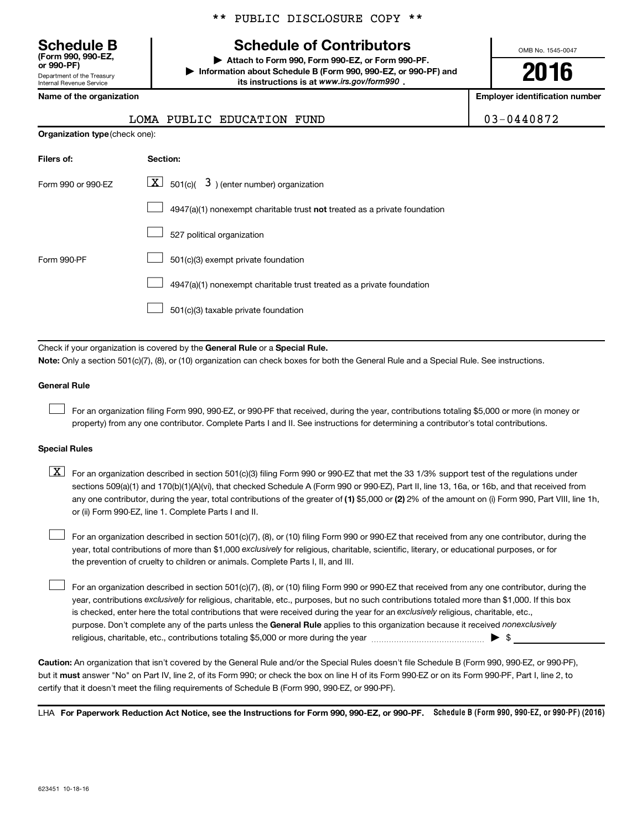Department of the Treasury Internal Revenue Service **(Form 990, 990-EZ,**

|  |  | ** PUBLIC DISCLOSURE COPY ** |  |  |
|--|--|------------------------------|--|--|
|--|--|------------------------------|--|--|

# **Schedule B Schedule of Contributors**

**or 990-PF) | Attach to Form 990, Form 990-EZ, or Form 990-PF. | Information about Schedule B (Form 990, 990-EZ, or 990-PF) and** its instructions is at www.irs.gov/form990.

OMB No. 1545-0047

**2016**

**Name of the organization Employer identification number**

| $3 - 0440872$ |  |
|---------------|--|
|---------------|--|

| 03-0440872<br>LOMA PUBLIC EDUCATION FUND |  |
|------------------------------------------|--|
|------------------------------------------|--|

| <b>Organization type (check one):</b> |                                                                           |  |  |  |  |  |
|---------------------------------------|---------------------------------------------------------------------------|--|--|--|--|--|
| Filers of:                            | Section:                                                                  |  |  |  |  |  |
| Form 990 or 990-EZ                    | $\lfloor x \rfloor$ 501(c)( 3) (enter number) organization                |  |  |  |  |  |
|                                       | 4947(a)(1) nonexempt charitable trust not treated as a private foundation |  |  |  |  |  |
|                                       | 527 political organization                                                |  |  |  |  |  |
| Form 990-PF                           | 501(c)(3) exempt private foundation                                       |  |  |  |  |  |
|                                       | 4947(a)(1) nonexempt charitable trust treated as a private foundation     |  |  |  |  |  |
|                                       | 501(c)(3) taxable private foundation                                      |  |  |  |  |  |

Check if your organization is covered by the General Rule or a Special Rule.

**Note:**  Only a section 501(c)(7), (8), or (10) organization can check boxes for both the General Rule and a Special Rule. See instructions.

#### **General Rule**

 $\Box$ 

For an organization filing Form 990, 990-EZ, or 990-PF that received, during the year, contributions totaling \$5,000 or more (in money or property) from any one contributor. Complete Parts I and II. See instructions for determining a contributor's total contributions.

#### **Special Rules**

any one contributor, during the year, total contributions of the greater of **(1)** \$5,000 or **(2)** 2% of the amount on (i) Form 990, Part VIII, line 1h,  $\boxed{\text{X}}$  For an organization described in section 501(c)(3) filing Form 990 or 990-EZ that met the 33 1/3% support test of the regulations under sections 509(a)(1) and 170(b)(1)(A)(vi), that checked Schedule A (Form 990 or 990-EZ), Part II, line 13, 16a, or 16b, and that received from or (ii) Form 990-EZ, line 1. Complete Parts I and II.

year, total contributions of more than \$1,000 *exclusively* for religious, charitable, scientific, literary, or educational purposes, or for For an organization described in section 501(c)(7), (8), or (10) filing Form 990 or 990-EZ that received from any one contributor, during the the prevention of cruelty to children or animals. Complete Parts I, II, and III.  $\Box$ 

purpose. Don't complete any of the parts unless the General Rule applies to this organization because it received nonexclusively year, contributions exclusively for religious, charitable, etc., purposes, but no such contributions totaled more than \$1,000. If this box is checked, enter here the total contributions that were received during the year for an exclusively religious, charitable, etc., For an organization described in section 501(c)(7), (8), or (10) filing Form 990 or 990-EZ that received from any one contributor, during the religious, charitable, etc., contributions totaling \$5,000 or more during the year  $\ldots$  $\ldots$  $\ldots$  $\ldots$  $\ldots$  $\ldots$  $\Box$ 

**Caution:**  An organization that isn't covered by the General Rule and/or the Special Rules doesn't file Schedule B (Form 990, 990-EZ, or 990-PF),  **must** but it answer "No" on Part IV, line 2, of its Form 990; or check the box on line H of its Form 990-EZ or on its Form 990-PF, Part I, line 2, to certify that it doesn't meet the filing requirements of Schedule B (Form 990, 990-EZ, or 990-PF).

LHA For Paperwork Reduction Act Notice, see the Instructions for Form 990, 990-EZ, or 990-PF. Schedule B (Form 990, 990-EZ, or 990-PF) (2016)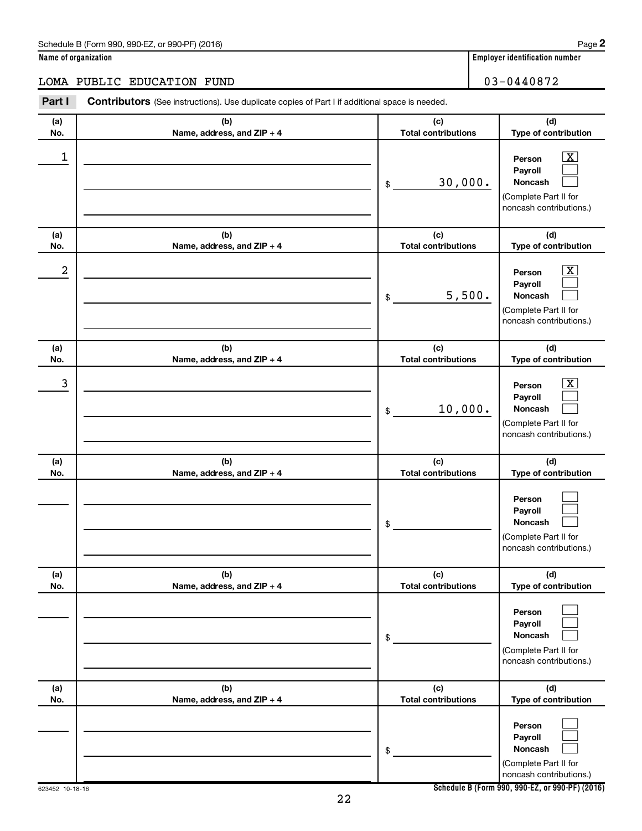### Schedule B (Form 990, 990-EZ, or 990-PF) (2016)

|  | Name of organization |
|--|----------------------|
|  |                      |

### LOMA PUBLIC EDUCATION FUND 03-0440872

| Part I     | Contributors (See instructions). Use duplicate copies of Part I if additional space is needed. |                                   |                                                                                                             |
|------------|------------------------------------------------------------------------------------------------|-----------------------------------|-------------------------------------------------------------------------------------------------------------|
| (a)<br>No. | (b)<br>Name, address, and ZIP + 4                                                              | (c)<br><b>Total contributions</b> | (d)<br>Type of contribution                                                                                 |
| 1          |                                                                                                | 30,000.<br>\$                     | $\boxed{\textbf{X}}$<br>Person<br>Payroll<br>Noncash<br>(Complete Part II for<br>noncash contributions.)    |
| (a)<br>No. | (b)<br>Name, address, and ZIP + 4                                                              | (c)<br><b>Total contributions</b> | (d)<br>Type of contribution                                                                                 |
| 2          |                                                                                                | 5,500.<br>\$                      | $\mathbf{X}$<br>Person<br>Payroll<br>Noncash<br>(Complete Part II for<br>noncash contributions.)            |
| (a)<br>No. | (b)<br>Name, address, and ZIP + 4                                                              | (c)<br><b>Total contributions</b> | (d)<br>Type of contribution                                                                                 |
| 3          |                                                                                                | 10,000.<br>\$                     | $\overline{\mathbf{x}}$<br>Person<br>Payroll<br>Noncash<br>(Complete Part II for<br>noncash contributions.) |
| (a)<br>No. | (b)<br>Name, address, and ZIP + 4                                                              | (c)<br><b>Total contributions</b> | (d)<br>Type of contribution                                                                                 |
|            |                                                                                                | \$                                | Person<br>Payroll<br>Noncash<br>(Complete Part II for<br>noncash contributions.)                            |
| (a)<br>No. | (b)<br>Name, address, and ZIP + 4                                                              | (c)<br><b>Total contributions</b> | (d)<br>Type of contribution                                                                                 |
|            |                                                                                                | \$                                | Person<br>Payroll<br>Noncash<br>(Complete Part II for<br>noncash contributions.)                            |
| (a)<br>No. | (b)<br>Name, address, and ZIP + 4                                                              | (c)<br><b>Total contributions</b> | (d)<br>Type of contribution                                                                                 |
|            |                                                                                                | \$                                | Person<br>Payroll<br>Noncash<br>(Complete Part II for<br>noncash contributions.)                            |

22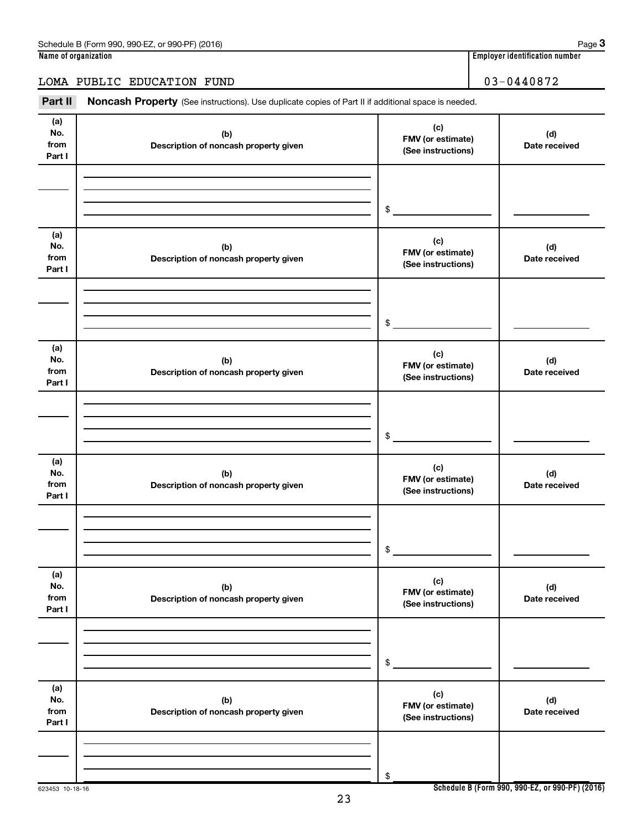623453 10-18-16

**Part II Noncash Property** LOMA PUBLIC EDUCATION FUND | 03-0440872

| Part II                      | <b>Noncash Property</b> (See instructions). Use duplicate copies of Part II if additional space is needed. |                                                |                      |
|------------------------------|------------------------------------------------------------------------------------------------------------|------------------------------------------------|----------------------|
| (a)<br>No.<br>from<br>Part I | (b)<br>Description of noncash property given                                                               | (c)<br>FMV (or estimate)<br>(See instructions) | (d)<br>Date received |
|                              |                                                                                                            | $$^{\circ}$                                    |                      |
| (a)<br>No.<br>from<br>Part I | (b)<br>Description of noncash property given                                                               | (c)<br>FMV (or estimate)<br>(See instructions) | (d)<br>Date received |
|                              |                                                                                                            | $$^{\circ}$                                    |                      |
| (a)<br>No.<br>from<br>Part I | (b)<br>Description of noncash property given                                                               | (c)<br>FMV (or estimate)<br>(See instructions) | (d)<br>Date received |
|                              |                                                                                                            | $$^{\circ}$                                    |                      |
| (a)<br>No.<br>from<br>Part I | (b)<br>Description of noncash property given                                                               | (c)<br>FMV (or estimate)<br>(See instructions) | (d)<br>Date received |
|                              |                                                                                                            | \$                                             |                      |
| (a)<br>No.<br>from<br>Part I | (b)<br>Description of noncash property given                                                               | (c)<br>FMV (or estimate)<br>(See instructions) | (d)<br>Date received |
|                              |                                                                                                            | \$                                             |                      |
| (a)<br>No.<br>from<br>Part I | (b)<br>Description of noncash property given                                                               | (c)<br>FMV (or estimate)<br>(See instructions) | (d)<br>Date received |
|                              |                                                                                                            | \$                                             |                      |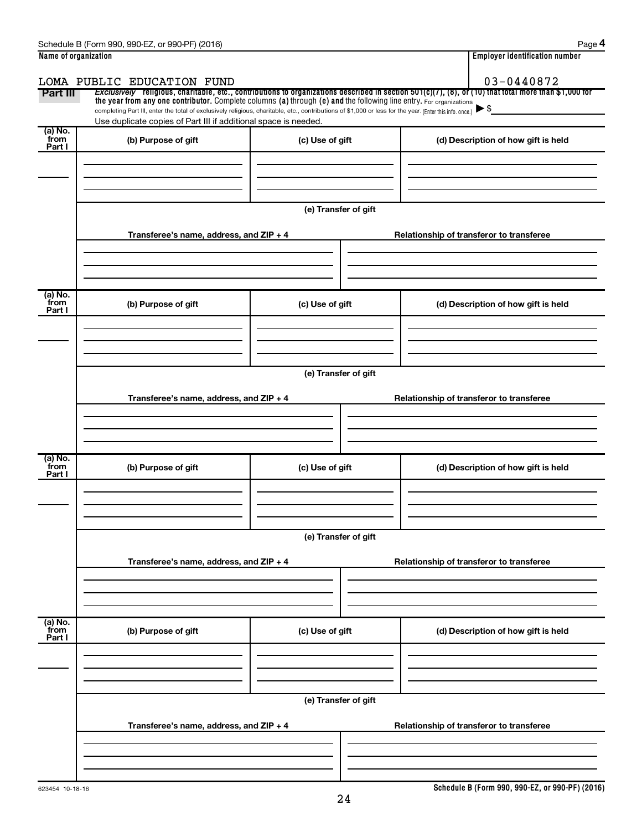| Name of organization |                                                                                                                                                                                                                                                                                 | <b>Employer identification number</b> |                                          |                                          |  |  |  |
|----------------------|---------------------------------------------------------------------------------------------------------------------------------------------------------------------------------------------------------------------------------------------------------------------------------|---------------------------------------|------------------------------------------|------------------------------------------|--|--|--|
|                      | LOMA PUBLIC EDUCATION FUND                                                                                                                                                                                                                                                      |                                       |                                          | 03-0440872                               |  |  |  |
| Part III             | Exclusively religious, charitable, etc., contributions to organizations described in section $501(c)(7)$ , (8), or (10) that total more than \$1,000 for<br>the year from any one contributor. Complete columns (a) through (e) and the following line entry. For organizations |                                       |                                          |                                          |  |  |  |
|                      | completing Part III, enter the total of exclusively religious, charitable, etc., contributions of \$1,000 or less for the year. (Enter this info. once.)                                                                                                                        |                                       |                                          |                                          |  |  |  |
| (a) No.              | Use duplicate copies of Part III if additional space is needed.                                                                                                                                                                                                                 |                                       |                                          |                                          |  |  |  |
| from<br>Part I       | (b) Purpose of gift                                                                                                                                                                                                                                                             | (c) Use of gift                       |                                          | (d) Description of how gift is held      |  |  |  |
|                      |                                                                                                                                                                                                                                                                                 |                                       |                                          |                                          |  |  |  |
|                      |                                                                                                                                                                                                                                                                                 |                                       |                                          |                                          |  |  |  |
|                      |                                                                                                                                                                                                                                                                                 |                                       |                                          |                                          |  |  |  |
|                      |                                                                                                                                                                                                                                                                                 | (e) Transfer of gift                  |                                          |                                          |  |  |  |
|                      |                                                                                                                                                                                                                                                                                 |                                       |                                          |                                          |  |  |  |
|                      | Transferee's name, address, and ZIP + 4                                                                                                                                                                                                                                         |                                       |                                          | Relationship of transferor to transferee |  |  |  |
|                      |                                                                                                                                                                                                                                                                                 |                                       |                                          |                                          |  |  |  |
|                      |                                                                                                                                                                                                                                                                                 |                                       |                                          |                                          |  |  |  |
| (a) No.              |                                                                                                                                                                                                                                                                                 |                                       |                                          |                                          |  |  |  |
| from<br>Part I       | (b) Purpose of gift                                                                                                                                                                                                                                                             | (c) Use of gift                       |                                          | (d) Description of how gift is held      |  |  |  |
|                      |                                                                                                                                                                                                                                                                                 |                                       |                                          |                                          |  |  |  |
|                      |                                                                                                                                                                                                                                                                                 |                                       |                                          |                                          |  |  |  |
|                      |                                                                                                                                                                                                                                                                                 |                                       |                                          |                                          |  |  |  |
|                      | (e) Transfer of gift                                                                                                                                                                                                                                                            |                                       |                                          |                                          |  |  |  |
|                      | Transferee's name, address, and ZIP + 4<br>Relationship of transferor to transferee                                                                                                                                                                                             |                                       |                                          |                                          |  |  |  |
|                      |                                                                                                                                                                                                                                                                                 |                                       |                                          |                                          |  |  |  |
|                      |                                                                                                                                                                                                                                                                                 |                                       |                                          |                                          |  |  |  |
|                      |                                                                                                                                                                                                                                                                                 |                                       |                                          |                                          |  |  |  |
| (a) No.              |                                                                                                                                                                                                                                                                                 |                                       |                                          |                                          |  |  |  |
| from<br>Part I       | (b) Purpose of gift                                                                                                                                                                                                                                                             | (c) Use of gift                       |                                          | (d) Description of how gift is held      |  |  |  |
|                      |                                                                                                                                                                                                                                                                                 |                                       |                                          |                                          |  |  |  |
|                      |                                                                                                                                                                                                                                                                                 |                                       |                                          |                                          |  |  |  |
|                      |                                                                                                                                                                                                                                                                                 |                                       |                                          |                                          |  |  |  |
|                      |                                                                                                                                                                                                                                                                                 | (e) Transfer of gift                  |                                          |                                          |  |  |  |
|                      | Transferee's name, address, and ZIP + 4                                                                                                                                                                                                                                         |                                       | Relationship of transferor to transferee |                                          |  |  |  |
|                      |                                                                                                                                                                                                                                                                                 |                                       |                                          |                                          |  |  |  |
|                      |                                                                                                                                                                                                                                                                                 |                                       |                                          |                                          |  |  |  |
|                      |                                                                                                                                                                                                                                                                                 |                                       |                                          |                                          |  |  |  |
| (a) No.<br>from      | (b) Purpose of gift                                                                                                                                                                                                                                                             | (c) Use of gift                       |                                          | (d) Description of how gift is held      |  |  |  |
| Part I               |                                                                                                                                                                                                                                                                                 |                                       |                                          |                                          |  |  |  |
|                      |                                                                                                                                                                                                                                                                                 |                                       |                                          |                                          |  |  |  |
|                      |                                                                                                                                                                                                                                                                                 |                                       |                                          |                                          |  |  |  |
|                      |                                                                                                                                                                                                                                                                                 | (e) Transfer of gift                  |                                          |                                          |  |  |  |
|                      |                                                                                                                                                                                                                                                                                 |                                       |                                          |                                          |  |  |  |
|                      | Transferee's name, address, and ZIP + 4                                                                                                                                                                                                                                         |                                       |                                          | Relationship of transferor to transferee |  |  |  |
|                      |                                                                                                                                                                                                                                                                                 |                                       |                                          |                                          |  |  |  |
|                      |                                                                                                                                                                                                                                                                                 |                                       |                                          |                                          |  |  |  |
|                      |                                                                                                                                                                                                                                                                                 |                                       |                                          |                                          |  |  |  |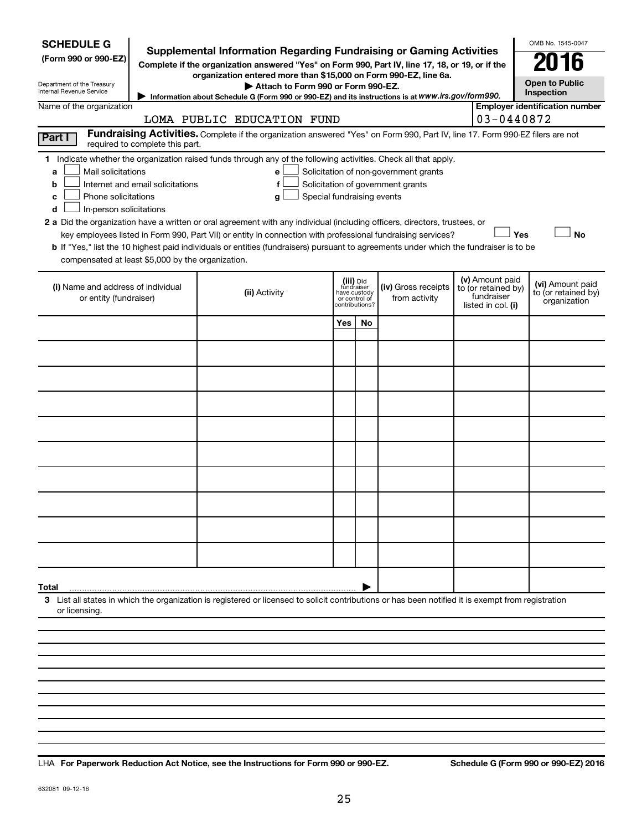| <b>SCHEDULE G</b><br><b>Supplemental Information Regarding Fundraising or Gaming Activities</b><br>(Form 990 or 990-EZ)<br>Complete if the organization answered "Yes" on Form 990, Part IV, line 17, 18, or 19, or if the<br>organization entered more than \$15,000 on Form 990-EZ, line 6a.<br>Department of the Treasury<br>Attach to Form 990 or Form 990-EZ.<br><b>Internal Revenue Service</b><br>Information about Schedule G (Form 990 or 990-EZ) and its instructions is at WWW.irs.gov/form990.                                                                                                                                                                                                                                                                                                                                |                            |                               |                                           |                                      |  |                                                                            | OMB No. 1545-0047<br>016<br><b>Open to Public</b><br>Inspection |  |
|-------------------------------------------------------------------------------------------------------------------------------------------------------------------------------------------------------------------------------------------------------------------------------------------------------------------------------------------------------------------------------------------------------------------------------------------------------------------------------------------------------------------------------------------------------------------------------------------------------------------------------------------------------------------------------------------------------------------------------------------------------------------------------------------------------------------------------------------|----------------------------|-------------------------------|-------------------------------------------|--------------------------------------|--|----------------------------------------------------------------------------|-----------------------------------------------------------------|--|
| Name of the organization                                                                                                                                                                                                                                                                                                                                                                                                                                                                                                                                                                                                                                                                                                                                                                                                                  | LOMA PUBLIC EDUCATION FUND |                               |                                           |                                      |  | 03-0440872                                                                 | <b>Employer identification number</b>                           |  |
| Fundraising Activities. Complete if the organization answered "Yes" on Form 990, Part IV, line 17. Form 990-EZ filers are not<br>Part I<br>required to complete this part.                                                                                                                                                                                                                                                                                                                                                                                                                                                                                                                                                                                                                                                                |                            |                               |                                           |                                      |  |                                                                            |                                                                 |  |
| 1 Indicate whether the organization raised funds through any of the following activities. Check all that apply.<br>Mail solicitations<br>Solicitation of non-government grants<br>a<br>e<br>Internet and email solicitations<br>f<br>Solicitation of government grants<br>b<br>Phone solicitations<br>Special fundraising events<br>g<br>с<br>In-person solicitations<br>d<br>2 a Did the organization have a written or oral agreement with any individual (including officers, directors, trustees, or<br>Yes<br><b>No</b><br>key employees listed in Form 990, Part VII) or entity in connection with professional fundraising services?<br>b If "Yes," list the 10 highest paid individuals or entities (fundraisers) pursuant to agreements under which the fundraiser is to be<br>compensated at least \$5,000 by the organization. |                            |                               |                                           |                                      |  |                                                                            |                                                                 |  |
| (i) Name and address of individual<br>or entity (fundraiser)                                                                                                                                                                                                                                                                                                                                                                                                                                                                                                                                                                                                                                                                                                                                                                              | (ii) Activity              | have custody<br>or control of | (iii) Did<br>fundraiser<br>contributions? | (iv) Gross receipts<br>from activity |  | (v) Amount paid<br>to (or retained by)<br>fundraiser<br>listed in col. (i) | (vi) Amount paid<br>to (or retained by)<br>organization         |  |
|                                                                                                                                                                                                                                                                                                                                                                                                                                                                                                                                                                                                                                                                                                                                                                                                                                           |                            | Yes                           | No.                                       |                                      |  |                                                                            |                                                                 |  |
|                                                                                                                                                                                                                                                                                                                                                                                                                                                                                                                                                                                                                                                                                                                                                                                                                                           |                            |                               |                                           |                                      |  |                                                                            |                                                                 |  |
|                                                                                                                                                                                                                                                                                                                                                                                                                                                                                                                                                                                                                                                                                                                                                                                                                                           |                            |                               |                                           |                                      |  |                                                                            |                                                                 |  |
|                                                                                                                                                                                                                                                                                                                                                                                                                                                                                                                                                                                                                                                                                                                                                                                                                                           |                            |                               |                                           |                                      |  |                                                                            |                                                                 |  |
|                                                                                                                                                                                                                                                                                                                                                                                                                                                                                                                                                                                                                                                                                                                                                                                                                                           |                            |                               |                                           |                                      |  |                                                                            |                                                                 |  |
|                                                                                                                                                                                                                                                                                                                                                                                                                                                                                                                                                                                                                                                                                                                                                                                                                                           |                            |                               |                                           |                                      |  |                                                                            |                                                                 |  |
|                                                                                                                                                                                                                                                                                                                                                                                                                                                                                                                                                                                                                                                                                                                                                                                                                                           |                            |                               |                                           |                                      |  |                                                                            |                                                                 |  |
|                                                                                                                                                                                                                                                                                                                                                                                                                                                                                                                                                                                                                                                                                                                                                                                                                                           |                            |                               |                                           |                                      |  |                                                                            |                                                                 |  |
|                                                                                                                                                                                                                                                                                                                                                                                                                                                                                                                                                                                                                                                                                                                                                                                                                                           |                            |                               |                                           |                                      |  |                                                                            |                                                                 |  |
|                                                                                                                                                                                                                                                                                                                                                                                                                                                                                                                                                                                                                                                                                                                                                                                                                                           |                            |                               |                                           |                                      |  |                                                                            |                                                                 |  |
| Total<br>3 List all states in which the organization is registered or licensed to solicit contributions or has been notified it is exempt from registration                                                                                                                                                                                                                                                                                                                                                                                                                                                                                                                                                                                                                                                                               |                            |                               |                                           |                                      |  |                                                                            |                                                                 |  |
| or licensing.                                                                                                                                                                                                                                                                                                                                                                                                                                                                                                                                                                                                                                                                                                                                                                                                                             |                            |                               |                                           |                                      |  |                                                                            |                                                                 |  |
|                                                                                                                                                                                                                                                                                                                                                                                                                                                                                                                                                                                                                                                                                                                                                                                                                                           |                            |                               |                                           |                                      |  |                                                                            |                                                                 |  |
|                                                                                                                                                                                                                                                                                                                                                                                                                                                                                                                                                                                                                                                                                                                                                                                                                                           |                            |                               |                                           |                                      |  |                                                                            |                                                                 |  |

**For Paperwork Reduction Act Notice, see the Instructions for Form 990 or 990-EZ. Schedule G (Form 990 or 990-EZ) 2016** LHA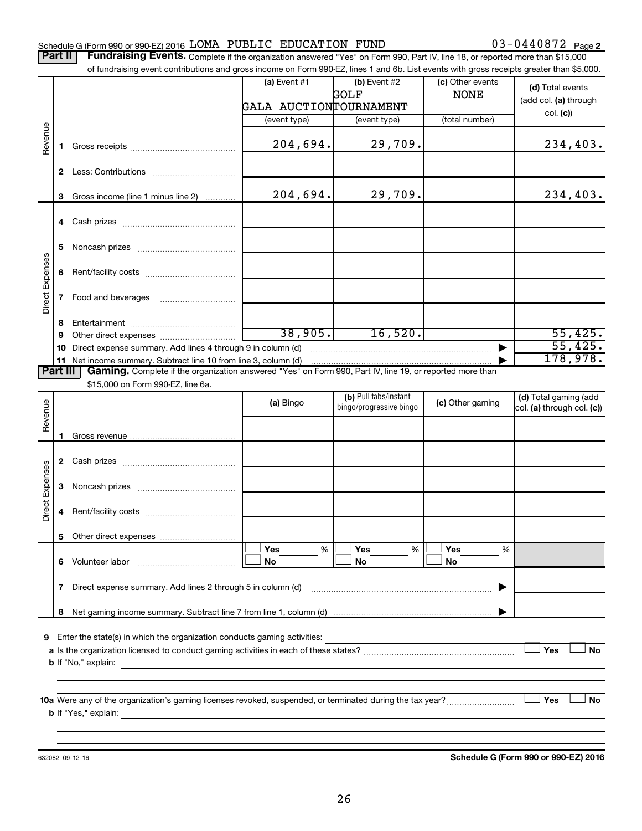### Schedule G (Form 990 or 990-EZ) 2016  ${\tt LOMA}$  PUBLIC  ${\tt EDUCATION}$   ${\tt FUND}$   $03-0440872$   ${\tt Page}$

03-0440872 Page 2

Part II | Fundraising Events. Complete if the organization answered "Yes" on Form 990, Part IV, line 18, or reported more than \$15,000 of fundraising event contributions and gross income on Form 990-EZ, lines 1 and 6b. List events with gross receipts greater than \$5,000.

|                        |    | OFfundralshig event continuutions and gross income on Form 990-EZ, illies T and OD. Elst events with gross receipts greater than \$0,000. |                        |                         |                  |                            |  |
|------------------------|----|-------------------------------------------------------------------------------------------------------------------------------------------|------------------------|-------------------------|------------------|----------------------------|--|
|                        |    |                                                                                                                                           | (a) Event $#1$         | (b) Event #2            | (c) Other events | (d) Total events           |  |
|                        |    |                                                                                                                                           |                        | GOLF                    | <b>NONE</b>      | (add col. (a) through      |  |
|                        |    |                                                                                                                                           | GALA AUCTIONTOURNAMENT |                         |                  | col. (c)                   |  |
|                        |    |                                                                                                                                           | (event type)           | (event type)            | (total number)   |                            |  |
| Revenue                |    |                                                                                                                                           |                        |                         |                  |                            |  |
|                        | 1. |                                                                                                                                           | 204,694.               | 29,709.                 |                  | 234,403.                   |  |
|                        |    |                                                                                                                                           |                        |                         |                  |                            |  |
|                        |    |                                                                                                                                           |                        |                         |                  |                            |  |
|                        |    |                                                                                                                                           |                        |                         |                  |                            |  |
|                        | 3  | Gross income (line 1 minus line 2)                                                                                                        | 204,694.               | 29,709.                 |                  | 234,403.                   |  |
|                        |    |                                                                                                                                           |                        |                         |                  |                            |  |
|                        |    |                                                                                                                                           |                        |                         |                  |                            |  |
|                        |    |                                                                                                                                           |                        |                         |                  |                            |  |
|                        |    |                                                                                                                                           |                        |                         |                  |                            |  |
|                        |    |                                                                                                                                           |                        |                         |                  |                            |  |
|                        |    |                                                                                                                                           |                        |                         |                  |                            |  |
| Direct Expenses        |    |                                                                                                                                           |                        |                         |                  |                            |  |
|                        |    |                                                                                                                                           |                        |                         |                  |                            |  |
|                        |    |                                                                                                                                           |                        |                         |                  |                            |  |
|                        | 8  |                                                                                                                                           |                        |                         |                  |                            |  |
|                        | 9  |                                                                                                                                           | 38,905.                | 16,520.                 |                  | 55,425.                    |  |
|                        |    | 10 Direct expense summary. Add lines 4 through 9 in column (d)                                                                            |                        |                         |                  | 55,425.                    |  |
|                        |    | 11 Net income summary. Subtract line 10 from line 3, column (d)                                                                           |                        |                         |                  | 178,978.                   |  |
| <b>Part III</b>        |    | Gaming. Complete if the organization answered "Yes" on Form 990, Part IV, line 19, or reported more than                                  |                        |                         |                  |                            |  |
|                        |    | \$15,000 on Form 990-EZ, line 6a.                                                                                                         |                        |                         |                  |                            |  |
|                        |    |                                                                                                                                           | (a) Bingo              | (b) Pull tabs/instant   | (c) Other gaming | (d) Total gaming (add      |  |
|                        |    |                                                                                                                                           |                        | bingo/progressive bingo |                  | col. (a) through col. (c)) |  |
| Revenue                |    |                                                                                                                                           |                        |                         |                  |                            |  |
|                        | 1  |                                                                                                                                           |                        |                         |                  |                            |  |
|                        |    |                                                                                                                                           |                        |                         |                  |                            |  |
|                        |    |                                                                                                                                           |                        |                         |                  |                            |  |
| <b>Direct Expenses</b> |    |                                                                                                                                           |                        |                         |                  |                            |  |
|                        |    |                                                                                                                                           |                        |                         |                  |                            |  |
|                        |    |                                                                                                                                           |                        |                         |                  |                            |  |
|                        | 4  |                                                                                                                                           |                        |                         |                  |                            |  |
|                        |    |                                                                                                                                           |                        |                         |                  |                            |  |
|                        |    |                                                                                                                                           |                        |                         |                  |                            |  |
|                        |    |                                                                                                                                           | Yes<br>%               | Yes<br>%                | Yes<br>%         |                            |  |
|                        |    | 6 Volunteer labor                                                                                                                         | No                     | No                      | No               |                            |  |
|                        |    |                                                                                                                                           |                        |                         |                  |                            |  |
|                        | 7  | Direct expense summary. Add lines 2 through 5 in column (d)                                                                               |                        |                         |                  |                            |  |
|                        |    |                                                                                                                                           |                        |                         |                  |                            |  |
|                        | 8  |                                                                                                                                           |                        |                         |                  |                            |  |
|                        |    |                                                                                                                                           |                        |                         |                  |                            |  |
| 9                      |    | Enter the state(s) in which the organization conducts gaming activities:                                                                  |                        |                         |                  |                            |  |
|                        |    |                                                                                                                                           |                        | Yes<br>No               |                  |                            |  |
|                        |    | <b>b</b> If "No," explain:                                                                                                                |                        |                         |                  |                            |  |
|                        |    |                                                                                                                                           |                        |                         |                  |                            |  |
|                        |    |                                                                                                                                           |                        |                         |                  |                            |  |
|                        |    |                                                                                                                                           |                        |                         |                  | Yes<br>No                  |  |
|                        |    | <b>b</b> If "Yes," explain:                                                                                                               |                        |                         |                  |                            |  |
|                        |    |                                                                                                                                           |                        |                         |                  |                            |  |
|                        |    |                                                                                                                                           |                        |                         |                  |                            |  |

632082 09-12-16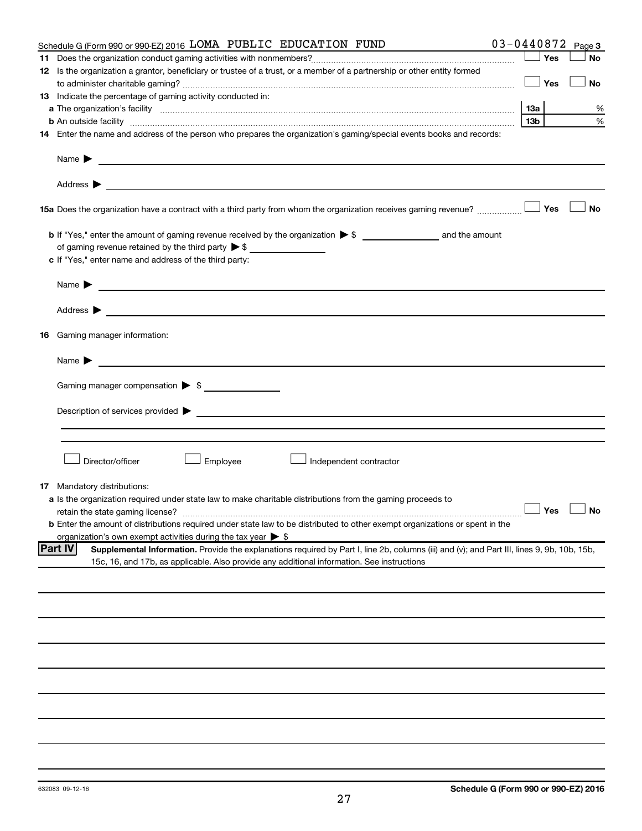|    | Schedule G (Form 990 or 990-EZ) 2016 LOMA PUBLIC EDUCATION FUND                                                                                                                                                                                                    |                 |     | $03 - 0440872$ Page 3 |
|----|--------------------------------------------------------------------------------------------------------------------------------------------------------------------------------------------------------------------------------------------------------------------|-----------------|-----|-----------------------|
|    |                                                                                                                                                                                                                                                                    |                 | Yes | <b>No</b>             |
|    | 12 Is the organization a grantor, beneficiary or trustee of a trust, or a member of a partnership or other entity formed                                                                                                                                           |                 |     |                       |
|    |                                                                                                                                                                                                                                                                    |                 | Yes | No                    |
|    | 13 Indicate the percentage of gaming activity conducted in:                                                                                                                                                                                                        |                 |     |                       |
|    |                                                                                                                                                                                                                                                                    | 13а             |     | %                     |
|    | <b>b</b> An outside facility <i>www.communicality www.communicality.communicality www.communicality www.communicality.communicality www.communicality.com</i>                                                                                                      | 13 <sub>b</sub> |     | %                     |
|    | 14 Enter the name and address of the person who prepares the organization's gaming/special events books and records:                                                                                                                                               |                 |     |                       |
|    | Name $\blacktriangleright$<br><u>and the state of the state of the state of the state of the state of the state of the state of the state of the state of the state of the state of the state of the state of the state of the state of the state of the state</u> |                 |     |                       |
|    |                                                                                                                                                                                                                                                                    |                 |     |                       |
|    | 15a Does the organization have a contract with a third party from whom the organization receives gaming revenue?                                                                                                                                                   |                 | Yes | <b>No</b>             |
|    |                                                                                                                                                                                                                                                                    |                 |     |                       |
|    | of gaming revenue retained by the third party $\triangleright$ \$                                                                                                                                                                                                  |                 |     |                       |
|    | c If "Yes," enter name and address of the third party:                                                                                                                                                                                                             |                 |     |                       |
|    |                                                                                                                                                                                                                                                                    |                 |     |                       |
|    | Name $\blacktriangleright$<br><u> 1980 - John Barn Barn, amerikan basar basal dan berasal dan berasal dari berasal dalam basal dan berasal dan</u>                                                                                                                 |                 |     |                       |
|    | Address ><br><u>and the state of the state of the state of the state of the state of the state of the state of the state of the state of the state of the state of the state of the state of the state of the state of the state of the state</u>                  |                 |     |                       |
| 16 | Gaming manager information:                                                                                                                                                                                                                                        |                 |     |                       |
|    | <u> 1989 - Johann Barbara, martin amerikan basal dan berasal dan berasal dalam basal dalam basal dalam basal dala</u><br>Name $\blacktriangleright$                                                                                                                |                 |     |                       |
|    | Gaming manager compensation > \$                                                                                                                                                                                                                                   |                 |     |                       |
|    |                                                                                                                                                                                                                                                                    |                 |     |                       |
|    |                                                                                                                                                                                                                                                                    |                 |     |                       |
|    |                                                                                                                                                                                                                                                                    |                 |     |                       |
|    | Director/officer<br>Employee<br>Independent contractor                                                                                                                                                                                                             |                 |     |                       |
|    | <b>17</b> Mandatory distributions:                                                                                                                                                                                                                                 |                 |     |                       |
|    | a Is the organization required under state law to make charitable distributions from the gaming proceeds to                                                                                                                                                        |                 |     |                       |
|    | retain the state gaming license?<br><b>b</b> Enter the amount of distributions required under state law to be distributed to other exempt organizations or spent in the                                                                                            |                 |     | $\Box$ Yes $\Box$ No  |
|    | organization's own exempt activities during the tax year > \$                                                                                                                                                                                                      |                 |     |                       |
|    | <b>Part IV</b><br>Supplemental Information. Provide the explanations required by Part I, line 2b, columns (iii) and (v); and Part III, lines 9, 9b, 10b, 15b,                                                                                                      |                 |     |                       |
|    | 15c, 16, and 17b, as applicable. Also provide any additional information. See instructions                                                                                                                                                                         |                 |     |                       |
|    |                                                                                                                                                                                                                                                                    |                 |     |                       |
|    |                                                                                                                                                                                                                                                                    |                 |     |                       |
|    |                                                                                                                                                                                                                                                                    |                 |     |                       |
|    |                                                                                                                                                                                                                                                                    |                 |     |                       |
|    |                                                                                                                                                                                                                                                                    |                 |     |                       |
|    |                                                                                                                                                                                                                                                                    |                 |     |                       |
|    |                                                                                                                                                                                                                                                                    |                 |     |                       |
|    |                                                                                                                                                                                                                                                                    |                 |     |                       |
|    |                                                                                                                                                                                                                                                                    |                 |     |                       |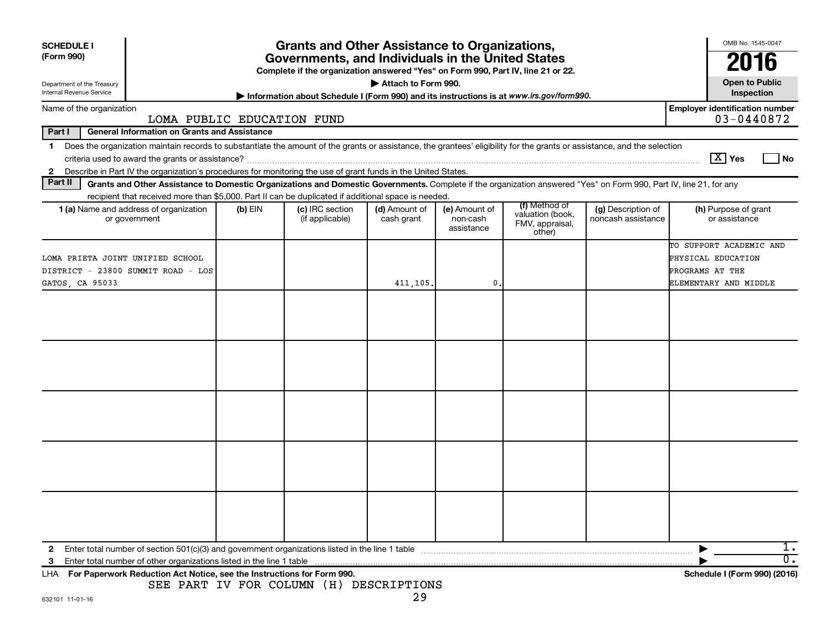| <b>SCHEDULE I</b><br>(Form 990)<br>Department of the Treasury                             |                                                                                                                                                                                                                                                                           |           | <b>Grants and Other Assistance to Organizations,</b><br>Governments, and Individuals in the United States<br>Complete if the organization answered "Yes" on Form 990, Part IV, line 21 or 22. | Attach to Form 990.         |                                         |                                                                |                                          | OMB No. 1545-0047<br>2016<br><b>Open to Public</b>                                        |                  |
|-------------------------------------------------------------------------------------------|---------------------------------------------------------------------------------------------------------------------------------------------------------------------------------------------------------------------------------------------------------------------------|-----------|-----------------------------------------------------------------------------------------------------------------------------------------------------------------------------------------------|-----------------------------|-----------------------------------------|----------------------------------------------------------------|------------------------------------------|-------------------------------------------------------------------------------------------|------------------|
| Internal Revenue Service                                                                  |                                                                                                                                                                                                                                                                           |           | Information about Schedule I (Form 990) and its instructions is at www.irs.gov/form990.                                                                                                       |                             |                                         |                                                                |                                          | Inspection                                                                                |                  |
| Name of the organization                                                                  | LOMA PUBLIC EDUCATION FUND                                                                                                                                                                                                                                                |           |                                                                                                                                                                                               |                             |                                         |                                                                |                                          | <b>Employer identification number</b><br>03-0440872                                       |                  |
| Part I                                                                                    | <b>General Information on Grants and Assistance</b>                                                                                                                                                                                                                       |           |                                                                                                                                                                                               |                             |                                         |                                                                |                                          |                                                                                           |                  |
| $\mathbf 1$                                                                               | Does the organization maintain records to substantiate the amount of the grants or assistance, the grantees' eligibility for the grants or assistance, and the selection                                                                                                  |           |                                                                                                                                                                                               |                             |                                         |                                                                |                                          | $\boxed{\text{X}}$ Yes                                                                    | No               |
| $\mathbf{2}$<br>Part II                                                                   | Describe in Part IV the organization's procedures for monitoring the use of grant funds in the United States.                                                                                                                                                             |           |                                                                                                                                                                                               |                             |                                         |                                                                |                                          |                                                                                           |                  |
|                                                                                           | Grants and Other Assistance to Domestic Organizations and Domestic Governments. Complete if the organization answered "Yes" on Form 990, Part IV, line 21, for any<br>recipient that received more than \$5,000. Part II can be duplicated if additional space is needed. |           |                                                                                                                                                                                               |                             |                                         |                                                                |                                          |                                                                                           |                  |
|                                                                                           | 1 (a) Name and address of organization<br>or government                                                                                                                                                                                                                   | $(b)$ EIN | (c) IRC section<br>(if applicable)                                                                                                                                                            | (d) Amount of<br>cash grant | (e) Amount of<br>non-cash<br>assistance | (f) Method of<br>valuation (book,<br>FMV, appraisal,<br>other) | (g) Description of<br>noncash assistance | (h) Purpose of grant<br>or assistance                                                     |                  |
| LOMA PRIETA JOINT UNIFIED SCHOOL<br>DISTRICT - 23800 SUMMIT ROAD - LOS<br>GATOS, CA 95033 |                                                                                                                                                                                                                                                                           |           |                                                                                                                                                                                               | 411,105.                    | 0                                       |                                                                |                                          | TO SUPPORT ACADEMIC AND<br>PHYSICAL EDUCATION<br>PROGRAMS AT THE<br>ELEMENTARY AND MIDDLE |                  |
|                                                                                           |                                                                                                                                                                                                                                                                           |           |                                                                                                                                                                                               |                             |                                         |                                                                |                                          |                                                                                           |                  |
|                                                                                           |                                                                                                                                                                                                                                                                           |           |                                                                                                                                                                                               |                             |                                         |                                                                |                                          |                                                                                           |                  |
|                                                                                           |                                                                                                                                                                                                                                                                           |           |                                                                                                                                                                                               |                             |                                         |                                                                |                                          |                                                                                           |                  |
|                                                                                           |                                                                                                                                                                                                                                                                           |           |                                                                                                                                                                                               |                             |                                         |                                                                |                                          |                                                                                           |                  |
|                                                                                           |                                                                                                                                                                                                                                                                           |           |                                                                                                                                                                                               |                             |                                         |                                                                |                                          |                                                                                           |                  |
| 2                                                                                         | Enter total number of section 501(c)(3) and government organizations listed in the line 1 table                                                                                                                                                                           |           |                                                                                                                                                                                               |                             |                                         |                                                                |                                          |                                                                                           | 1.               |
| -3                                                                                        | Enter total number of other organizations listed in the line 1 table                                                                                                                                                                                                      |           |                                                                                                                                                                                               |                             |                                         |                                                                |                                          |                                                                                           | $\overline{0}$ . |
| LHA For Paperwork Reduction Act Notice, see the Instructions for Form 990.                |                                                                                                                                                                                                                                                                           |           | SEE PART IV FOR COLUMN (H) DESCRIPTIONS                                                                                                                                                       |                             |                                         |                                                                |                                          | Schedule I (Form 990) (2016)                                                              |                  |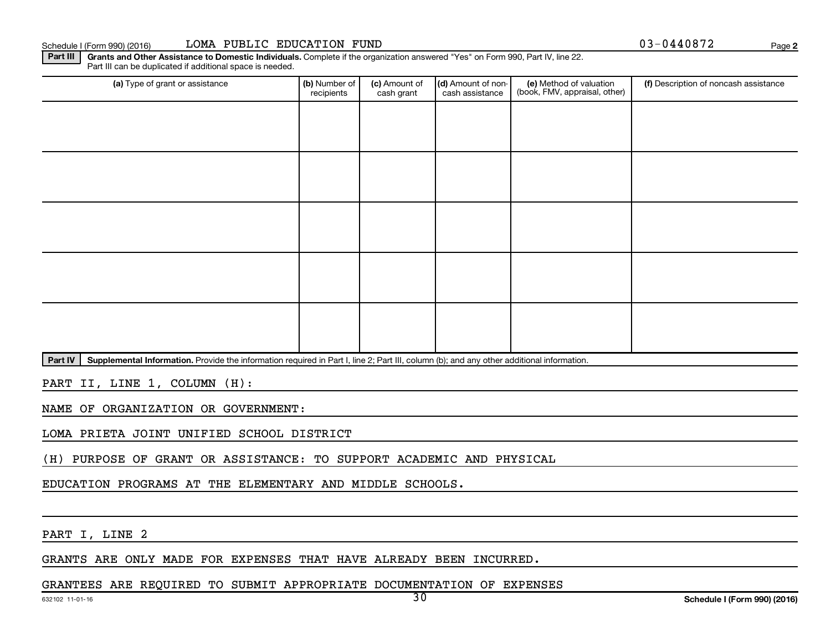Schedule I (Form 990) (2016) LOMA PUBLIC EDUCATION FUND (2008) 2008 03-0440872

**2**

Part III | Grants and Other Assistance to Domestic Individuals. Complete if the organization answered "Yes" on Form 990, Part IV, line 22. Part III can be duplicated if additional space is needed.

| (a) Type of grant or assistance | (b) Number of<br>recipients | (c) Amount of<br>cash grant | (d) Amount of non-<br>cash assistance | (e) Method of valuation<br>(book, FMV, appraisal, other) | (f) Description of noncash assistance |
|---------------------------------|-----------------------------|-----------------------------|---------------------------------------|----------------------------------------------------------|---------------------------------------|
|                                 |                             |                             |                                       |                                                          |                                       |
|                                 |                             |                             |                                       |                                                          |                                       |
|                                 |                             |                             |                                       |                                                          |                                       |
|                                 |                             |                             |                                       |                                                          |                                       |
|                                 |                             |                             |                                       |                                                          |                                       |
|                                 |                             |                             |                                       |                                                          |                                       |
|                                 |                             |                             |                                       |                                                          |                                       |
|                                 |                             |                             |                                       |                                                          |                                       |
|                                 |                             |                             |                                       |                                                          |                                       |
|                                 |                             |                             |                                       |                                                          |                                       |

Part IV | Supplemental Information. Provide the information required in Part I, line 2; Part III, column (b); and any other additional information.

PART II, LINE 1, COLUMN (H):

NAME OF ORGANIZATION OR GOVERNMENT:

LOMA PRIETA JOINT UNIFIED SCHOOL DISTRICT

(H) PURPOSE OF GRANT OR ASSISTANCE: TO SUPPORT ACADEMIC AND PHYSICAL

EDUCATION PROGRAMS AT THE ELEMENTARY AND MIDDLE SCHOOLS.

PART I, LINE 2

GRANTS ARE ONLY MADE FOR EXPENSES THAT HAVE ALREADY BEEN INCURRED.

GRANTEES ARE REQUIRED TO SUBMIT APPROPRIATE DOCUMENTATION OF EXPENSES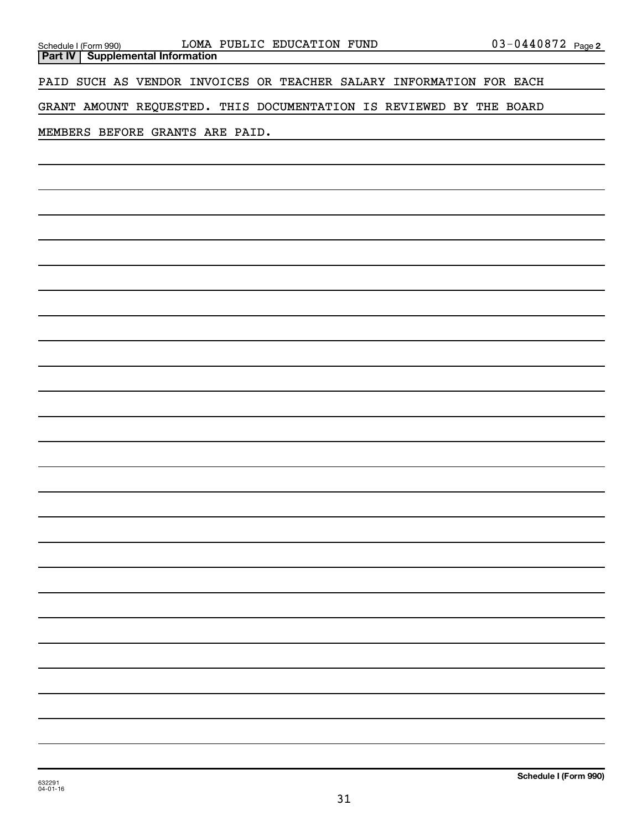| <u>Schedule I (Form 990)</u> |  |
|------------------------------|--|

**Part IV Supplemental Information**

PAID SUCH AS VENDOR INVOICES OR TEACHER SALARY INFORMATION FOR EACH

GRANT AMOUNT REQUESTED. THIS DOCUMENTATION IS REVIEWED BY THE BOARD

MEMBERS BEFORE GRANTS ARE PAID.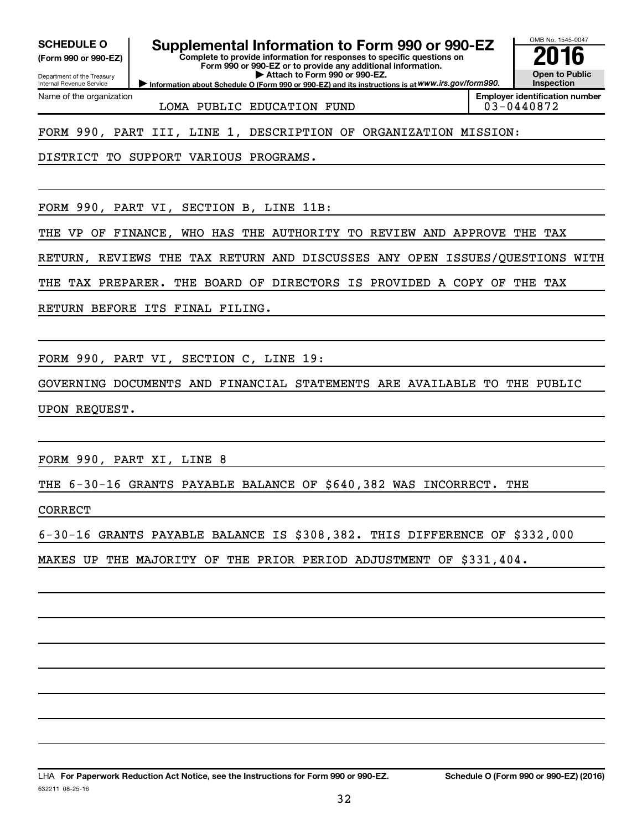**(Form 990 or 990-EZ)**

Department of the Treasury Internal Revenue Service

Name of the organization

# **SCHEDULE O Supplemental Information to Form 990 or 990-EZ 2016**

**Complete to provide information for responses to specific questions on Form 990 or 990-EZ or to provide any additional information. | Attach to Form 990 or 990-EZ.**

**Information about Schedule O (Form 990 or 990-EZ) and its instructions is at WWW.irs.gov/form990.** 

OMB No. 1545-0047 **Open to Public Inspection**

LOMA PUBLIC EDUCATION FUND  $\vert$  03-0440872

**Employer identification number**

FORM 990, PART III, LINE 1, DESCRIPTION OF ORGANIZATION MISSION:

DISTRICT TO SUPPORT VARIOUS PROGRAMS.

FORM 990, PART VI, SECTION B, LINE 11B:

THE VP OF FINANCE, WHO HAS THE AUTHORITY TO REVIEW AND APPROVE THE TAX

RETURN, REVIEWS THE TAX RETURN AND DISCUSSES ANY OPEN ISSUES/QUESTIONS WITH

THE TAX PREPARER. THE BOARD OF DIRECTORS IS PROVIDED A COPY OF THE TAX

RETURN BEFORE ITS FINAL FILING.

FORM 990, PART VI, SECTION C, LINE 19:

GOVERNING DOCUMENTS AND FINANCIAL STATEMENTS ARE AVAILABLE TO THE PUBLIC UPON REQUEST.

FORM 990, PART XI, LINE 8

THE 6-30-16 GRANTS PAYABLE BALANCE OF \$640,382 WAS INCORRECT. THE

CORRECT

6-30-16 GRANTS PAYABLE BALANCE IS \$308,382. THIS DIFFERENCE OF \$332,000

MAKES UP THE MAJORITY OF THE PRIOR PERIOD ADJUSTMENT OF \$331,404.